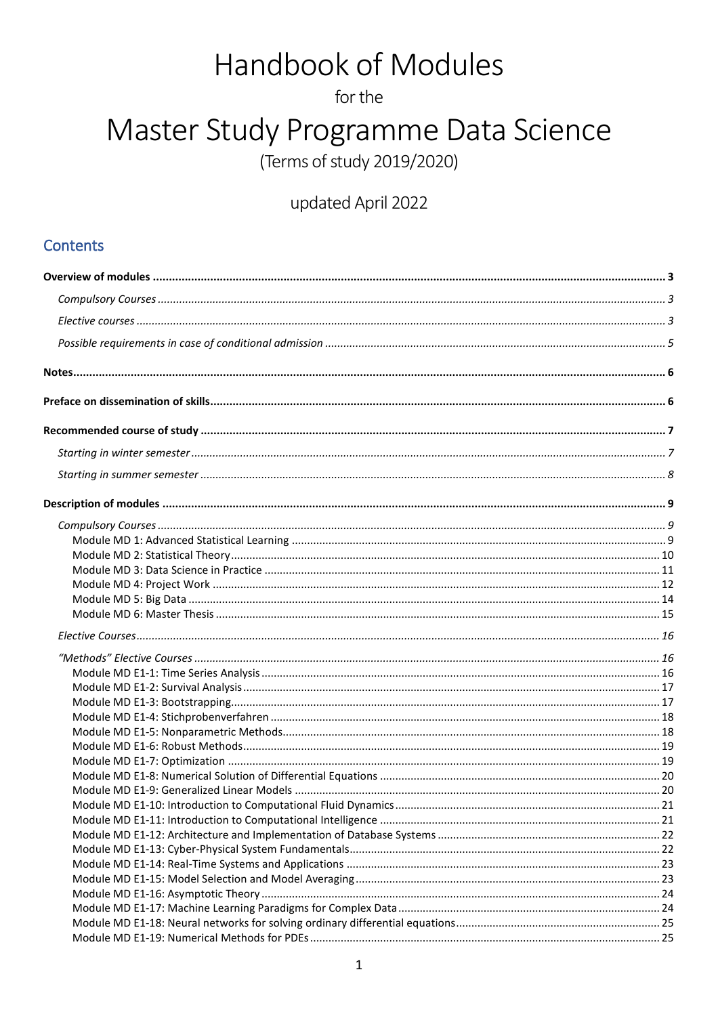# Handbook of Modules

for the

# Master Study Programme Data Science

(Terms of study 2019/2020)

# updated April 2022

### **Contents**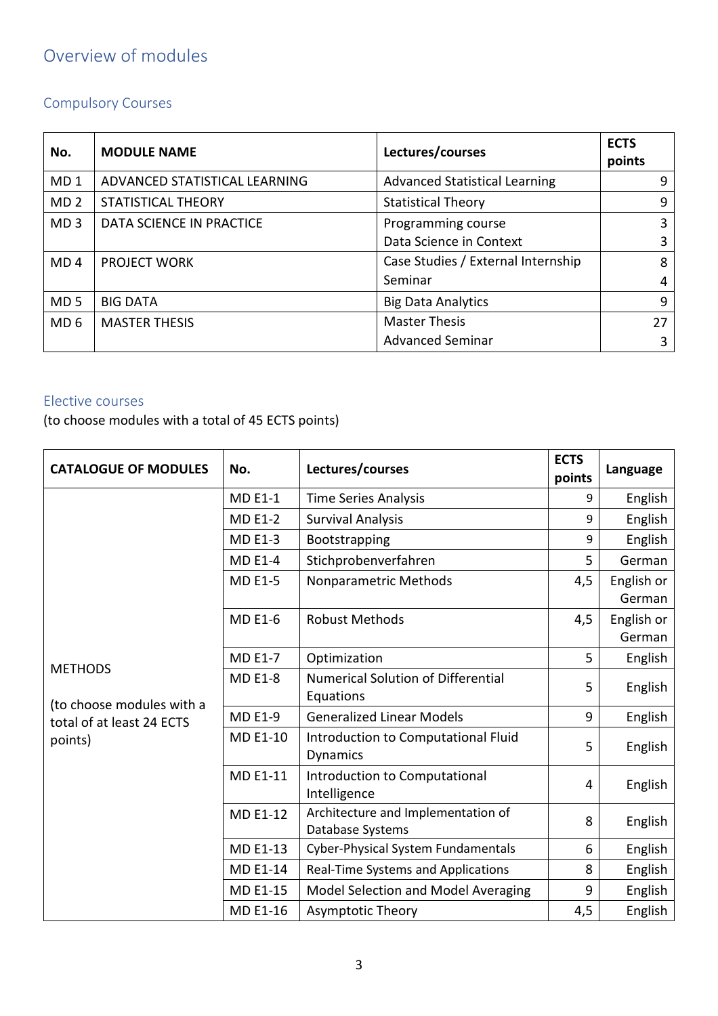# <span id="page-2-0"></span>Overview of modules

# <span id="page-2-1"></span>Compulsory Courses

| No.             | <b>MODULE NAME</b>            | Lectures/courses                     | <b>ECTS</b><br>points |
|-----------------|-------------------------------|--------------------------------------|-----------------------|
| MD <sub>1</sub> | ADVANCED STATISTICAL LEARNING | <b>Advanced Statistical Learning</b> | q                     |
| MD <sub>2</sub> | <b>STATISTICAL THEORY</b>     | <b>Statistical Theory</b>            | 9                     |
| MD <sub>3</sub> | DATA SCIENCE IN PRACTICE      | Programming course                   | 3                     |
|                 |                               | Data Science in Context              | 3                     |
| MD <sub>4</sub> | <b>PROJECT WORK</b>           | Case Studies / External Internship   | 8                     |
|                 |                               | Seminar                              | 4                     |
| MD <sub>5</sub> | <b>BIG DATA</b>               | <b>Big Data Analytics</b>            | 9                     |
| MD <sub>6</sub> | <b>MASTER THESIS</b>          | <b>Master Thesis</b>                 | 27                    |
|                 |                               | <b>Advanced Seminar</b>              | 3                     |

#### <span id="page-2-2"></span>Elective courses

(to choose modules with a total of 45 ECTS points)

| <b>CATALOGUE OF MODULES</b>                            | No.             | Lectures/courses                                       | <b>ECTS</b><br>points | Language             |
|--------------------------------------------------------|-----------------|--------------------------------------------------------|-----------------------|----------------------|
|                                                        | <b>MD E1-1</b>  | <b>Time Series Analysis</b>                            | 9                     | English              |
|                                                        | <b>MD E1-2</b>  | <b>Survival Analysis</b>                               | 9                     | English              |
|                                                        | <b>MD E1-3</b>  | Bootstrapping                                          | 9                     | English              |
|                                                        | <b>MD E1-4</b>  | Stichprobenverfahren                                   | 5                     | German               |
|                                                        | <b>MD E1-5</b>  | Nonparametric Methods                                  | 4,5                   | English or<br>German |
|                                                        | <b>MD E1-6</b>  | <b>Robust Methods</b>                                  | 4,5                   | English or<br>German |
|                                                        | <b>MD E1-7</b>  | Optimization                                           | 5                     | English              |
| <b>METHODS</b>                                         | <b>MD E1-8</b>  | <b>Numerical Solution of Differential</b><br>Equations | 5                     | English              |
| (to choose modules with a<br>total of at least 24 ECTS | <b>MD E1-9</b>  | <b>Generalized Linear Models</b>                       | 9                     | English              |
| points)                                                | <b>MD E1-10</b> | Introduction to Computational Fluid<br>Dynamics        | 5                     | English              |
|                                                        | <b>MD E1-11</b> | Introduction to Computational<br>Intelligence          | 4                     | English              |
|                                                        | <b>MD E1-12</b> | Architecture and Implementation of<br>Database Systems | 8                     | English              |
|                                                        | <b>MD E1-13</b> | Cyber-Physical System Fundamentals                     | 6                     | English              |
|                                                        | <b>MD E1-14</b> | Real-Time Systems and Applications                     | 8                     | English              |
|                                                        | <b>MD E1-15</b> | Model Selection and Model Averaging                    | 9                     | English              |
|                                                        | MD E1-16        | Asymptotic Theory                                      | 4,5                   | English              |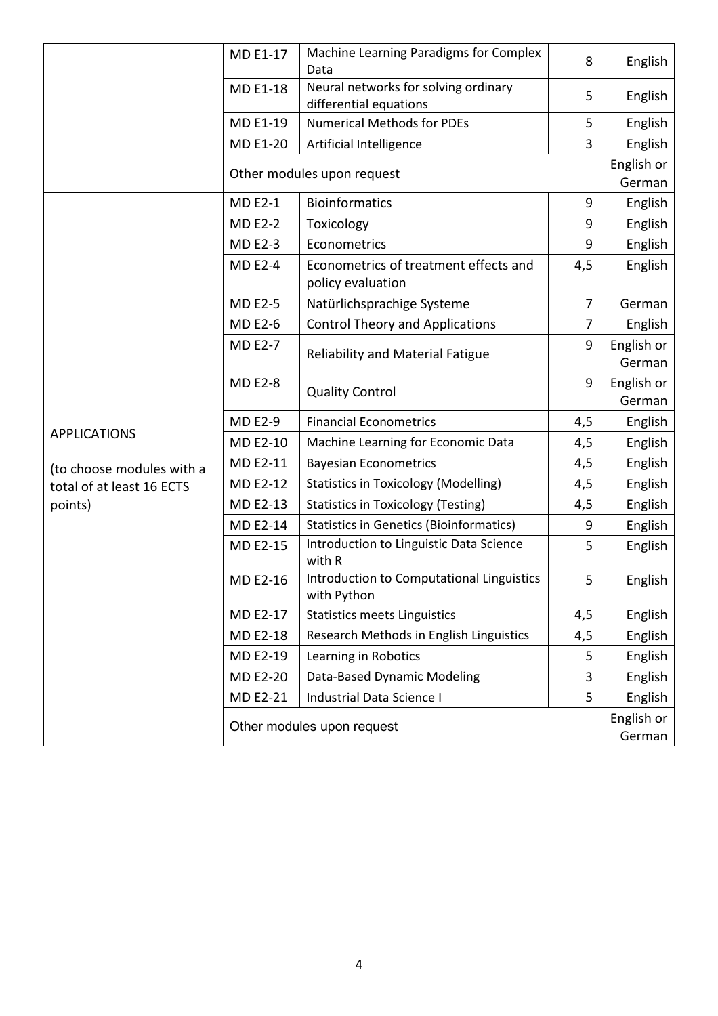|                           | <b>MD E1-17</b> | Machine Learning Paradigms for Complex<br>Data                 | 8              | English              |
|---------------------------|-----------------|----------------------------------------------------------------|----------------|----------------------|
|                           | MD E1-18        | Neural networks for solving ordinary<br>differential equations | 5              | English              |
|                           | MD E1-19        | <b>Numerical Methods for PDEs</b>                              | 5              | English              |
|                           | <b>MD E1-20</b> | Artificial Intelligence                                        | 3              | English              |
|                           |                 | Other modules upon request                                     |                | English or<br>German |
|                           | <b>MD E2-1</b>  | <b>Bioinformatics</b>                                          | 9              | English              |
|                           | <b>MD E2-2</b>  | Toxicology                                                     | 9              | English              |
|                           | <b>MD E2-3</b>  | Econometrics                                                   | 9              | English              |
|                           | <b>MD E2-4</b>  | Econometrics of treatment effects and<br>policy evaluation     | 4,5            | English              |
|                           | <b>MD E2-5</b>  | Natürlichsprachige Systeme                                     | $\overline{7}$ | German               |
|                           | <b>MD E2-6</b>  | <b>Control Theory and Applications</b>                         | 7              | English              |
|                           | <b>MD E2-7</b>  | Reliability and Material Fatigue                               | 9              | English or<br>German |
|                           | <b>MD E2-8</b>  | <b>Quality Control</b>                                         | 9              | English or<br>German |
|                           | <b>MD E2-9</b>  | <b>Financial Econometrics</b>                                  | 4,5            | English              |
| <b>APPLICATIONS</b>       | <b>MD E2-10</b> | Machine Learning for Economic Data                             | 4,5            | English              |
| (to choose modules with a | MD E2-11        | <b>Bayesian Econometrics</b>                                   | 4,5            | English              |
| total of at least 16 ECTS | MD E2-12        | <b>Statistics in Toxicology (Modelling)</b>                    | 4,5            | English              |
| points)                   | MD E2-13        | <b>Statistics in Toxicology (Testing)</b>                      | 4,5            | English              |
|                           | <b>MD E2-14</b> | <b>Statistics in Genetics (Bioinformatics)</b>                 | 9              | English              |
|                           | <b>MD E2-15</b> | Introduction to Linguistic Data Science<br>with R              | 5              | English              |
|                           | <b>MD E2-16</b> | Introduction to Computational Linguistics<br>with Python       | 5              | English              |
|                           | MD E2-17        | <b>Statistics meets Linguistics</b>                            | 4,5            | English              |
|                           | MD E2-18        | Research Methods in English Linguistics                        | 4,5            | English              |
|                           | MD E2-19        | Learning in Robotics                                           | 5              | English              |
|                           | MD E2-20        | Data-Based Dynamic Modeling                                    | 3              | English              |
|                           | <b>MD E2-21</b> | Industrial Data Science I                                      | 5              | English              |
|                           |                 | Other modules upon request                                     |                | English or<br>German |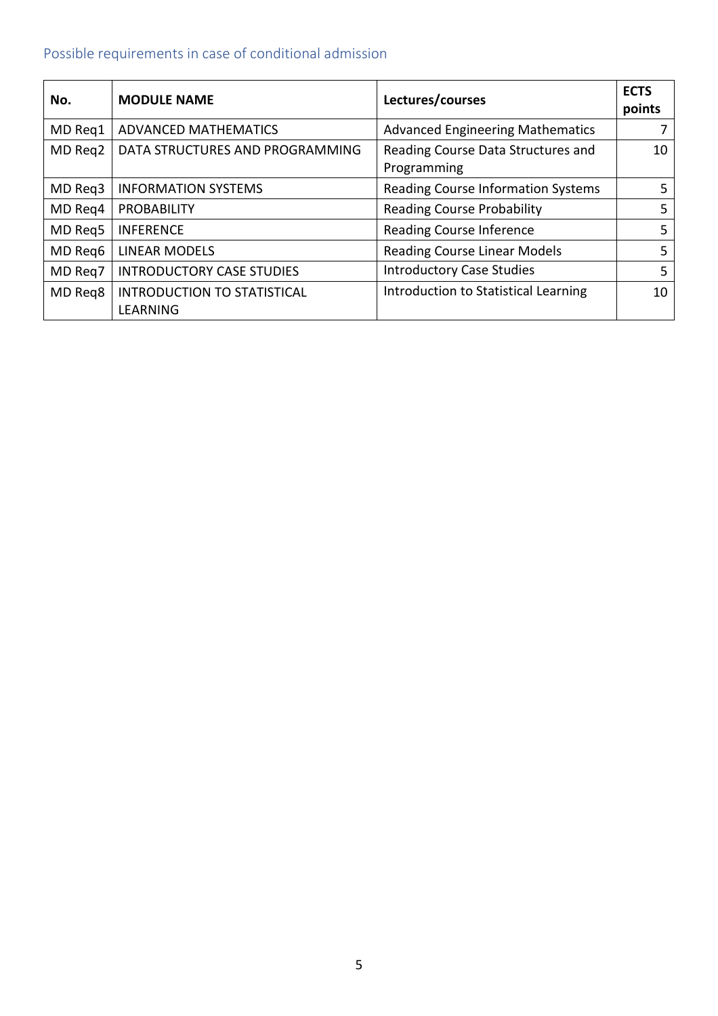# <span id="page-4-0"></span>Possible requirements in case of conditional admission

| No.     | <b>MODULE NAME</b>                             | Lectures/courses                                  | <b>ECTS</b><br>points |
|---------|------------------------------------------------|---------------------------------------------------|-----------------------|
| MD Req1 | ADVANCED MATHEMATICS                           | <b>Advanced Engineering Mathematics</b>           |                       |
| MD Req2 | DATA STRUCTURES AND PROGRAMMING                | Reading Course Data Structures and<br>Programming | 10                    |
| MD Req3 | <b>INFORMATION SYSTEMS</b>                     | Reading Course Information Systems                | 5                     |
| MD Req4 | <b>PROBABILITY</b>                             | <b>Reading Course Probability</b>                 | 5                     |
| MD Reg5 | <b>INFERENCE</b>                               | Reading Course Inference                          | 5                     |
| MD Reg6 | <b>LINEAR MODELS</b>                           | <b>Reading Course Linear Models</b>               | 5                     |
| MD Req7 | <b>INTRODUCTORY CASE STUDIES</b>               | <b>Introductory Case Studies</b>                  | 5                     |
| MD Reg8 | <b>INTRODUCTION TO STATISTICAL</b><br>LEARNING | Introduction to Statistical Learning              | 10                    |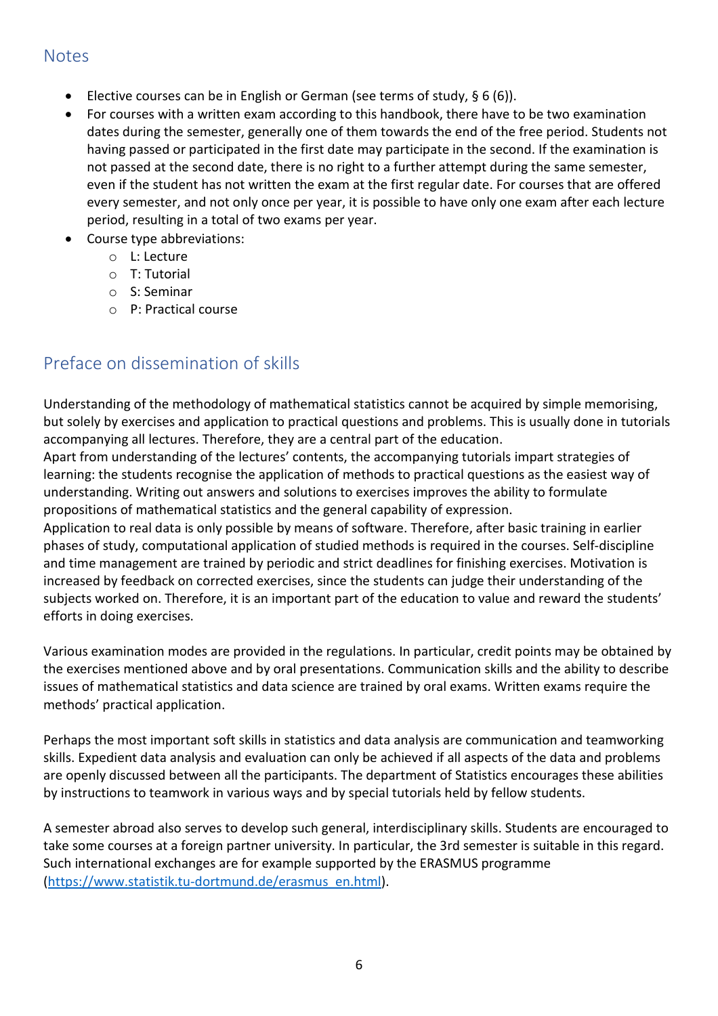#### <span id="page-5-0"></span>**Notes**

- Elective courses can be in English or German (see terms of study, § 6 (6)).
- For courses with a written exam according to this handbook, there have to be two examination dates during the semester, generally one of them towards the end of the free period. Students not having passed or participated in the first date may participate in the second. If the examination is not passed at the second date, there is no right to a further attempt during the same semester, even if the student has not written the exam at the first regular date. For courses that are offered every semester, and not only once per year, it is possible to have only one exam after each lecture period, resulting in a total of two exams per year.
- Course type abbreviations:
	- o L: Lecture
	- o T: Tutorial
	- o S: Seminar
	- o P: Practical course

## <span id="page-5-1"></span>Preface on dissemination of skills

Understanding of the methodology of mathematical statistics cannot be acquired by simple memorising, but solely by exercises and application to practical questions and problems. This is usually done in tutorials accompanying all lectures. Therefore, they are a central part of the education.

Apart from understanding of the lectures' contents, the accompanying tutorials impart strategies of learning: the students recognise the application of methods to practical questions as the easiest way of understanding. Writing out answers and solutions to exercises improves the ability to formulate propositions of mathematical statistics and the general capability of expression.

Application to real data is only possible by means of software. Therefore, after basic training in earlier phases of study, computational application of studied methods is required in the courses. Self-discipline and time management are trained by periodic and strict deadlines for finishing exercises. Motivation is increased by feedback on corrected exercises, since the students can judge their understanding of the subjects worked on. Therefore, it is an important part of the education to value and reward the students' efforts in doing exercises.

Various examination modes are provided in the regulations. In particular, credit points may be obtained by the exercises mentioned above and by oral presentations. Communication skills and the ability to describe issues of mathematical statistics and data science are trained by oral exams. Written exams require the methods' practical application.

Perhaps the most important soft skills in statistics and data analysis are communication and teamworking skills. Expedient data analysis and evaluation can only be achieved if all aspects of the data and problems are openly discussed between all the participants. The department of Statistics encourages these abilities by instructions to teamwork in various ways and by special tutorials held by fellow students.

A semester abroad also serves to develop such general, interdisciplinary skills. Students are encouraged to take some courses at a foreign partner university. In particular, the 3rd semester is suitable in this regard. Such international exchanges are for example supported by the ERASMUS programme [\(https://www.statistik.tu-dortmund.de/erasmus\\_en.html\)](https://www.statistik.tu-dortmund.de/erasmus_en.html).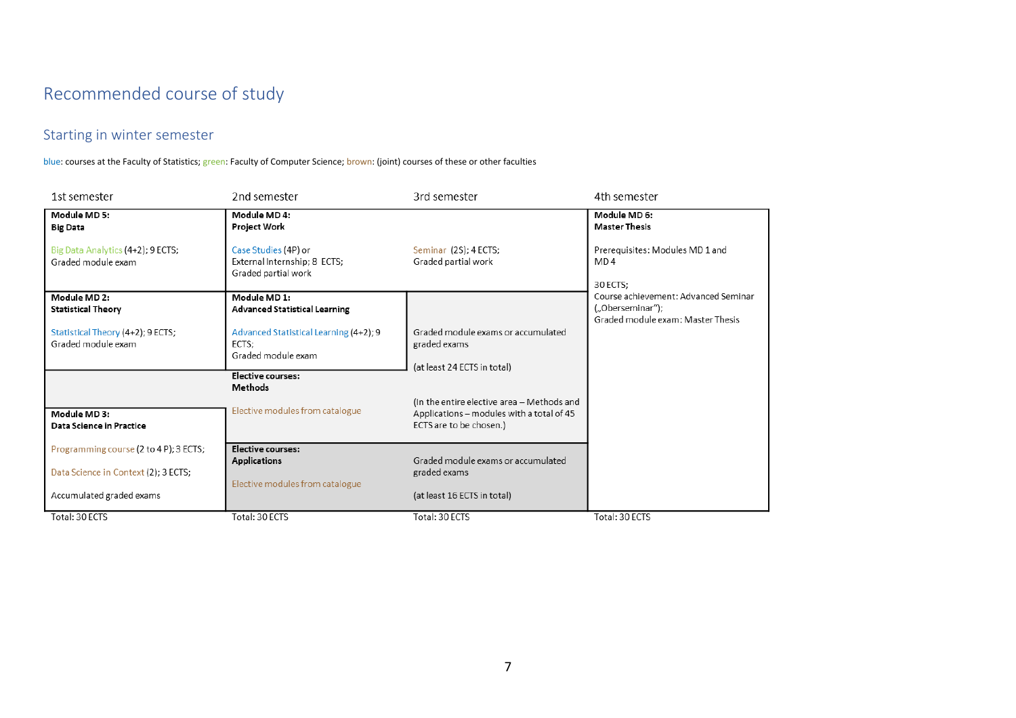# Recommended course of study

### Starting in winter semester

blue: courses at the Faculty of Statistics; green: Faculty of Computer Science; brown: (joint) courses of these or other faculties

<span id="page-6-1"></span><span id="page-6-0"></span>

| 1st semester                                            | 2nd semester                                                                | 3rd semester                                                                                                       | 4th semester                                                                                  |
|---------------------------------------------------------|-----------------------------------------------------------------------------|--------------------------------------------------------------------------------------------------------------------|-----------------------------------------------------------------------------------------------|
| Module MD 5:<br><b>Big Data</b>                         | Module MD 4:<br>Project Work                                                |                                                                                                                    | Module MD 6:<br><b>Master Thesis</b>                                                          |
| Big Data Analytics (4+2); 9 ECTS;<br>Graded module exam | Case Studies (4P) or<br>External Internship; 8 ECTS;<br>Graded partial work | Seminar (2S); 4 ECTS;<br>Graded partial work                                                                       | Prerequisites: Modules MD 1 and<br>MD4<br>30 ECTS:                                            |
| Module MD 2:<br><b>Statistical Theory</b>               | Module MD 1:<br><b>Advanced Statistical Learning</b>                        |                                                                                                                    | Course achievement: Advanced Seminar<br>("Oberseminar");<br>Graded module exam: Master Thesis |
| Statistical Theory (4+2); 9 ECTS;<br>Graded module exam | Advanced Statistical Learning (4+2); 9<br>ECTS:<br>Graded module exam       | Graded module exams or accumulated<br>graded exams<br>(at least 24 ECTS in total)                                  |                                                                                               |
|                                                         | Elective courses:<br><b>Methods</b>                                         |                                                                                                                    |                                                                                               |
| Module MD 3:<br>Data Science in Practice                | Elective modules from catalogue                                             | (In the entire elective area - Methods and<br>Applications - modules with a total of 45<br>ECTS are to be chosen.) |                                                                                               |
| Programming course (2 to 4 P); 3 ECTS;                  | Elective courses:<br><b>Applications</b>                                    | Graded module exams or accumulated                                                                                 |                                                                                               |
| Data Science in Context (2); 3 ECTS;                    | Elective modules from catalogue                                             | graded exams                                                                                                       |                                                                                               |
| Accumulated graded exams                                |                                                                             | (at least 16 ECTS in total)                                                                                        |                                                                                               |
| Total: 30 ECTS                                          | Total: 30 ECTS                                                              | Total: 30 ECTS                                                                                                     | Total: 30 ECTS                                                                                |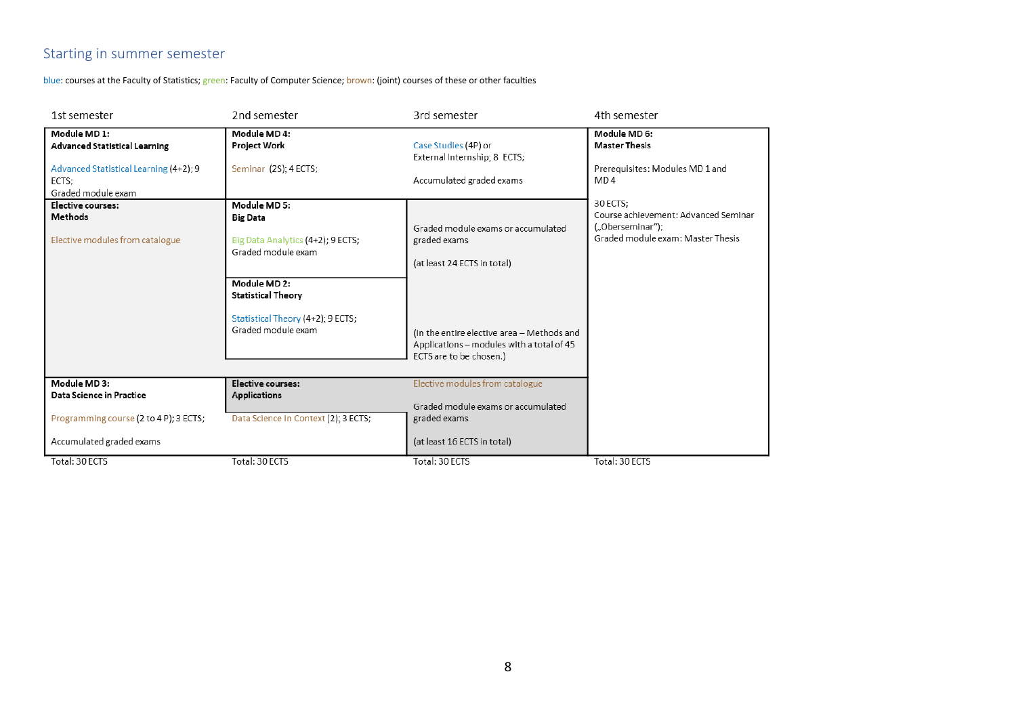### Starting in summer semester

blue: courses at the Faculty of Statistics; green: Faculty of Computer Science; brown: (joint) courses of these or other faculties

<span id="page-7-0"></span>

| 1st semester                                                                                                                  | 2nd semester                                                                                         | 3rd semester                                                                                                         | 4th semester                                                                                              |
|-------------------------------------------------------------------------------------------------------------------------------|------------------------------------------------------------------------------------------------------|----------------------------------------------------------------------------------------------------------------------|-----------------------------------------------------------------------------------------------------------|
| Module MD 1:<br><b>Advanced Statistical Learning</b><br>Advanced Statistical Learning (4+2); 9<br>ECTS;<br>Graded module exam | Module MD4:<br>Project Work<br>Seminar (2S); 4 ECTS;                                                 | Case Studies (4P) or<br>External Internship; 8 ECTS;<br>Accumulated graded exams                                     | Module MD 6:<br><b>Master Thesis</b><br>Prerequisites: Modules MD 1 and<br>MD <sub>4</sub>                |
| Elective courses:<br>Methods<br>Elective modules from catalogue                                                               | Module MD 5:<br><b>Big Data</b><br>Big Data Analytics (4+2); 9 ECTS;<br>Graded module exam           | Graded module exams or accumulated<br>graded exams<br>(at least 24 ECTS in total)                                    | 30 ECTS;<br>Course achievement: Advanced Seminar<br>("Oberseminar");<br>Graded module exam: Master Thesis |
|                                                                                                                               | Module MD 2:<br><b>Statistical Theory</b><br>Statistical Theory (4+2); 9 ECTS;<br>Graded module exam | (In the entire elective area - Methods and<br>Applications - modules with a total of 45<br>ECTS are to be chosen.)   |                                                                                                           |
| Module MD3:<br>Data Science in Practice<br>Programming course (2 to 4 P); 3 ECTS;<br>Accumulated graded exams                 | Elective courses:<br><b>Applications</b><br>Data Science in Context (2); 3 ECTS;                     | Elective modules from catalogue<br>Graded module exams or accumulated<br>graded exams<br>(at least 16 ECTS in total) |                                                                                                           |
| Total: 30 ECTS                                                                                                                | Total: 30 ECTS                                                                                       | Total: 30 ECTS                                                                                                       | Total: 30 ECTS                                                                                            |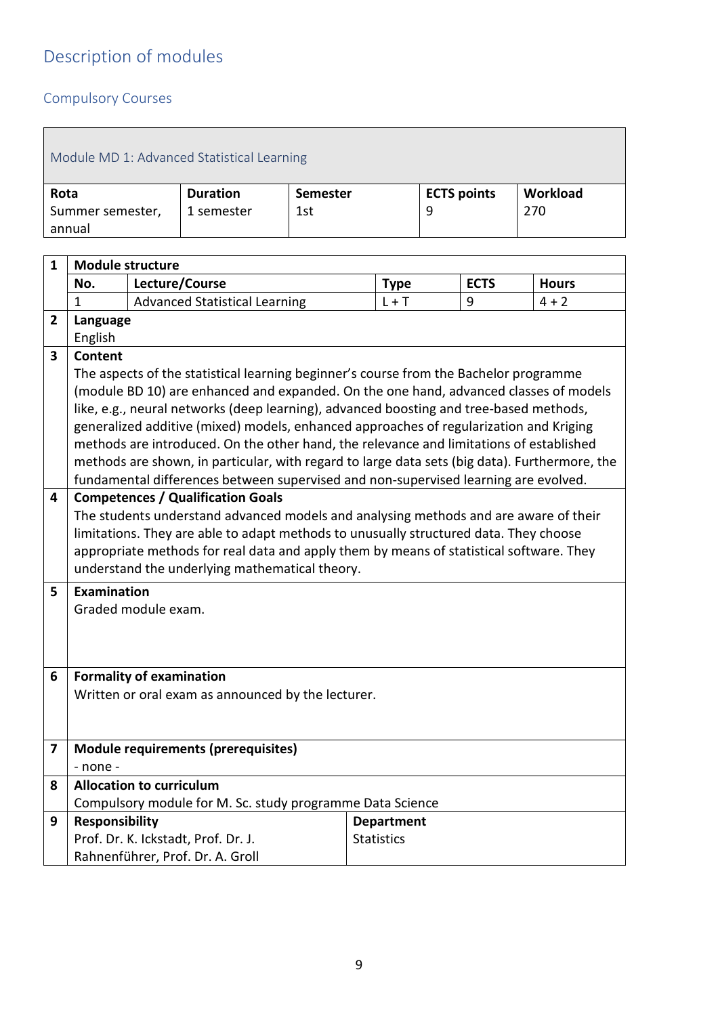# <span id="page-8-0"></span>Description of modules

# <span id="page-8-1"></span>Compulsory Courses

<span id="page-8-2"></span>

| Module MD 1: Advanced Statistical Learning |                 |          |                    |          |  |  |  |
|--------------------------------------------|-----------------|----------|--------------------|----------|--|--|--|
| Rota                                       | <b>Duration</b> | Semester | <b>ECTS points</b> | Workload |  |  |  |
| Summer semester,                           | 1 semester      | 1st      | 9                  | 270      |  |  |  |
| annual                                     |                 |          |                    |          |  |  |  |

| $\mathbf{1}$ | <b>Module structure</b>          |                                                                                                                                  |                                        |             |              |  |  |
|--------------|----------------------------------|----------------------------------------------------------------------------------------------------------------------------------|----------------------------------------|-------------|--------------|--|--|
|              | No.                              | Lecture/Course                                                                                                                   | <b>Type</b>                            | <b>ECTS</b> | <b>Hours</b> |  |  |
|              | $\mathbf{1}$                     | <b>Advanced Statistical Learning</b>                                                                                             | $L + T$                                | 9           | $4 + 2$      |  |  |
| 2            | Language                         |                                                                                                                                  |                                        |             |              |  |  |
|              | English                          |                                                                                                                                  |                                        |             |              |  |  |
| 3            | <b>Content</b>                   |                                                                                                                                  |                                        |             |              |  |  |
|              |                                  | The aspects of the statistical learning beginner's course from the Bachelor programme                                            |                                        |             |              |  |  |
|              |                                  | (module BD 10) are enhanced and expanded. On the one hand, advanced classes of models                                            |                                        |             |              |  |  |
|              |                                  | like, e.g., neural networks (deep learning), advanced boosting and tree-based methods,                                           |                                        |             |              |  |  |
|              |                                  | generalized additive (mixed) models, enhanced approaches of regularization and Kriging                                           |                                        |             |              |  |  |
|              |                                  | methods are introduced. On the other hand, the relevance and limitations of established                                          |                                        |             |              |  |  |
|              |                                  | methods are shown, in particular, with regard to large data sets (big data). Furthermore, the                                    |                                        |             |              |  |  |
|              |                                  | fundamental differences between supervised and non-supervised learning are evolved.                                              |                                        |             |              |  |  |
| 4            |                                  | <b>Competences / Qualification Goals</b><br>The students understand advanced models and analysing methods and are aware of their |                                        |             |              |  |  |
|              |                                  | limitations. They are able to adapt methods to unusually structured data. They choose                                            |                                        |             |              |  |  |
|              |                                  | appropriate methods for real data and apply them by means of statistical software. They                                          |                                        |             |              |  |  |
|              |                                  | understand the underlying mathematical theory.                                                                                   |                                        |             |              |  |  |
| 5            | Examination                      |                                                                                                                                  |                                        |             |              |  |  |
|              |                                  | Graded module exam.                                                                                                              |                                        |             |              |  |  |
|              |                                  |                                                                                                                                  |                                        |             |              |  |  |
|              |                                  |                                                                                                                                  |                                        |             |              |  |  |
|              |                                  |                                                                                                                                  |                                        |             |              |  |  |
| 6            |                                  | <b>Formality of examination</b>                                                                                                  |                                        |             |              |  |  |
|              |                                  | Written or oral exam as announced by the lecturer.                                                                               |                                        |             |              |  |  |
|              |                                  |                                                                                                                                  |                                        |             |              |  |  |
|              |                                  |                                                                                                                                  |                                        |             |              |  |  |
| 7            |                                  | <b>Module requirements (prerequisites)</b>                                                                                       |                                        |             |              |  |  |
|              | - none -                         |                                                                                                                                  |                                        |             |              |  |  |
| 8            |                                  | <b>Allocation to curriculum</b>                                                                                                  |                                        |             |              |  |  |
|              |                                  | Compulsory module for M. Sc. study programme Data Science                                                                        |                                        |             |              |  |  |
| 9            | <b>Responsibility</b>            | Prof. Dr. K. Ickstadt, Prof. Dr. J.                                                                                              | <b>Department</b><br><b>Statistics</b> |             |              |  |  |
|              |                                  |                                                                                                                                  |                                        |             |              |  |  |
|              | Rahnenführer, Prof. Dr. A. Groll |                                                                                                                                  |                                        |             |              |  |  |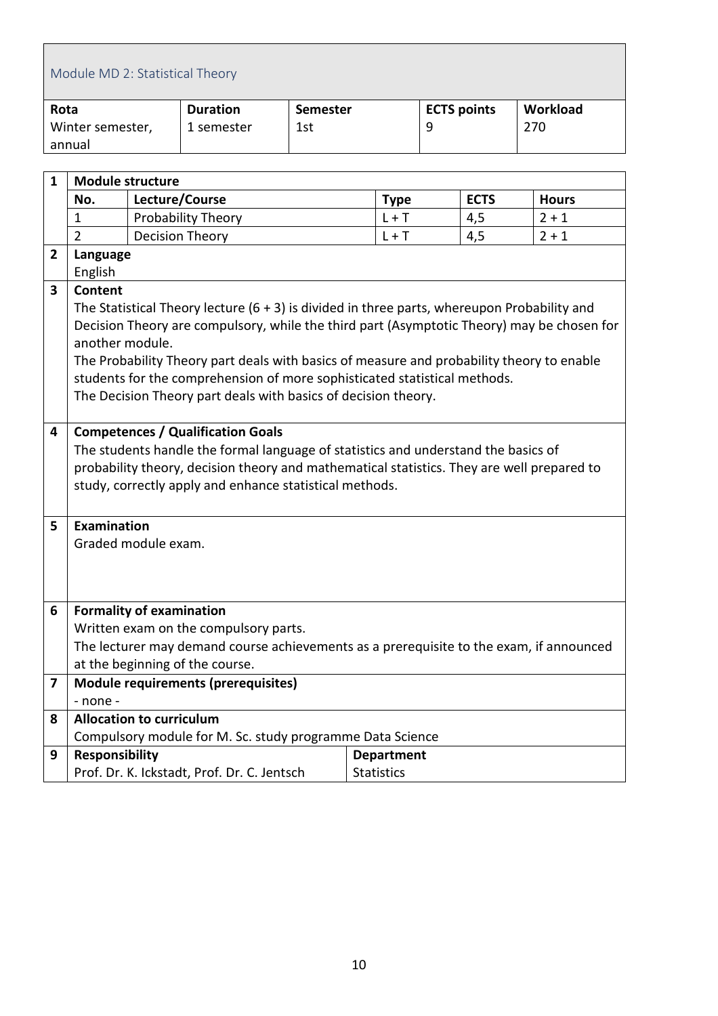<span id="page-9-0"></span>

| Module MD 2: Statistical Theory |                 |                 |                    |          |  |  |  |
|---------------------------------|-----------------|-----------------|--------------------|----------|--|--|--|
| Rota                            | <b>Duration</b> | <b>Semester</b> | <b>ECTS points</b> | Workload |  |  |  |
| Winter semester,                | 1 semester      | 1st             | 9                  | 270      |  |  |  |
| annual                          |                 |                 |                    |          |  |  |  |

| $\mathbf{1}$            | <b>Module structure</b> |                                                                                                                                                                                                                                                                                         |                                        |             |              |  |
|-------------------------|-------------------------|-----------------------------------------------------------------------------------------------------------------------------------------------------------------------------------------------------------------------------------------------------------------------------------------|----------------------------------------|-------------|--------------|--|
|                         | No.                     | Lecture/Course                                                                                                                                                                                                                                                                          | <b>Type</b>                            | <b>ECTS</b> | <b>Hours</b> |  |
|                         | $\mathbf{1}$            | Probability Theory                                                                                                                                                                                                                                                                      | $L + T$                                | 4,5         | $2 + 1$      |  |
|                         | $\overline{2}$          | <b>Decision Theory</b>                                                                                                                                                                                                                                                                  | $L + T$                                | 4,5         | $2 + 1$      |  |
| 2                       | Language                |                                                                                                                                                                                                                                                                                         |                                        |             |              |  |
|                         | English                 |                                                                                                                                                                                                                                                                                         |                                        |             |              |  |
| 3                       | Content                 |                                                                                                                                                                                                                                                                                         |                                        |             |              |  |
|                         |                         | The Statistical Theory lecture $(6 + 3)$ is divided in three parts, whereupon Probability and                                                                                                                                                                                           |                                        |             |              |  |
|                         | another module.         | Decision Theory are compulsory, while the third part (Asymptotic Theory) may be chosen for                                                                                                                                                                                              |                                        |             |              |  |
|                         |                         | The Probability Theory part deals with basics of measure and probability theory to enable                                                                                                                                                                                               |                                        |             |              |  |
|                         |                         | students for the comprehension of more sophisticated statistical methods.                                                                                                                                                                                                               |                                        |             |              |  |
|                         |                         | The Decision Theory part deals with basics of decision theory.                                                                                                                                                                                                                          |                                        |             |              |  |
|                         |                         |                                                                                                                                                                                                                                                                                         |                                        |             |              |  |
|                         |                         | <b>Competences / Qualification Goals</b><br>The students handle the formal language of statistics and understand the basics of<br>probability theory, decision theory and mathematical statistics. They are well prepared to<br>study, correctly apply and enhance statistical methods. |                                        |             |              |  |
| 5.                      | Examination             |                                                                                                                                                                                                                                                                                         |                                        |             |              |  |
|                         |                         | Graded module exam.                                                                                                                                                                                                                                                                     |                                        |             |              |  |
|                         |                         |                                                                                                                                                                                                                                                                                         |                                        |             |              |  |
|                         |                         |                                                                                                                                                                                                                                                                                         |                                        |             |              |  |
| 6                       |                         | <b>Formality of examination</b>                                                                                                                                                                                                                                                         |                                        |             |              |  |
|                         |                         | Written exam on the compulsory parts.                                                                                                                                                                                                                                                   |                                        |             |              |  |
|                         |                         | The lecturer may demand course achievements as a prerequisite to the exam, if announced                                                                                                                                                                                                 |                                        |             |              |  |
|                         |                         | at the beginning of the course.                                                                                                                                                                                                                                                         |                                        |             |              |  |
| $\overline{\mathbf{z}}$ |                         | Module requirements (prerequisites)                                                                                                                                                                                                                                                     |                                        |             |              |  |
|                         | - none -                |                                                                                                                                                                                                                                                                                         |                                        |             |              |  |
| 8                       |                         | <b>Allocation to curriculum</b>                                                                                                                                                                                                                                                         |                                        |             |              |  |
| 9                       |                         | Compulsory module for M. Sc. study programme Data Science                                                                                                                                                                                                                               |                                        |             |              |  |
|                         | <b>Responsibility</b>   | Prof. Dr. K. Ickstadt, Prof. Dr. C. Jentsch                                                                                                                                                                                                                                             | <b>Department</b><br><b>Statistics</b> |             |              |  |
|                         |                         |                                                                                                                                                                                                                                                                                         |                                        |             |              |  |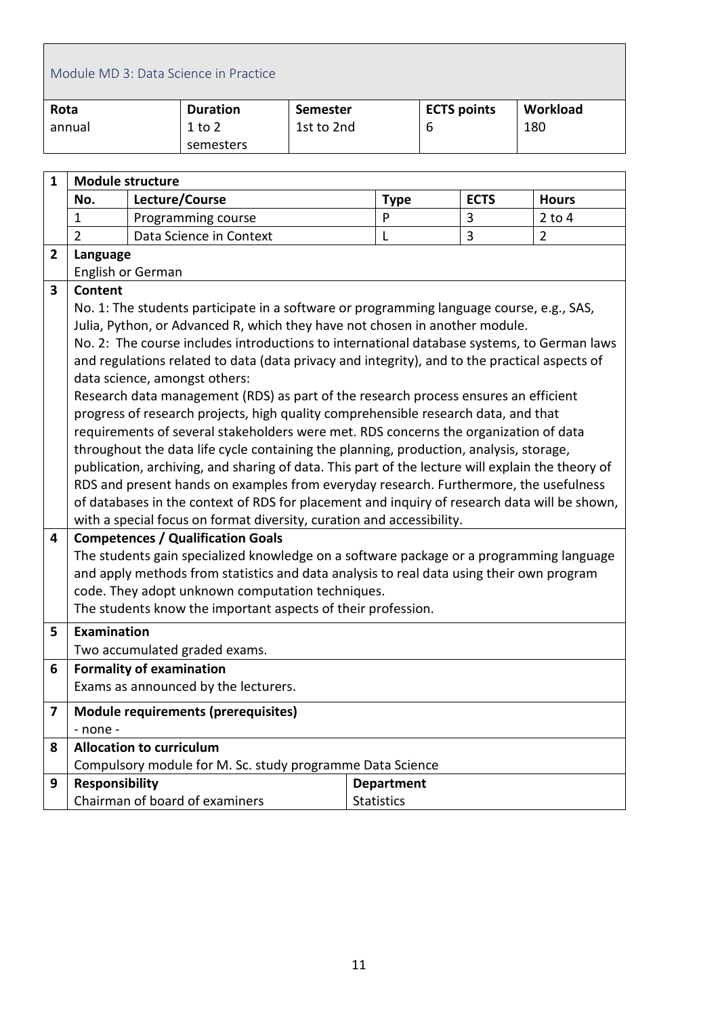<span id="page-10-0"></span>

|                | Module MD 3: Data Science in Practice |  |                                                                                                                                                                           |                 |                   |   |                    |                |  |
|----------------|---------------------------------------|--|---------------------------------------------------------------------------------------------------------------------------------------------------------------------------|-----------------|-------------------|---|--------------------|----------------|--|
| Rota           |                                       |  | <b>Duration</b>                                                                                                                                                           | <b>Semester</b> |                   |   | <b>ECTS points</b> | Workload       |  |
|                | annual                                |  | $1$ to $2$                                                                                                                                                                | 1st to 2nd      |                   | 6 |                    | 180            |  |
|                |                                       |  | semesters                                                                                                                                                                 |                 |                   |   |                    |                |  |
|                |                                       |  |                                                                                                                                                                           |                 |                   |   |                    |                |  |
| $\mathbf{1}$   | <b>Module structure</b>               |  |                                                                                                                                                                           |                 |                   |   |                    |                |  |
|                | No.                                   |  | Lecture/Course                                                                                                                                                            |                 | <b>Type</b>       |   | <b>ECTS</b>        | <b>Hours</b>   |  |
|                | 1                                     |  | Programming course                                                                                                                                                        |                 | P                 |   | 3                  | $2$ to $4$     |  |
|                | $\overline{2}$                        |  | Data Science in Context                                                                                                                                                   |                 | L                 |   | $\overline{3}$     | $\overline{2}$ |  |
| $\overline{2}$ | Language                              |  |                                                                                                                                                                           |                 |                   |   |                    |                |  |
|                | English or German                     |  |                                                                                                                                                                           |                 |                   |   |                    |                |  |
| 3              | <b>Content</b>                        |  |                                                                                                                                                                           |                 |                   |   |                    |                |  |
|                |                                       |  | No. 1: The students participate in a software or programming language course, e.g., SAS,                                                                                  |                 |                   |   |                    |                |  |
|                |                                       |  | Julia, Python, or Advanced R, which they have not chosen in another module.<br>No. 2: The course includes introductions to international database systems, to German laws |                 |                   |   |                    |                |  |
|                |                                       |  | and regulations related to data (data privacy and integrity), and to the practical aspects of                                                                             |                 |                   |   |                    |                |  |
|                |                                       |  | data science, amongst others:                                                                                                                                             |                 |                   |   |                    |                |  |
|                |                                       |  | Research data management (RDS) as part of the research process ensures an efficient                                                                                       |                 |                   |   |                    |                |  |
|                |                                       |  | progress of research projects, high quality comprehensible research data, and that                                                                                        |                 |                   |   |                    |                |  |
|                |                                       |  | requirements of several stakeholders were met. RDS concerns the organization of data                                                                                      |                 |                   |   |                    |                |  |
|                |                                       |  | throughout the data life cycle containing the planning, production, analysis, storage,                                                                                    |                 |                   |   |                    |                |  |
|                |                                       |  | publication, archiving, and sharing of data. This part of the lecture will explain the theory of                                                                          |                 |                   |   |                    |                |  |
|                |                                       |  | RDS and present hands on examples from everyday research. Furthermore, the usefulness                                                                                     |                 |                   |   |                    |                |  |
|                |                                       |  | of databases in the context of RDS for placement and inquiry of research data will be shown,                                                                              |                 |                   |   |                    |                |  |
|                |                                       |  | with a special focus on format diversity, curation and accessibility.                                                                                                     |                 |                   |   |                    |                |  |
| 4              |                                       |  | <b>Competences / Qualification Goals</b>                                                                                                                                  |                 |                   |   |                    |                |  |
|                |                                       |  | The students gain specialized knowledge on a software package or a programming language                                                                                   |                 |                   |   |                    |                |  |
|                |                                       |  | and apply methods from statistics and data analysis to real data using their own program                                                                                  |                 |                   |   |                    |                |  |
|                |                                       |  | code. They adopt unknown computation techniques.                                                                                                                          |                 |                   |   |                    |                |  |
|                |                                       |  | The students know the important aspects of their profession.                                                                                                              |                 |                   |   |                    |                |  |
| 5              | Examination                           |  |                                                                                                                                                                           |                 |                   |   |                    |                |  |
|                |                                       |  | Two accumulated graded exams.                                                                                                                                             |                 |                   |   |                    |                |  |
| 6              | <b>Formality of examination</b>       |  |                                                                                                                                                                           |                 |                   |   |                    |                |  |
|                |                                       |  | Exams as announced by the lecturers.                                                                                                                                      |                 |                   |   |                    |                |  |
| 7              |                                       |  | <b>Module requirements (prerequisites)</b>                                                                                                                                |                 |                   |   |                    |                |  |
|                | - none -                              |  |                                                                                                                                                                           |                 |                   |   |                    |                |  |
| 8              | <b>Allocation to curriculum</b>       |  |                                                                                                                                                                           |                 |                   |   |                    |                |  |
|                |                                       |  | Compulsory module for M. Sc. study programme Data Science                                                                                                                 |                 |                   |   |                    |                |  |
| 9              | <b>Responsibility</b>                 |  |                                                                                                                                                                           |                 | <b>Department</b> |   |                    |                |  |
|                |                                       |  | Chairman of board of examiners                                                                                                                                            |                 | <b>Statistics</b> |   |                    |                |  |

 $\mathbf{r}$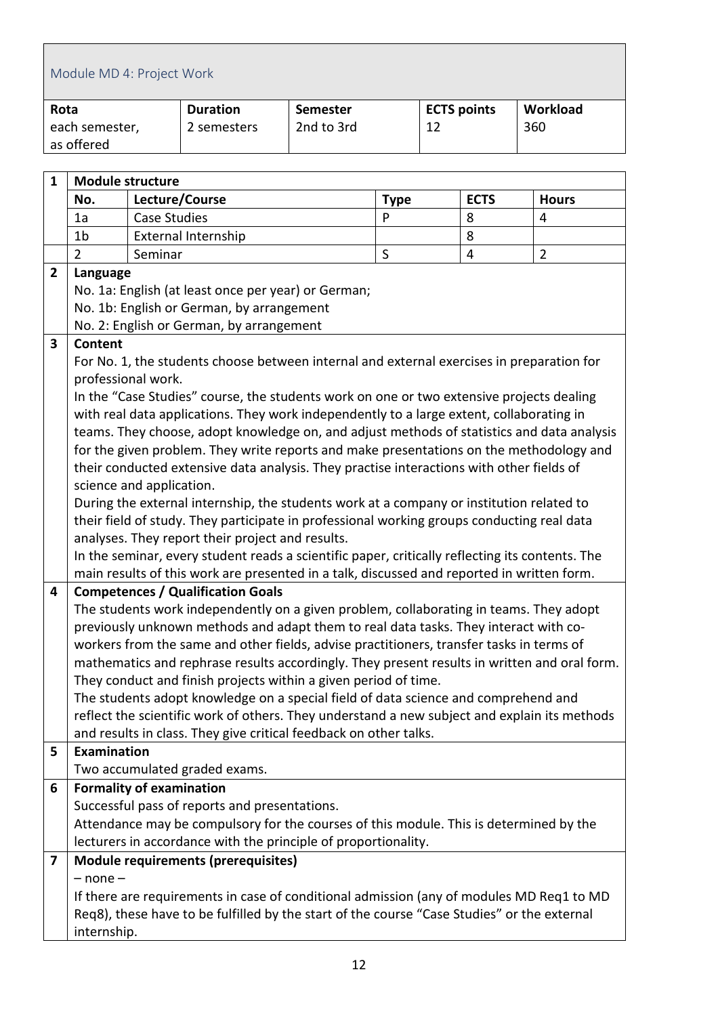<span id="page-11-0"></span>

|              | Module MD 4: Project Work                                                                                  |                     |                                                                                                 |                 |             |    |                    |  |                |  |
|--------------|------------------------------------------------------------------------------------------------------------|---------------------|-------------------------------------------------------------------------------------------------|-----------------|-------------|----|--------------------|--|----------------|--|
| Rota         |                                                                                                            |                     | <b>Duration</b>                                                                                 | <b>Semester</b> |             |    | <b>ECTS points</b> |  | Workload       |  |
|              | each semester,                                                                                             |                     | 2 semesters                                                                                     | 2nd to 3rd      |             | 12 |                    |  | 360            |  |
|              | as offered                                                                                                 |                     |                                                                                                 |                 |             |    |                    |  |                |  |
|              |                                                                                                            |                     |                                                                                                 |                 |             |    |                    |  |                |  |
| 1            | <b>Module structure</b>                                                                                    |                     |                                                                                                 |                 |             |    |                    |  |                |  |
|              | No.                                                                                                        |                     | Lecture/Course                                                                                  |                 | <b>Type</b> |    | <b>ECTS</b>        |  | <b>Hours</b>   |  |
|              | 1a                                                                                                         | <b>Case Studies</b> |                                                                                                 |                 | P           |    | 8                  |  | 4              |  |
|              | 1 <sub>b</sub>                                                                                             |                     | <b>External Internship</b>                                                                      |                 |             |    | 8                  |  |                |  |
|              | $\overline{2}$                                                                                             | Seminar             |                                                                                                 |                 | $\mathsf S$ |    | $\overline{4}$     |  | $\overline{2}$ |  |
| $\mathbf{2}$ | Language                                                                                                   |                     |                                                                                                 |                 |             |    |                    |  |                |  |
|              |                                                                                                            |                     | No. 1a: English (at least once per year) or German;                                             |                 |             |    |                    |  |                |  |
|              |                                                                                                            |                     | No. 1b: English or German, by arrangement                                                       |                 |             |    |                    |  |                |  |
|              |                                                                                                            |                     | No. 2: English or German, by arrangement                                                        |                 |             |    |                    |  |                |  |
| 3            | Content                                                                                                    |                     |                                                                                                 |                 |             |    |                    |  |                |  |
|              |                                                                                                            |                     | For No. 1, the students choose between internal and external exercises in preparation for       |                 |             |    |                    |  |                |  |
|              | professional work.                                                                                         |                     |                                                                                                 |                 |             |    |                    |  |                |  |
|              |                                                                                                            |                     | In the "Case Studies" course, the students work on one or two extensive projects dealing        |                 |             |    |                    |  |                |  |
|              |                                                                                                            |                     | with real data applications. They work independently to a large extent, collaborating in        |                 |             |    |                    |  |                |  |
|              |                                                                                                            |                     | teams. They choose, adopt knowledge on, and adjust methods of statistics and data analysis      |                 |             |    |                    |  |                |  |
|              |                                                                                                            |                     | for the given problem. They write reports and make presentations on the methodology and         |                 |             |    |                    |  |                |  |
|              | science and application.                                                                                   |                     | their conducted extensive data analysis. They practise interactions with other fields of        |                 |             |    |                    |  |                |  |
|              |                                                                                                            |                     | During the external internship, the students work at a company or institution related to        |                 |             |    |                    |  |                |  |
|              |                                                                                                            |                     | their field of study. They participate in professional working groups conducting real data      |                 |             |    |                    |  |                |  |
|              |                                                                                                            |                     | analyses. They report their project and results.                                                |                 |             |    |                    |  |                |  |
|              |                                                                                                            |                     | In the seminar, every student reads a scientific paper, critically reflecting its contents. The |                 |             |    |                    |  |                |  |
|              |                                                                                                            |                     | main results of this work are presented in a talk, discussed and reported in written form.      |                 |             |    |                    |  |                |  |
| 4            |                                                                                                            |                     | <b>Competences / Qualification Goals</b>                                                        |                 |             |    |                    |  |                |  |
|              |                                                                                                            |                     | The students work independently on a given problem, collaborating in teams. They adopt          |                 |             |    |                    |  |                |  |
|              |                                                                                                            |                     | previously unknown methods and adapt them to real data tasks. They interact with co-            |                 |             |    |                    |  |                |  |
|              |                                                                                                            |                     | workers from the same and other fields, advise practitioners, transfer tasks in terms of        |                 |             |    |                    |  |                |  |
|              |                                                                                                            |                     | mathematics and rephrase results accordingly. They present results in written and oral form.    |                 |             |    |                    |  |                |  |
|              |                                                                                                            |                     | They conduct and finish projects within a given period of time.                                 |                 |             |    |                    |  |                |  |
|              |                                                                                                            |                     | The students adopt knowledge on a special field of data science and comprehend and              |                 |             |    |                    |  |                |  |
|              |                                                                                                            |                     | reflect the scientific work of others. They understand a new subject and explain its methods    |                 |             |    |                    |  |                |  |
|              |                                                                                                            |                     | and results in class. They give critical feedback on other talks.                               |                 |             |    |                    |  |                |  |
| 5            | <b>Examination</b>                                                                                         |                     |                                                                                                 |                 |             |    |                    |  |                |  |
|              |                                                                                                            |                     | Two accumulated graded exams.                                                                   |                 |             |    |                    |  |                |  |
| 6            | <b>Formality of examination</b>                                                                            |                     | Successful pass of reports and presentations.                                                   |                 |             |    |                    |  |                |  |
|              |                                                                                                            |                     | Attendance may be compulsory for the courses of this module. This is determined by the          |                 |             |    |                    |  |                |  |
|              |                                                                                                            |                     | lecturers in accordance with the principle of proportionality.                                  |                 |             |    |                    |  |                |  |
| 7            |                                                                                                            |                     | Module requirements (prerequisites)                                                             |                 |             |    |                    |  |                |  |
|              | $-$ none $-$                                                                                               |                     |                                                                                                 |                 |             |    |                    |  |                |  |
|              |                                                                                                            |                     | If there are requirements in case of conditional admission (any of modules MD Req1 to MD        |                 |             |    |                    |  |                |  |
|              |                                                                                                            |                     |                                                                                                 |                 |             |    |                    |  |                |  |
|              | Req8), these have to be fulfilled by the start of the course "Case Studies" or the external<br>internship. |                     |                                                                                                 |                 |             |    |                    |  |                |  |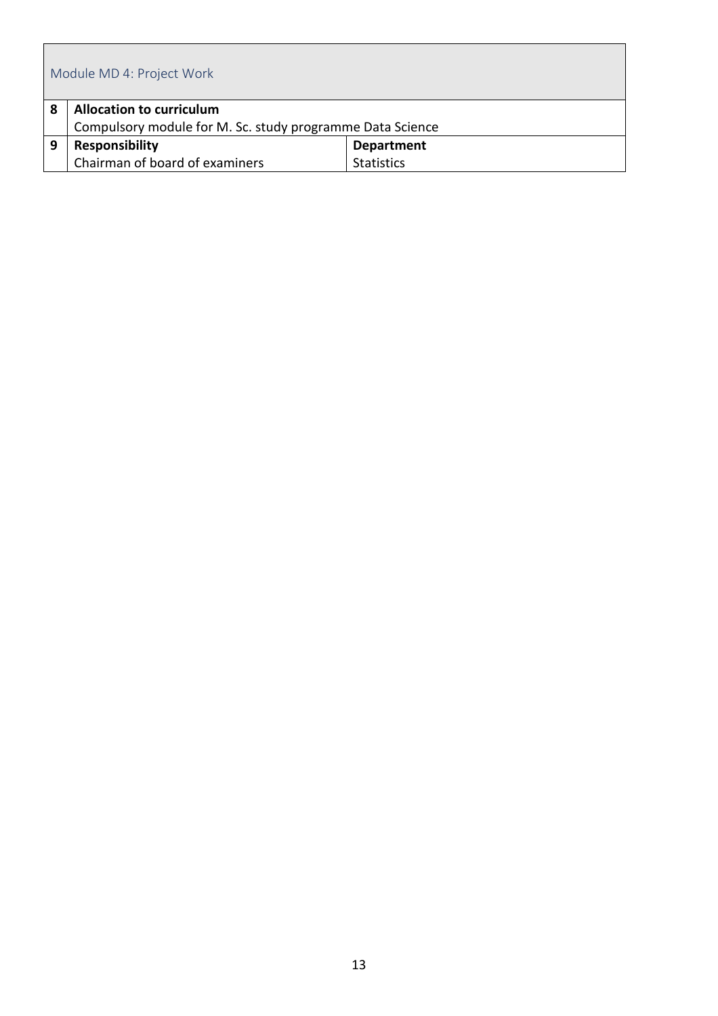|   | Module MD 4: Project Work                                                                    |  |  |  |  |  |
|---|----------------------------------------------------------------------------------------------|--|--|--|--|--|
| 8 | <b>Allocation to curriculum</b><br>Compulsory module for M. Sc. study programme Data Science |  |  |  |  |  |
| 9 | <b>Responsibility</b><br><b>Department</b>                                                   |  |  |  |  |  |
|   | Chairman of board of examiners<br><b>Statistics</b>                                          |  |  |  |  |  |

ľ

 $\overline{\mathbf{u}}$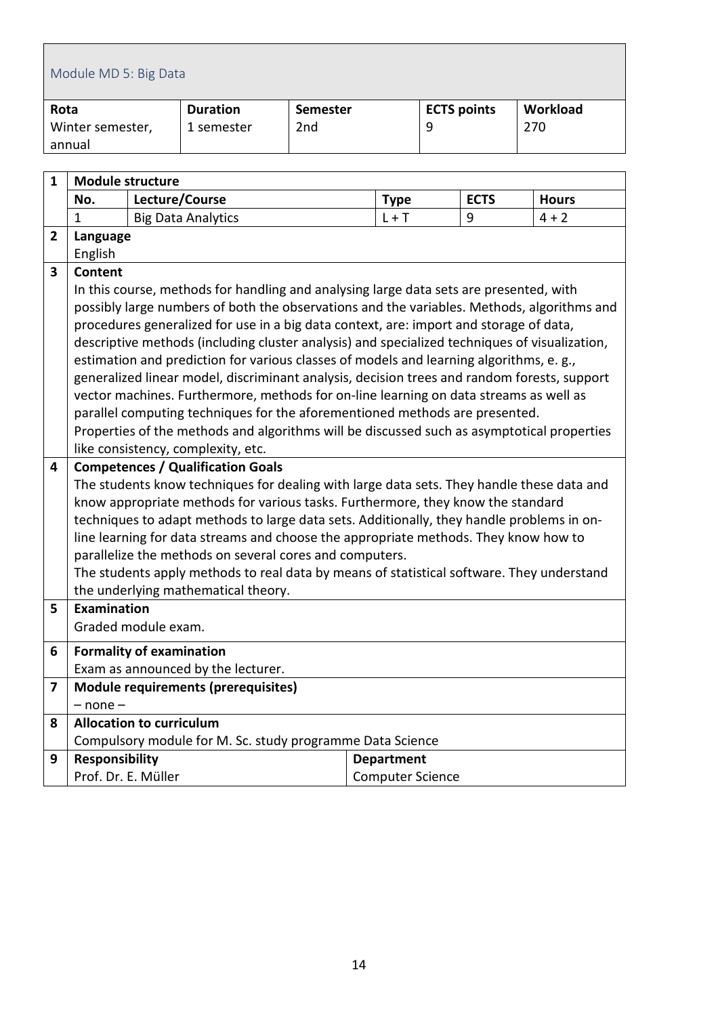<span id="page-13-0"></span>

| Module MD 5: Big Data |                 |                 |                    |          |  |
|-----------------------|-----------------|-----------------|--------------------|----------|--|
| Rota                  | <b>Duration</b> | Semester        | <b>ECTS points</b> | Workload |  |
| Winter semester,      | 1 semester      | 2 <sub>nd</sub> |                    | 270      |  |
| annual                |                 |                 |                    |          |  |

| 1 | <b>Module structure</b>                                                                    |                                                                                                                                                      |                         |             |              |  |  |
|---|--------------------------------------------------------------------------------------------|------------------------------------------------------------------------------------------------------------------------------------------------------|-------------------------|-------------|--------------|--|--|
|   | No.                                                                                        | Lecture/Course                                                                                                                                       | <b>Type</b>             | <b>ECTS</b> | <b>Hours</b> |  |  |
|   | $\mathbf{1}$                                                                               | <b>Big Data Analytics</b>                                                                                                                            | $L + T$                 | 9           | $4 + 2$      |  |  |
| 2 | Language                                                                                   |                                                                                                                                                      |                         |             |              |  |  |
|   | English                                                                                    |                                                                                                                                                      |                         |             |              |  |  |
| 3 | <b>Content</b>                                                                             |                                                                                                                                                      |                         |             |              |  |  |
|   |                                                                                            | In this course, methods for handling and analysing large data sets are presented, with                                                               |                         |             |              |  |  |
|   |                                                                                            | possibly large numbers of both the observations and the variables. Methods, algorithms and                                                           |                         |             |              |  |  |
|   |                                                                                            | procedures generalized for use in a big data context, are: import and storage of data,                                                               |                         |             |              |  |  |
|   |                                                                                            | descriptive methods (including cluster analysis) and specialized techniques of visualization,                                                        |                         |             |              |  |  |
|   |                                                                                            | estimation and prediction for various classes of models and learning algorithms, e. g.,                                                              |                         |             |              |  |  |
|   |                                                                                            | generalized linear model, discriminant analysis, decision trees and random forests, support                                                          |                         |             |              |  |  |
|   |                                                                                            | vector machines. Furthermore, methods for on-line learning on data streams as well as                                                                |                         |             |              |  |  |
|   |                                                                                            | parallel computing techniques for the aforementioned methods are presented.                                                                          |                         |             |              |  |  |
|   | Properties of the methods and algorithms will be discussed such as asymptotical properties |                                                                                                                                                      |                         |             |              |  |  |
|   |                                                                                            | like consistency, complexity, etc.                                                                                                                   |                         |             |              |  |  |
| 4 |                                                                                            | <b>Competences / Qualification Goals</b>                                                                                                             |                         |             |              |  |  |
|   |                                                                                            | The students know techniques for dealing with large data sets. They handle these data and                                                            |                         |             |              |  |  |
|   |                                                                                            | know appropriate methods for various tasks. Furthermore, they know the standard                                                                      |                         |             |              |  |  |
|   |                                                                                            | techniques to adapt methods to large data sets. Additionally, they handle problems in on-                                                            |                         |             |              |  |  |
|   |                                                                                            | line learning for data streams and choose the appropriate methods. They know how to                                                                  |                         |             |              |  |  |
|   |                                                                                            | parallelize the methods on several cores and computers.<br>The students apply methods to real data by means of statistical software. They understand |                         |             |              |  |  |
|   |                                                                                            | the underlying mathematical theory.                                                                                                                  |                         |             |              |  |  |
| 5 | Examination                                                                                |                                                                                                                                                      |                         |             |              |  |  |
|   |                                                                                            | Graded module exam.                                                                                                                                  |                         |             |              |  |  |
| 6 |                                                                                            |                                                                                                                                                      |                         |             |              |  |  |
|   |                                                                                            | <b>Formality of examination</b><br>Exam as announced by the lecturer.                                                                                |                         |             |              |  |  |
| 7 |                                                                                            | <b>Module requirements (prerequisites)</b>                                                                                                           |                         |             |              |  |  |
|   | $-$ none $-$                                                                               |                                                                                                                                                      |                         |             |              |  |  |
| 8 |                                                                                            | <b>Allocation to curriculum</b>                                                                                                                      |                         |             |              |  |  |
|   |                                                                                            | Compulsory module for M. Sc. study programme Data Science                                                                                            |                         |             |              |  |  |
| 9 | <b>Responsibility</b>                                                                      |                                                                                                                                                      | <b>Department</b>       |             |              |  |  |
|   |                                                                                            | Prof. Dr. E. Müller                                                                                                                                  | <b>Computer Science</b> |             |              |  |  |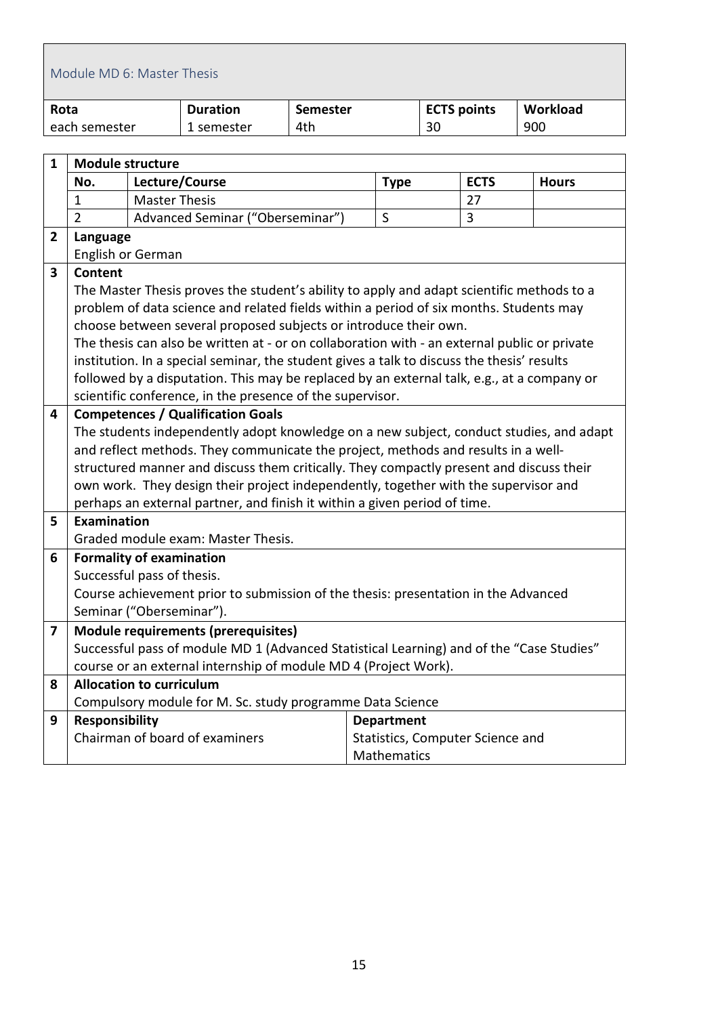<span id="page-14-0"></span>

|      | Module MD 6: Master Thesis      |                      |                                                                                              |                 |                   |    |                                  |              |  |
|------|---------------------------------|----------------------|----------------------------------------------------------------------------------------------|-----------------|-------------------|----|----------------------------------|--------------|--|
| Rota |                                 |                      | <b>Duration</b>                                                                              | <b>Semester</b> |                   |    | <b>ECTS points</b>               | Workload     |  |
|      | each semester                   |                      | 1 semester                                                                                   | 4th             |                   | 30 |                                  | 900          |  |
|      |                                 |                      |                                                                                              |                 |                   |    |                                  |              |  |
| 1    | <b>Module structure</b>         |                      |                                                                                              |                 |                   |    |                                  |              |  |
|      | No.                             |                      | Lecture/Course                                                                               |                 | <b>Type</b>       |    | <b>ECTS</b>                      | <b>Hours</b> |  |
|      | 1                               | <b>Master Thesis</b> |                                                                                              |                 |                   |    | 27                               |              |  |
|      | $\overline{2}$                  |                      | Advanced Seminar ("Oberseminar")                                                             |                 | S                 |    | 3                                |              |  |
| 2    | Language                        |                      |                                                                                              |                 |                   |    |                                  |              |  |
|      | English or German               |                      |                                                                                              |                 |                   |    |                                  |              |  |
| 3    | <b>Content</b>                  |                      |                                                                                              |                 |                   |    |                                  |              |  |
|      |                                 |                      | The Master Thesis proves the student's ability to apply and adapt scientific methods to a    |                 |                   |    |                                  |              |  |
|      |                                 |                      | problem of data science and related fields within a period of six months. Students may       |                 |                   |    |                                  |              |  |
|      |                                 |                      | choose between several proposed subjects or introduce their own.                             |                 |                   |    |                                  |              |  |
|      |                                 |                      | The thesis can also be written at - or on collaboration with - an external public or private |                 |                   |    |                                  |              |  |
|      |                                 |                      | institution. In a special seminar, the student gives a talk to discuss the thesis' results   |                 |                   |    |                                  |              |  |
|      |                                 |                      | followed by a disputation. This may be replaced by an external talk, e.g., at a company or   |                 |                   |    |                                  |              |  |
|      |                                 |                      | scientific conference, in the presence of the supervisor.                                    |                 |                   |    |                                  |              |  |
| 4    |                                 |                      | <b>Competences / Qualification Goals</b>                                                     |                 |                   |    |                                  |              |  |
|      |                                 |                      | The students independently adopt knowledge on a new subject, conduct studies, and adapt      |                 |                   |    |                                  |              |  |
|      |                                 |                      | and reflect methods. They communicate the project, methods and results in a well-            |                 |                   |    |                                  |              |  |
|      |                                 |                      | structured manner and discuss them critically. They compactly present and discuss their      |                 |                   |    |                                  |              |  |
|      |                                 |                      | own work. They design their project independently, together with the supervisor and          |                 |                   |    |                                  |              |  |
|      |                                 |                      | perhaps an external partner, and finish it within a given period of time.                    |                 |                   |    |                                  |              |  |
| 5    | <b>Examination</b>              |                      |                                                                                              |                 |                   |    |                                  |              |  |
|      |                                 |                      | Graded module exam: Master Thesis.                                                           |                 |                   |    |                                  |              |  |
| 6    | <b>Formality of examination</b> |                      |                                                                                              |                 |                   |    |                                  |              |  |
|      | Successful pass of thesis.      |                      |                                                                                              |                 |                   |    |                                  |              |  |
|      | Seminar ("Oberseminar").        |                      | Course achievement prior to submission of the thesis: presentation in the Advanced           |                 |                   |    |                                  |              |  |
|      |                                 |                      |                                                                                              |                 |                   |    |                                  |              |  |
| 7    |                                 |                      | Module requirements (prerequisites)                                                          |                 |                   |    |                                  |              |  |
|      |                                 |                      | Successful pass of module MD 1 (Advanced Statistical Learning) and of the "Case Studies"     |                 |                   |    |                                  |              |  |
|      | <b>Allocation to curriculum</b> |                      | course or an external internship of module MD 4 (Project Work).                              |                 |                   |    |                                  |              |  |
| 8    |                                 |                      | Compulsory module for M. Sc. study programme Data Science                                    |                 |                   |    |                                  |              |  |
| 9    | <b>Responsibility</b>           |                      |                                                                                              |                 | <b>Department</b> |    |                                  |              |  |
|      |                                 |                      | Chairman of board of examiners                                                               |                 |                   |    | Statistics, Computer Science and |              |  |
|      |                                 |                      |                                                                                              |                 | Mathematics       |    |                                  |              |  |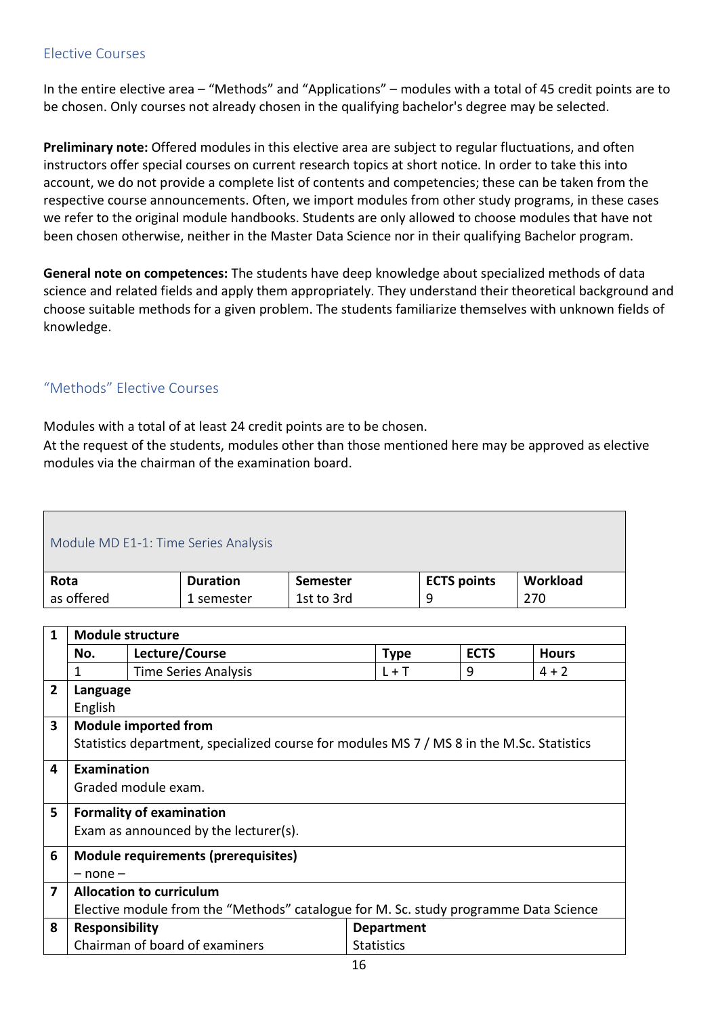#### <span id="page-15-0"></span>Elective Courses

In the entire elective area – "Methods" and "Applications" – modules with a total of 45 credit points are to be chosen. Only courses not already chosen in the qualifying bachelor's degree may be selected.

**Preliminary note:** Offered modules in this elective area are subject to regular fluctuations, and often instructors offer special courses on current research topics at short notice. In order to take this into account, we do not provide a complete list of contents and competencies; these can be taken from the respective course announcements. Often, we import modules from other study programs, in these cases we refer to the original module handbooks. Students are only allowed to choose modules that have not been chosen otherwise, neither in the Master Data Science nor in their qualifying Bachelor program.

**General note on competences:** The students have deep knowledge about specialized methods of data science and related fields and apply them appropriately. They understand their theoretical background and choose suitable methods for a given problem. The students familiarize themselves with unknown fields of knowledge.

#### <span id="page-15-1"></span>"Methods" Elective Courses

Modules with a total of at least 24 credit points are to be chosen.

At the request of the students, modules other than those mentioned here may be approved as elective modules via the chairman of the examination board.

<span id="page-15-2"></span>

| Module MD E1-1: Time Series Analysis               |                 |                 |                    |          |  |  |  |  |
|----------------------------------------------------|-----------------|-----------------|--------------------|----------|--|--|--|--|
| Rota                                               | <b>Duration</b> | <b>Semester</b> | <b>ECTS points</b> | Workload |  |  |  |  |
| as offered<br>1st to 3rd<br>270<br>q<br>1 semester |                 |                 |                    |          |  |  |  |  |

| 1              | <b>Module structure</b>                                                              |                                                                                           |                   |             |              |  |  |
|----------------|--------------------------------------------------------------------------------------|-------------------------------------------------------------------------------------------|-------------------|-------------|--------------|--|--|
|                | No.                                                                                  | Lecture/Course                                                                            | <b>Type</b>       | <b>ECTS</b> | <b>Hours</b> |  |  |
|                | 1                                                                                    | <b>Time Series Analysis</b>                                                               | $L + T$           | 9           | $4 + 2$      |  |  |
| $\overline{2}$ | Language                                                                             |                                                                                           |                   |             |              |  |  |
|                | English                                                                              |                                                                                           |                   |             |              |  |  |
| 3              |                                                                                      | <b>Module imported from</b>                                                               |                   |             |              |  |  |
|                |                                                                                      | Statistics department, specialized course for modules MS 7 / MS 8 in the M.Sc. Statistics |                   |             |              |  |  |
| 4              | Examination                                                                          |                                                                                           |                   |             |              |  |  |
|                |                                                                                      | Graded module exam.                                                                       |                   |             |              |  |  |
| 5              |                                                                                      | <b>Formality of examination</b>                                                           |                   |             |              |  |  |
|                |                                                                                      | Exam as announced by the lecturer(s).                                                     |                   |             |              |  |  |
| 6              |                                                                                      | <b>Module requirements (prerequisites)</b>                                                |                   |             |              |  |  |
|                | $-$ none $-$                                                                         |                                                                                           |                   |             |              |  |  |
| 7              |                                                                                      | <b>Allocation to curriculum</b>                                                           |                   |             |              |  |  |
|                | Elective module from the "Methods" catalogue for M. Sc. study programme Data Science |                                                                                           |                   |             |              |  |  |
| 8              | <b>Responsibility</b>                                                                |                                                                                           | <b>Department</b> |             |              |  |  |
|                |                                                                                      | Chairman of board of examiners                                                            | <b>Statistics</b> |             |              |  |  |
|                |                                                                                      |                                                                                           | 1 G               |             |              |  |  |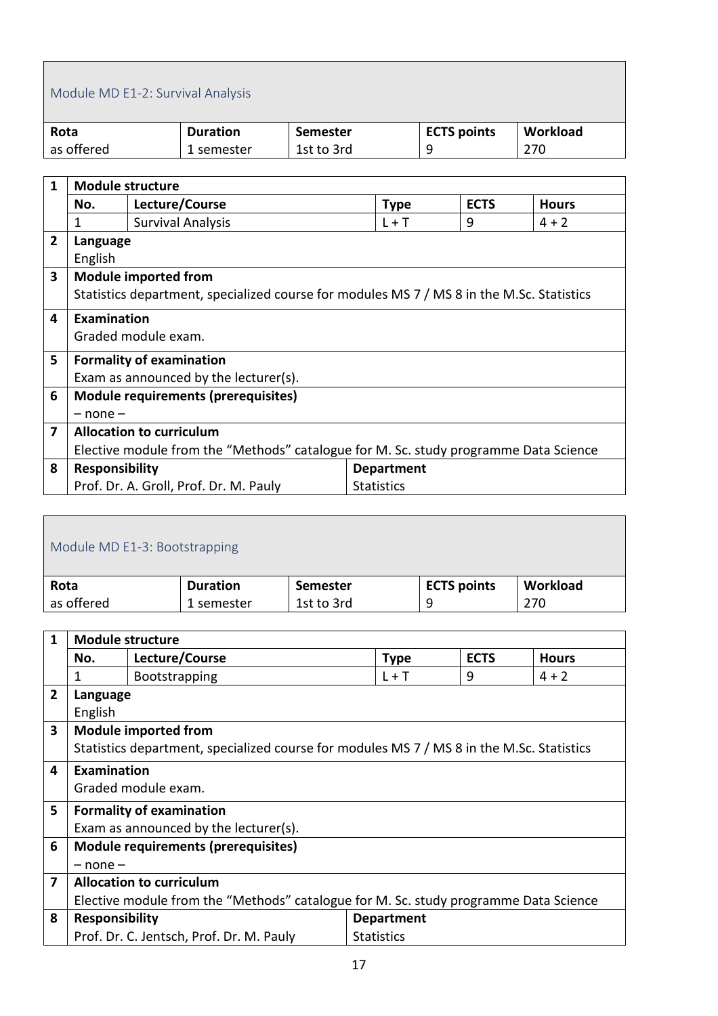# <span id="page-16-0"></span>Module MD E1-2: Survival Analysis

| Rota       | <b>Duration</b> | <b>Semester</b> | <b>ECTS</b> points | Workload |
|------------|-----------------|-----------------|--------------------|----------|
| as offered | 1 semester      | 1st to 3rd      |                    | 270      |

| 1                       | <b>Module structure</b>                                                              |                                                                                           |                   |             |              |  |  |
|-------------------------|--------------------------------------------------------------------------------------|-------------------------------------------------------------------------------------------|-------------------|-------------|--------------|--|--|
|                         | No.                                                                                  | Lecture/Course                                                                            | <b>Type</b>       | <b>ECTS</b> | <b>Hours</b> |  |  |
|                         | 1                                                                                    | <b>Survival Analysis</b>                                                                  | $L + T$           | 9           | $4 + 2$      |  |  |
| $\overline{2}$          | Language                                                                             |                                                                                           |                   |             |              |  |  |
|                         | English                                                                              |                                                                                           |                   |             |              |  |  |
| $\overline{\mathbf{3}}$ |                                                                                      | <b>Module imported from</b>                                                               |                   |             |              |  |  |
|                         |                                                                                      | Statistics department, specialized course for modules MS 7 / MS 8 in the M.Sc. Statistics |                   |             |              |  |  |
| 4                       | <b>Examination</b>                                                                   |                                                                                           |                   |             |              |  |  |
|                         |                                                                                      | Graded module exam.                                                                       |                   |             |              |  |  |
| 5                       |                                                                                      | <b>Formality of examination</b>                                                           |                   |             |              |  |  |
|                         |                                                                                      | Exam as announced by the lecturer(s).                                                     |                   |             |              |  |  |
| 6                       |                                                                                      | <b>Module requirements (prerequisites)</b>                                                |                   |             |              |  |  |
|                         | $-$ none $-$                                                                         |                                                                                           |                   |             |              |  |  |
| 7                       | <b>Allocation to curriculum</b>                                                      |                                                                                           |                   |             |              |  |  |
|                         | Elective module from the "Methods" catalogue for M. Sc. study programme Data Science |                                                                                           |                   |             |              |  |  |
| 8                       | <b>Responsibility</b>                                                                |                                                                                           | <b>Department</b> |             |              |  |  |
|                         |                                                                                      | Prof. Dr. A. Groll, Prof. Dr. M. Pauly                                                    | <b>Statistics</b> |             |              |  |  |

<span id="page-16-1"></span>

| Module MD E1-3: Bootstrapping                      |                 |                 |                    |          |  |  |  |
|----------------------------------------------------|-----------------|-----------------|--------------------|----------|--|--|--|
| Rota                                               | <b>Duration</b> | <b>Semester</b> | <b>ECTS points</b> | Workload |  |  |  |
| as offered<br>1st to 3rd<br>270<br>9<br>1 semester |                 |                 |                    |          |  |  |  |
|                                                    |                 |                 |                    |          |  |  |  |

| 1 |                                                                                      | <b>Module structure</b>                                                                   |                   |             |              |  |  |  |
|---|--------------------------------------------------------------------------------------|-------------------------------------------------------------------------------------------|-------------------|-------------|--------------|--|--|--|
|   | No.                                                                                  | Lecture/Course                                                                            | <b>Type</b>       | <b>ECTS</b> | <b>Hours</b> |  |  |  |
|   | 1                                                                                    | <b>Bootstrapping</b>                                                                      | $L + T$           | 9           | $4 + 2$      |  |  |  |
| 2 | Language                                                                             |                                                                                           |                   |             |              |  |  |  |
|   | English                                                                              |                                                                                           |                   |             |              |  |  |  |
| 3 |                                                                                      | <b>Module imported from</b>                                                               |                   |             |              |  |  |  |
|   |                                                                                      | Statistics department, specialized course for modules MS 7 / MS 8 in the M.Sc. Statistics |                   |             |              |  |  |  |
| 4 | <b>Examination</b>                                                                   |                                                                                           |                   |             |              |  |  |  |
|   |                                                                                      | Graded module exam.                                                                       |                   |             |              |  |  |  |
| 5 |                                                                                      | <b>Formality of examination</b>                                                           |                   |             |              |  |  |  |
|   |                                                                                      | Exam as announced by the lecturer(s).                                                     |                   |             |              |  |  |  |
| 6 |                                                                                      | <b>Module requirements (prerequisites)</b>                                                |                   |             |              |  |  |  |
|   | $-$ none $-$                                                                         |                                                                                           |                   |             |              |  |  |  |
| 7 |                                                                                      | <b>Allocation to curriculum</b>                                                           |                   |             |              |  |  |  |
|   | Elective module from the "Methods" catalogue for M. Sc. study programme Data Science |                                                                                           |                   |             |              |  |  |  |
| 8 | <b>Responsibility</b>                                                                |                                                                                           | <b>Department</b> |             |              |  |  |  |
|   |                                                                                      | Prof. Dr. C. Jentsch, Prof. Dr. M. Pauly                                                  | <b>Statistics</b> |             |              |  |  |  |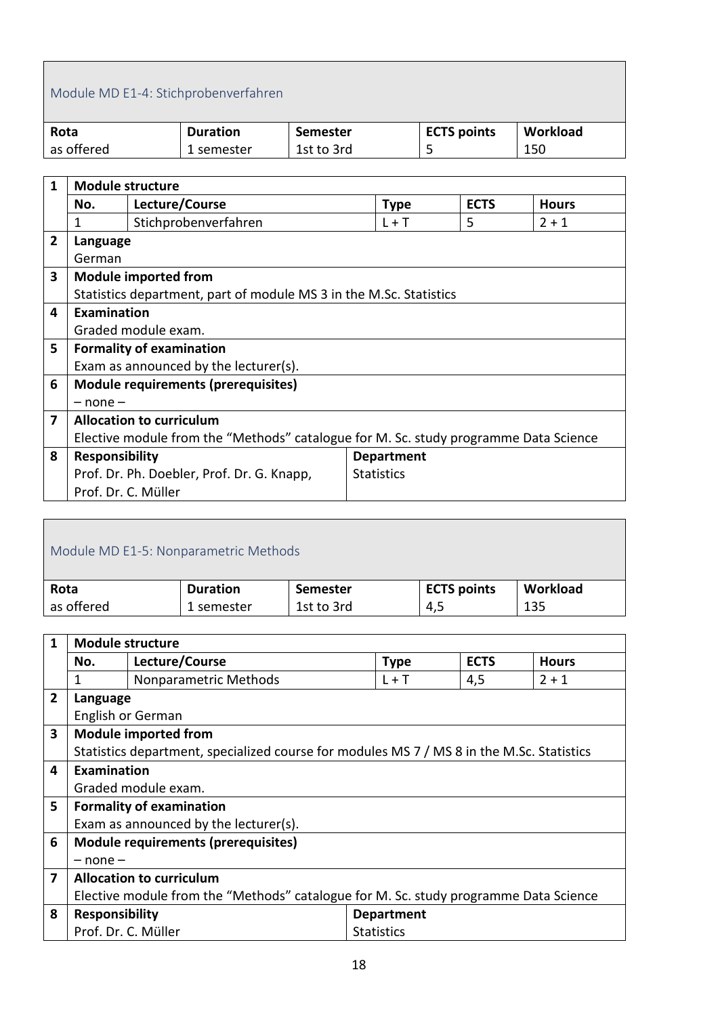### <span id="page-17-0"></span>Module MD E1-4: Stichprobenverfahren

| Rota       | <b>Duration</b> | Semester   | <b>ECTS points</b> | Workload |
|------------|-----------------|------------|--------------------|----------|
| as offered | . semester      | 1st to 3rd |                    | 150      |

| 1              | <b>Module structure</b>                                                              |                                                                    |  |                   |             |              |  |
|----------------|--------------------------------------------------------------------------------------|--------------------------------------------------------------------|--|-------------------|-------------|--------------|--|
|                | No.                                                                                  | Lecture/Course                                                     |  | <b>Type</b>       | <b>ECTS</b> | <b>Hours</b> |  |
|                | 1                                                                                    | Stichprobenverfahren                                               |  | $L + T$           | 5           | $2 + 1$      |  |
| $\overline{2}$ | Language                                                                             |                                                                    |  |                   |             |              |  |
|                | German                                                                               |                                                                    |  |                   |             |              |  |
| 3              |                                                                                      | <b>Module imported from</b>                                        |  |                   |             |              |  |
|                |                                                                                      | Statistics department, part of module MS 3 in the M.Sc. Statistics |  |                   |             |              |  |
| 4              | <b>Examination</b>                                                                   |                                                                    |  |                   |             |              |  |
|                |                                                                                      | Graded module exam.                                                |  |                   |             |              |  |
| 5              |                                                                                      | <b>Formality of examination</b>                                    |  |                   |             |              |  |
|                |                                                                                      | Exam as announced by the lecturer(s).                              |  |                   |             |              |  |
| 6              |                                                                                      | Module requirements (prerequisites)                                |  |                   |             |              |  |
|                | $-$ none $-$                                                                         |                                                                    |  |                   |             |              |  |
| 7              | <b>Allocation to curriculum</b>                                                      |                                                                    |  |                   |             |              |  |
|                | Elective module from the "Methods" catalogue for M. Sc. study programme Data Science |                                                                    |  |                   |             |              |  |
| 8              | <b>Responsibility</b><br><b>Department</b>                                           |                                                                    |  |                   |             |              |  |
|                |                                                                                      | Prof. Dr. Ph. Doebler, Prof. Dr. G. Knapp,                         |  | <b>Statistics</b> |             |              |  |
|                | Prof. Dr. C. Müller                                                                  |                                                                    |  |                   |             |              |  |

<span id="page-17-1"></span>

| Module MD E1-5: Nonparametric Methods |                 |                 |                    |          |  |  |
|---------------------------------------|-----------------|-----------------|--------------------|----------|--|--|
| Rota                                  | <b>Duration</b> | <b>Semester</b> | <b>ECTS points</b> | Workload |  |  |
| as offered                            | 1 semester      | 1st to 3rd      | 4,5                | 135      |  |  |
|                                       |                 |                 |                    |          |  |  |

| 1                       | <b>Module structure</b>                                                              |                                                                                           |                   |                   |             |              |  |
|-------------------------|--------------------------------------------------------------------------------------|-------------------------------------------------------------------------------------------|-------------------|-------------------|-------------|--------------|--|
|                         | No.                                                                                  | Lecture/Course                                                                            |                   | <b>Type</b>       | <b>ECTS</b> | <b>Hours</b> |  |
|                         | 1                                                                                    | Nonparametric Methods                                                                     |                   | $L + T$           | 4,5         | $2 + 1$      |  |
| $\overline{2}$          | Language                                                                             |                                                                                           |                   |                   |             |              |  |
|                         |                                                                                      | English or German                                                                         |                   |                   |             |              |  |
| $\overline{\mathbf{3}}$ |                                                                                      | <b>Module imported from</b>                                                               |                   |                   |             |              |  |
|                         |                                                                                      | Statistics department, specialized course for modules MS 7 / MS 8 in the M.Sc. Statistics |                   |                   |             |              |  |
| 4                       | Examination                                                                          |                                                                                           |                   |                   |             |              |  |
|                         |                                                                                      | Graded module exam.                                                                       |                   |                   |             |              |  |
| 5                       |                                                                                      | <b>Formality of examination</b>                                                           |                   |                   |             |              |  |
|                         |                                                                                      | Exam as announced by the lecturer(s).                                                     |                   |                   |             |              |  |
| 6                       |                                                                                      | <b>Module requirements (prerequisites)</b>                                                |                   |                   |             |              |  |
|                         | $-$ none $-$                                                                         |                                                                                           |                   |                   |             |              |  |
| $\overline{\mathbf{z}}$ | <b>Allocation to curriculum</b>                                                      |                                                                                           |                   |                   |             |              |  |
|                         | Elective module from the "Methods" catalogue for M. Sc. study programme Data Science |                                                                                           |                   |                   |             |              |  |
| 8                       | <b>Responsibility</b>                                                                |                                                                                           |                   | <b>Department</b> |             |              |  |
|                         | Prof. Dr. C. Müller                                                                  |                                                                                           | <b>Statistics</b> |                   |             |              |  |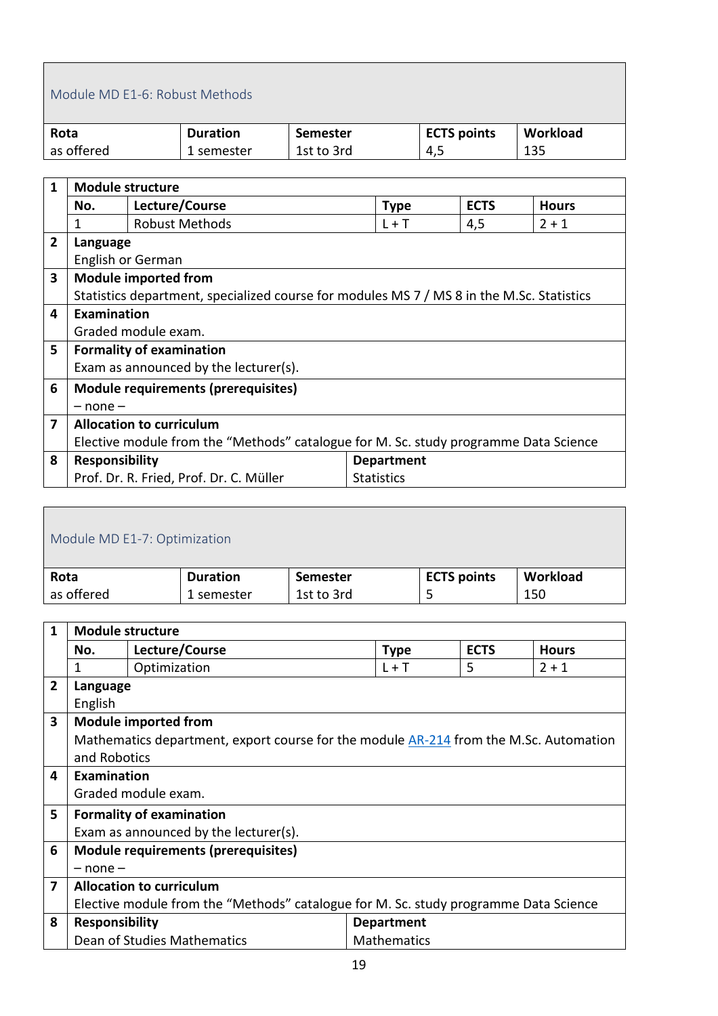#### <span id="page-18-0"></span>Module MD E1-6: Robust Methods

| Rota       | <b>Duration</b> | Semester   | <b>ECTS points</b> | Workload |
|------------|-----------------|------------|--------------------|----------|
| as offered | 1 semester      | 1st to 3rd | 4,5                | 135      |

| $\mathbf{1}$   | <b>Module structure</b>                                                              |                                                                                           |                   |  |             |              |  |
|----------------|--------------------------------------------------------------------------------------|-------------------------------------------------------------------------------------------|-------------------|--|-------------|--------------|--|
|                | No.                                                                                  | Lecture/Course                                                                            | <b>Type</b>       |  | <b>ECTS</b> | <b>Hours</b> |  |
|                | 1                                                                                    | <b>Robust Methods</b>                                                                     | $L + T$           |  | 4,5         | $2 + 1$      |  |
| $\overline{2}$ | Language                                                                             |                                                                                           |                   |  |             |              |  |
|                |                                                                                      | English or German                                                                         |                   |  |             |              |  |
| 3              |                                                                                      | <b>Module imported from</b>                                                               |                   |  |             |              |  |
|                |                                                                                      | Statistics department, specialized course for modules MS 7 / MS 8 in the M.Sc. Statistics |                   |  |             |              |  |
| 4              | <b>Examination</b>                                                                   |                                                                                           |                   |  |             |              |  |
|                |                                                                                      | Graded module exam.                                                                       |                   |  |             |              |  |
| 5              |                                                                                      | <b>Formality of examination</b>                                                           |                   |  |             |              |  |
|                |                                                                                      | Exam as announced by the lecturer(s).                                                     |                   |  |             |              |  |
| 6              |                                                                                      | <b>Module requirements (prerequisites)</b>                                                |                   |  |             |              |  |
|                | $-$ none $-$                                                                         |                                                                                           |                   |  |             |              |  |
| 7              | <b>Allocation to curriculum</b>                                                      |                                                                                           |                   |  |             |              |  |
|                | Elective module from the "Methods" catalogue for M. Sc. study programme Data Science |                                                                                           |                   |  |             |              |  |
| 8              | <b>Responsibility</b>                                                                |                                                                                           | <b>Department</b> |  |             |              |  |
|                |                                                                                      | Prof. Dr. R. Fried, Prof. Dr. C. Müller                                                   | <b>Statistics</b> |  |             |              |  |

<span id="page-18-1"></span>

| Module MD E1-7: Optimization |                 |                 |                    |          |  |  |
|------------------------------|-----------------|-----------------|--------------------|----------|--|--|
| Rota                         | <b>Duration</b> | <b>Semester</b> | <b>ECTS points</b> | Workload |  |  |
| as offered                   | 1 semester      | 1st to 3rd      |                    | 150      |  |  |

| $\mathbf{1}$ | <b>Module structure</b>                                                              |                                                                                       |                    |             |              |  |  |
|--------------|--------------------------------------------------------------------------------------|---------------------------------------------------------------------------------------|--------------------|-------------|--------------|--|--|
|              | No.                                                                                  | Lecture/Course                                                                        | <b>Type</b>        | <b>ECTS</b> | <b>Hours</b> |  |  |
|              | 1                                                                                    | Optimization                                                                          | $L + T$            | 5           | $2 + 1$      |  |  |
| $\mathbf{2}$ | Language                                                                             |                                                                                       |                    |             |              |  |  |
|              | English                                                                              |                                                                                       |                    |             |              |  |  |
| 3            |                                                                                      | <b>Module imported from</b>                                                           |                    |             |              |  |  |
|              |                                                                                      | Mathematics department, export course for the module AR-214 from the M.Sc. Automation |                    |             |              |  |  |
|              | and Robotics                                                                         |                                                                                       |                    |             |              |  |  |
| 4            | <b>Examination</b>                                                                   |                                                                                       |                    |             |              |  |  |
|              |                                                                                      | Graded module exam.                                                                   |                    |             |              |  |  |
| 5            |                                                                                      | <b>Formality of examination</b>                                                       |                    |             |              |  |  |
|              |                                                                                      | Exam as announced by the lecturer(s).                                                 |                    |             |              |  |  |
| 6            |                                                                                      | <b>Module requirements (prerequisites)</b>                                            |                    |             |              |  |  |
|              | $-$ none $-$                                                                         |                                                                                       |                    |             |              |  |  |
| 7            | <b>Allocation to curriculum</b>                                                      |                                                                                       |                    |             |              |  |  |
|              | Elective module from the "Methods" catalogue for M. Sc. study programme Data Science |                                                                                       |                    |             |              |  |  |
| 8            | <b>Responsibility</b>                                                                |                                                                                       | <b>Department</b>  |             |              |  |  |
|              |                                                                                      | Dean of Studies Mathematics                                                           | <b>Mathematics</b> |             |              |  |  |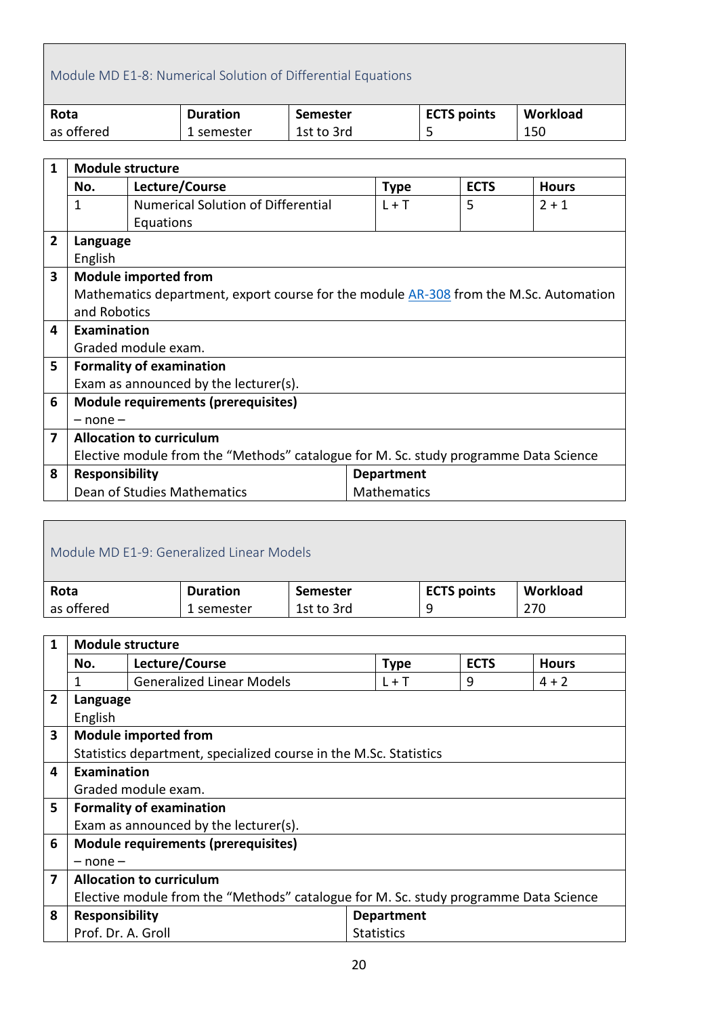### <span id="page-19-0"></span>Module MD E1-8: Numerical Solution of Differential Equations

| Rota       | <b>Duration</b> | Semester   | <b>ECTS points</b> | Workload |
|------------|-----------------|------------|--------------------|----------|
| as offered | 1 semester      | 1st to 3rd | ۔                  | 150      |

| $\mathbf{1}$   | <b>Module structure</b>                                                              |                                                                                              |                    |             |              |  |  |
|----------------|--------------------------------------------------------------------------------------|----------------------------------------------------------------------------------------------|--------------------|-------------|--------------|--|--|
|                | No.                                                                                  | Lecture/Course                                                                               | <b>Type</b>        | <b>ECTS</b> | <b>Hours</b> |  |  |
|                | 1                                                                                    | <b>Numerical Solution of Differential</b>                                                    | $L + T$            | 5           | $2 + 1$      |  |  |
|                |                                                                                      | Equations                                                                                    |                    |             |              |  |  |
| $\overline{2}$ | Language                                                                             |                                                                                              |                    |             |              |  |  |
|                | English                                                                              |                                                                                              |                    |             |              |  |  |
| 3              |                                                                                      | <b>Module imported from</b>                                                                  |                    |             |              |  |  |
|                |                                                                                      | Mathematics department, export course for the module <b>AR-308</b> from the M.Sc. Automation |                    |             |              |  |  |
|                | and Robotics                                                                         |                                                                                              |                    |             |              |  |  |
| 4              | Examination                                                                          |                                                                                              |                    |             |              |  |  |
|                |                                                                                      | Graded module exam.                                                                          |                    |             |              |  |  |
| 5              |                                                                                      | <b>Formality of examination</b>                                                              |                    |             |              |  |  |
|                |                                                                                      | Exam as announced by the lecturer(s).                                                        |                    |             |              |  |  |
| 6              |                                                                                      | <b>Module requirements (prerequisites)</b>                                                   |                    |             |              |  |  |
|                | $-$ none $-$                                                                         |                                                                                              |                    |             |              |  |  |
| 7              | <b>Allocation to curriculum</b>                                                      |                                                                                              |                    |             |              |  |  |
|                | Elective module from the "Methods" catalogue for M. Sc. study programme Data Science |                                                                                              |                    |             |              |  |  |
| 8              | <b>Responsibility</b><br><b>Department</b>                                           |                                                                                              |                    |             |              |  |  |
|                |                                                                                      | Dean of Studies Mathematics                                                                  | <b>Mathematics</b> |             |              |  |  |

<span id="page-19-1"></span>

| Module MD F1-9: Generalized Linear Models |                 |                 |                    |          |  |  |
|-------------------------------------------|-----------------|-----------------|--------------------|----------|--|--|
| Rota                                      | <b>Duration</b> | <b>Semester</b> | <b>ECTS points</b> | Workload |  |  |
| as offered                                | 1 semester      | 1st to 3rd      | q                  | 270      |  |  |

| $\mathbf{1}$   | <b>Module structure</b>                                                              |                                                                   |                   |                   |             |              |  |
|----------------|--------------------------------------------------------------------------------------|-------------------------------------------------------------------|-------------------|-------------------|-------------|--------------|--|
|                | No.                                                                                  | Lecture/Course                                                    |                   | <b>Type</b>       | <b>ECTS</b> | <b>Hours</b> |  |
|                |                                                                                      | <b>Generalized Linear Models</b>                                  |                   | $L + T$           | 9           | $4 + 2$      |  |
| $\overline{2}$ | Language                                                                             |                                                                   |                   |                   |             |              |  |
|                | English                                                                              |                                                                   |                   |                   |             |              |  |
| 3              |                                                                                      | <b>Module imported from</b>                                       |                   |                   |             |              |  |
|                |                                                                                      | Statistics department, specialized course in the M.Sc. Statistics |                   |                   |             |              |  |
| 4              | Examination                                                                          |                                                                   |                   |                   |             |              |  |
|                |                                                                                      | Graded module exam.                                               |                   |                   |             |              |  |
| 5              |                                                                                      | <b>Formality of examination</b>                                   |                   |                   |             |              |  |
|                |                                                                                      | Exam as announced by the lecturer(s).                             |                   |                   |             |              |  |
| 6              |                                                                                      | <b>Module requirements (prerequisites)</b>                        |                   |                   |             |              |  |
|                | $-$ none $-$                                                                         |                                                                   |                   |                   |             |              |  |
| 7              | <b>Allocation to curriculum</b>                                                      |                                                                   |                   |                   |             |              |  |
|                | Elective module from the "Methods" catalogue for M. Sc. study programme Data Science |                                                                   |                   |                   |             |              |  |
| 8              | <b>Responsibility</b>                                                                |                                                                   |                   | <b>Department</b> |             |              |  |
|                | Prof. Dr. A. Groll                                                                   |                                                                   | <b>Statistics</b> |                   |             |              |  |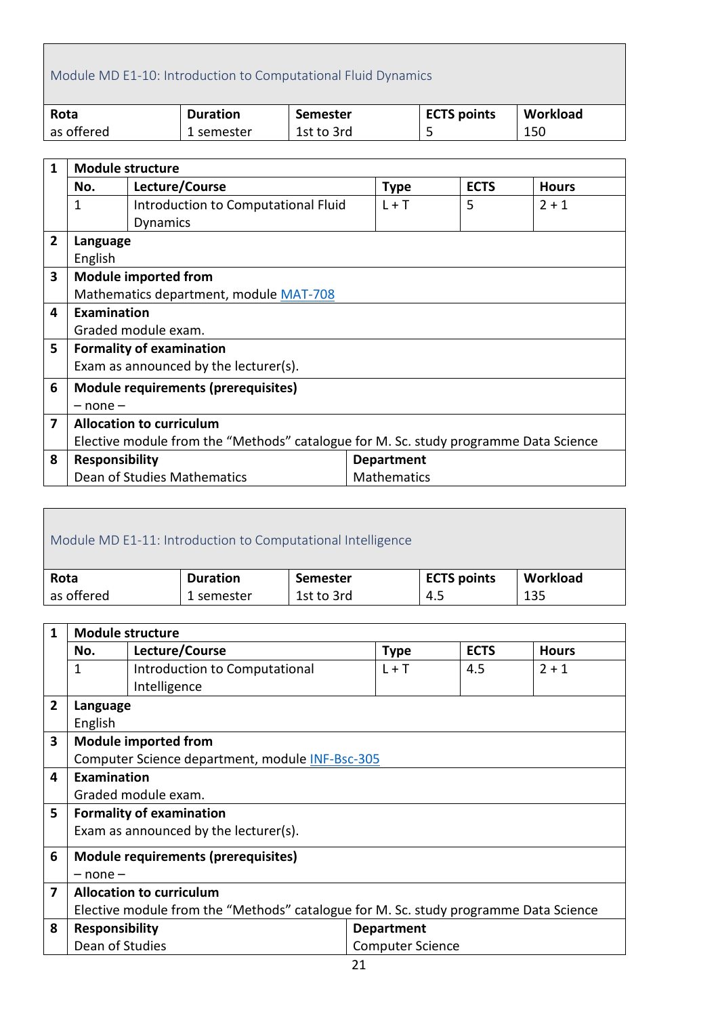# <span id="page-20-0"></span>Module MD E1-10: Introduction to Computational Fluid Dynamics

| Rota       | <b>Duration</b> | Semester   | <b>ECTS points</b> | Workload |
|------------|-----------------|------------|--------------------|----------|
| as offered | 1 semester      | 1st to 3rd | ۔                  | 150      |

| 1              | <b>Module structure</b>                                                              |                                            |                    |             |              |  |  |
|----------------|--------------------------------------------------------------------------------------|--------------------------------------------|--------------------|-------------|--------------|--|--|
|                | No.                                                                                  | Lecture/Course                             | <b>Type</b>        | <b>ECTS</b> | <b>Hours</b> |  |  |
|                | 1                                                                                    | Introduction to Computational Fluid        | $L + T$            | 5           | $2 + 1$      |  |  |
|                |                                                                                      | <b>Dynamics</b>                            |                    |             |              |  |  |
| $\overline{2}$ | Language                                                                             |                                            |                    |             |              |  |  |
|                | English                                                                              |                                            |                    |             |              |  |  |
| 3              |                                                                                      | <b>Module imported from</b>                |                    |             |              |  |  |
|                |                                                                                      | Mathematics department, module MAT-708     |                    |             |              |  |  |
| 4              | <b>Examination</b>                                                                   |                                            |                    |             |              |  |  |
|                |                                                                                      | Graded module exam.                        |                    |             |              |  |  |
| 5              |                                                                                      | <b>Formality of examination</b>            |                    |             |              |  |  |
|                |                                                                                      | Exam as announced by the lecturer(s).      |                    |             |              |  |  |
| 6              |                                                                                      | <b>Module requirements (prerequisites)</b> |                    |             |              |  |  |
|                | $-$ none $-$                                                                         |                                            |                    |             |              |  |  |
| 7              | <b>Allocation to curriculum</b>                                                      |                                            |                    |             |              |  |  |
|                | Elective module from the "Methods" catalogue for M. Sc. study programme Data Science |                                            |                    |             |              |  |  |
| 8              | <b>Responsibility</b>                                                                |                                            | <b>Department</b>  |             |              |  |  |
|                |                                                                                      | Dean of Studies Mathematics                | <b>Mathematics</b> |             |              |  |  |

<span id="page-20-1"></span>

| Module MD E1-11: Introduction to Computational Intelligence |                 |                 |                    |          |  |
|-------------------------------------------------------------|-----------------|-----------------|--------------------|----------|--|
| Rota                                                        | <b>Duration</b> | <b>Semester</b> | <b>ECTS points</b> | Workload |  |
| as offered                                                  | 1 semester      | 1st to 3rd      | 4.5                | 135      |  |

| $\mathbf{1}$   | <b>Module structure</b>                                                              |                                       |                         |             |              |  |
|----------------|--------------------------------------------------------------------------------------|---------------------------------------|-------------------------|-------------|--------------|--|
|                | No.                                                                                  | Lecture/Course                        | <b>Type</b>             | <b>ECTS</b> | <b>Hours</b> |  |
|                | 1                                                                                    | Introduction to Computational         | $L + T$                 | 4.5         | $2 + 1$      |  |
|                |                                                                                      | Intelligence                          |                         |             |              |  |
| $\overline{2}$ | Language                                                                             |                                       |                         |             |              |  |
|                | English                                                                              |                                       |                         |             |              |  |
| 3              |                                                                                      | <b>Module imported from</b>           |                         |             |              |  |
|                | Computer Science department, module INF-Bsc-305                                      |                                       |                         |             |              |  |
| 4              | <b>Examination</b>                                                                   |                                       |                         |             |              |  |
|                |                                                                                      | Graded module exam.                   |                         |             |              |  |
| 5              |                                                                                      | <b>Formality of examination</b>       |                         |             |              |  |
|                |                                                                                      | Exam as announced by the lecturer(s). |                         |             |              |  |
| 6              |                                                                                      | Module requirements (prerequisites)   |                         |             |              |  |
|                | $-$ none $-$                                                                         |                                       |                         |             |              |  |
| 7              |                                                                                      | <b>Allocation to curriculum</b>       |                         |             |              |  |
|                | Elective module from the "Methods" catalogue for M. Sc. study programme Data Science |                                       |                         |             |              |  |
| 8              | <b>Responsibility</b>                                                                |                                       | <b>Department</b>       |             |              |  |
|                | Dean of Studies                                                                      |                                       | <b>Computer Science</b> |             |              |  |
|                |                                                                                      |                                       | $\sim$ $\sim$           |             |              |  |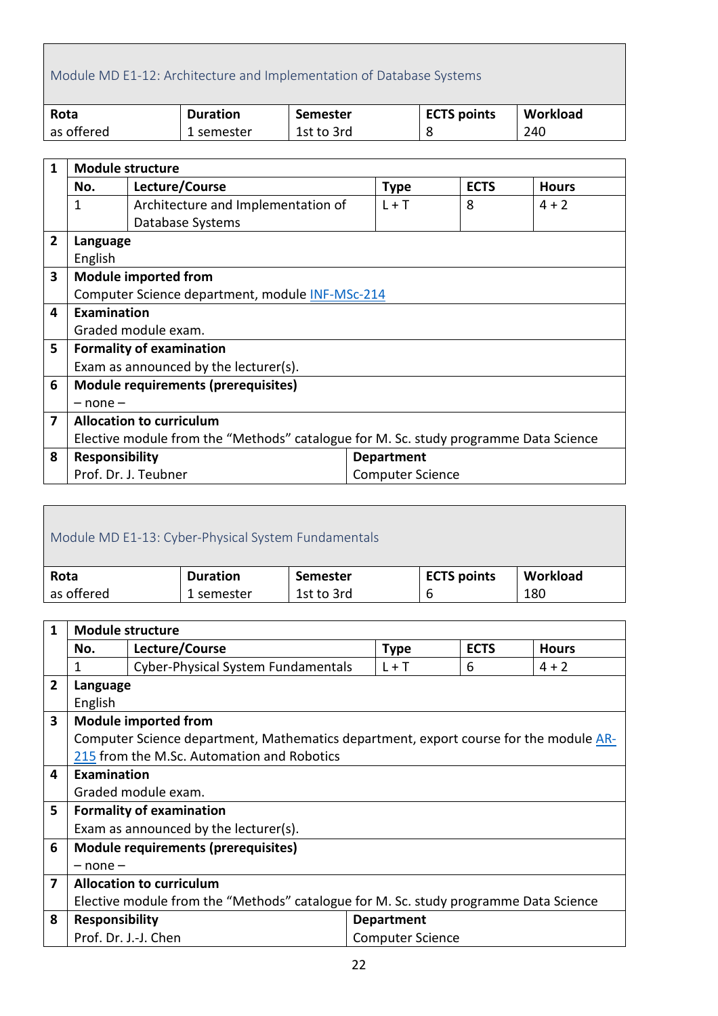# <span id="page-21-0"></span>Module MD E1-12: Architecture and Implementation of Database Systems

| Rota       | <b>Duration</b> | Semester   | <b>ECTS points</b> | Workload |
|------------|-----------------|------------|--------------------|----------|
| as offered | 1 semester      | 1st to 3rd | 8                  | 240      |

| $\mathbf{1}$   | <b>Module structure</b>                                                              |                                                 |                         |             |              |  |
|----------------|--------------------------------------------------------------------------------------|-------------------------------------------------|-------------------------|-------------|--------------|--|
|                | No.                                                                                  | Lecture/Course                                  | <b>Type</b>             | <b>ECTS</b> | <b>Hours</b> |  |
|                | 1                                                                                    | Architecture and Implementation of              | $L + T$                 | 8           | $4 + 2$      |  |
|                |                                                                                      | Database Systems                                |                         |             |              |  |
| $\overline{2}$ | Language                                                                             |                                                 |                         |             |              |  |
|                | English                                                                              |                                                 |                         |             |              |  |
| 3              |                                                                                      | <b>Module imported from</b>                     |                         |             |              |  |
|                |                                                                                      | Computer Science department, module INF-MSc-214 |                         |             |              |  |
| 4              | Examination                                                                          |                                                 |                         |             |              |  |
|                |                                                                                      | Graded module exam.                             |                         |             |              |  |
| 5              |                                                                                      | <b>Formality of examination</b>                 |                         |             |              |  |
|                |                                                                                      | Exam as announced by the lecturer(s).           |                         |             |              |  |
| 6              |                                                                                      | <b>Module requirements (prerequisites)</b>      |                         |             |              |  |
|                | $-$ none $-$                                                                         |                                                 |                         |             |              |  |
| 7              | <b>Allocation to curriculum</b>                                                      |                                                 |                         |             |              |  |
|                | Elective module from the "Methods" catalogue for M. Sc. study programme Data Science |                                                 |                         |             |              |  |
| 8              | <b>Responsibility</b>                                                                |                                                 | <b>Department</b>       |             |              |  |
|                |                                                                                      | Prof. Dr. J. Teubner                            | <b>Computer Science</b> |             |              |  |

<span id="page-21-1"></span>

| Module MD E1-13: Cyber-Physical System Fundamentals |                 |                 |                    |          |  |
|-----------------------------------------------------|-----------------|-----------------|--------------------|----------|--|
| Rota                                                | <b>Duration</b> | <b>Semester</b> | <b>ECTS points</b> | Workload |  |
| as offered                                          | 1 semester      | 1st to 3rd      | b                  | 180      |  |
|                                                     |                 |                 |                    |          |  |

| 1                       | <b>Module structure</b>                                                              |                                                                                       |                         |             |              |  |
|-------------------------|--------------------------------------------------------------------------------------|---------------------------------------------------------------------------------------|-------------------------|-------------|--------------|--|
|                         | No.                                                                                  | Lecture/Course                                                                        | <b>Type</b>             | <b>ECTS</b> | <b>Hours</b> |  |
|                         | 1                                                                                    | Cyber-Physical System Fundamentals                                                    | $L + T$                 | 6           | $4 + 2$      |  |
| $\overline{2}$          | Language                                                                             |                                                                                       |                         |             |              |  |
|                         | English                                                                              |                                                                                       |                         |             |              |  |
| $\overline{\mathbf{3}}$ |                                                                                      | <b>Module imported from</b>                                                           |                         |             |              |  |
|                         |                                                                                      | Computer Science department, Mathematics department, export course for the module AR- |                         |             |              |  |
|                         |                                                                                      | 215 from the M.Sc. Automation and Robotics                                            |                         |             |              |  |
| 4                       | <b>Examination</b>                                                                   |                                                                                       |                         |             |              |  |
|                         |                                                                                      | Graded module exam.                                                                   |                         |             |              |  |
| 5                       |                                                                                      | <b>Formality of examination</b>                                                       |                         |             |              |  |
|                         |                                                                                      | Exam as announced by the lecturer(s).                                                 |                         |             |              |  |
| 6                       |                                                                                      | <b>Module requirements (prerequisites)</b>                                            |                         |             |              |  |
|                         | $-$ none $-$                                                                         |                                                                                       |                         |             |              |  |
| 7                       | <b>Allocation to curriculum</b>                                                      |                                                                                       |                         |             |              |  |
|                         | Elective module from the "Methods" catalogue for M. Sc. study programme Data Science |                                                                                       |                         |             |              |  |
| 8                       | <b>Responsibility</b>                                                                |                                                                                       | <b>Department</b>       |             |              |  |
|                         |                                                                                      | Prof. Dr. J.-J. Chen                                                                  | <b>Computer Science</b> |             |              |  |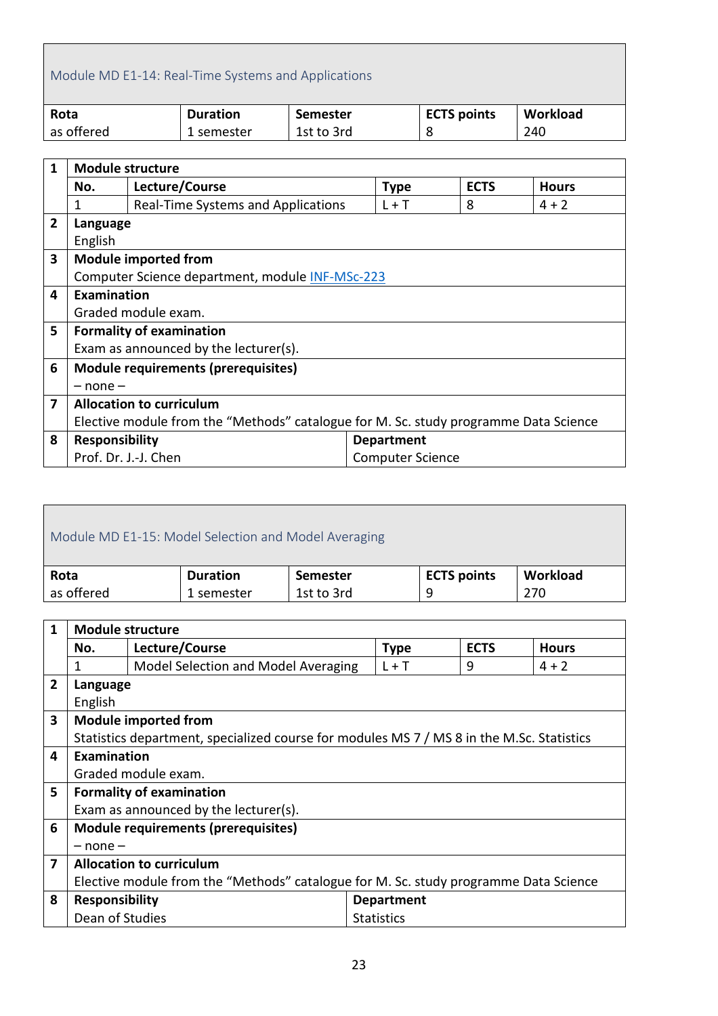## <span id="page-22-0"></span>Module MD E1-14: Real-Time Systems and Applications

| Rota       | <b>Duration</b> | Semester   | <b>ECTS points</b> | Workload |
|------------|-----------------|------------|--------------------|----------|
| as offered | 1 semester      | 1st to 3rd |                    | 240      |

| $\mathbf{1}$   | <b>Module structure</b>                                                              |                                                 |  |                         |             |              |
|----------------|--------------------------------------------------------------------------------------|-------------------------------------------------|--|-------------------------|-------------|--------------|
|                | No.                                                                                  | Lecture/Course                                  |  | <b>Type</b>             | <b>ECTS</b> | <b>Hours</b> |
|                | 1                                                                                    | Real-Time Systems and Applications              |  | $L + T$                 | 8           | $4 + 2$      |
| $\overline{2}$ | Language                                                                             |                                                 |  |                         |             |              |
|                | English                                                                              |                                                 |  |                         |             |              |
| 3              |                                                                                      | <b>Module imported from</b>                     |  |                         |             |              |
|                |                                                                                      | Computer Science department, module INF-MSc-223 |  |                         |             |              |
| 4              | Examination                                                                          |                                                 |  |                         |             |              |
|                |                                                                                      | Graded module exam.                             |  |                         |             |              |
| 5              |                                                                                      | <b>Formality of examination</b>                 |  |                         |             |              |
|                |                                                                                      | Exam as announced by the lecturer(s).           |  |                         |             |              |
| 6              |                                                                                      | <b>Module requirements (prerequisites)</b>      |  |                         |             |              |
|                | $-$ none $-$                                                                         |                                                 |  |                         |             |              |
| 7              | <b>Allocation to curriculum</b>                                                      |                                                 |  |                         |             |              |
|                | Elective module from the "Methods" catalogue for M. Sc. study programme Data Science |                                                 |  |                         |             |              |
| 8              | <b>Responsibility</b>                                                                |                                                 |  | <b>Department</b>       |             |              |
|                | Prof. Dr. J.-J. Chen                                                                 |                                                 |  | <b>Computer Science</b> |             |              |

<span id="page-22-1"></span>

| Module MD E1-15: Model Selection and Model Averaging |                 |                 |                    |          |  |
|------------------------------------------------------|-----------------|-----------------|--------------------|----------|--|
| Rota                                                 | <b>Duration</b> | <b>Semester</b> | <b>ECTS points</b> | Workload |  |
| as offered                                           | 1 semester      | 1st to 3rd      | q                  | 270      |  |
|                                                      |                 |                 |                    |          |  |

| 1 | <b>Module structure</b>                                                              |                                                                                           |                   |             |              |  |
|---|--------------------------------------------------------------------------------------|-------------------------------------------------------------------------------------------|-------------------|-------------|--------------|--|
|   | No.                                                                                  | Lecture/Course                                                                            | <b>Type</b>       | <b>ECTS</b> | <b>Hours</b> |  |
|   | 1                                                                                    | Model Selection and Model Averaging                                                       | $L + T$           | 9           | $4 + 2$      |  |
| 2 | Language                                                                             |                                                                                           |                   |             |              |  |
|   | English                                                                              |                                                                                           |                   |             |              |  |
| 3 |                                                                                      | <b>Module imported from</b>                                                               |                   |             |              |  |
|   |                                                                                      | Statistics department, specialized course for modules MS 7 / MS 8 in the M.Sc. Statistics |                   |             |              |  |
| 4 | Examination                                                                          |                                                                                           |                   |             |              |  |
|   |                                                                                      | Graded module exam.                                                                       |                   |             |              |  |
| 5 |                                                                                      | <b>Formality of examination</b>                                                           |                   |             |              |  |
|   |                                                                                      | Exam as announced by the lecturer(s).                                                     |                   |             |              |  |
| 6 | <b>Module requirements (prerequisites)</b>                                           |                                                                                           |                   |             |              |  |
|   | $-$ none $-$                                                                         |                                                                                           |                   |             |              |  |
| 7 | <b>Allocation to curriculum</b>                                                      |                                                                                           |                   |             |              |  |
|   | Elective module from the "Methods" catalogue for M. Sc. study programme Data Science |                                                                                           |                   |             |              |  |
| 8 | <b>Responsibility</b>                                                                |                                                                                           | <b>Department</b> |             |              |  |
|   | Dean of Studies                                                                      |                                                                                           | <b>Statistics</b> |             |              |  |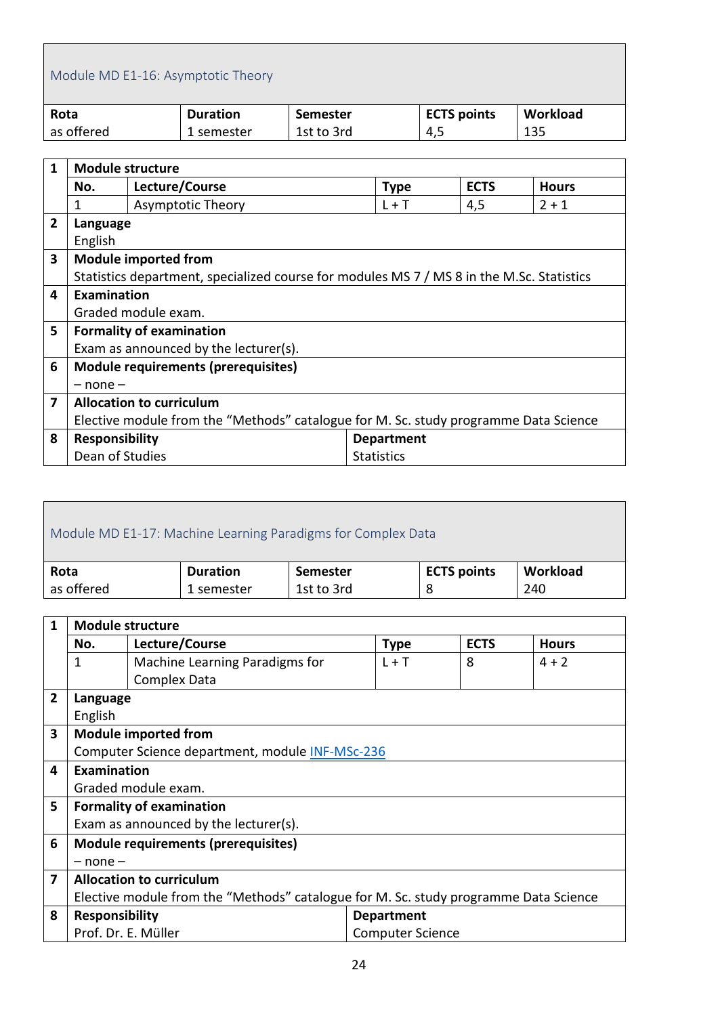<span id="page-23-0"></span>

|                         | Module MD E1-16: Asymptotic Theory |                                                                                           |                          |                 |             |                    |             |     |              |
|-------------------------|------------------------------------|-------------------------------------------------------------------------------------------|--------------------------|-----------------|-------------|--------------------|-------------|-----|--------------|
| Rota                    |                                    |                                                                                           | <b>Duration</b>          | <b>Semester</b> |             | <b>ECTS points</b> |             |     | Workload     |
|                         | as offered                         |                                                                                           | 1 semester               | 1st to 3rd      |             | 4,5                |             | 135 |              |
|                         |                                    |                                                                                           |                          |                 |             |                    |             |     |              |
| $\mathbf 1$             | <b>Module structure</b>            |                                                                                           |                          |                 |             |                    |             |     |              |
|                         | No.                                |                                                                                           | Lecture/Course           |                 | <b>Type</b> |                    | <b>ECTS</b> |     | <b>Hours</b> |
|                         |                                    |                                                                                           | <b>Asymptotic Theory</b> |                 | $L + T$     |                    | 4,5         |     | $2 + 1$      |
| $\overline{2}$          | Language                           |                                                                                           |                          |                 |             |                    |             |     |              |
|                         | English                            |                                                                                           |                          |                 |             |                    |             |     |              |
| $\overline{\mathbf{3}}$ | <b>Module imported from</b>        |                                                                                           |                          |                 |             |                    |             |     |              |
|                         |                                    | Statistics department, specialized course for modules MS 7 / MS 8 in the M.Sc. Statistics |                          |                 |             |                    |             |     |              |

Ť

|   | Statistics department, specialized course for modules MS 7 / MS 8 in the M.Sc. Statistics |                   |  |  |  |
|---|-------------------------------------------------------------------------------------------|-------------------|--|--|--|
| 4 | <b>Examination</b>                                                                        |                   |  |  |  |
|   | Graded module exam.                                                                       |                   |  |  |  |
| 5 | <b>Formality of examination</b>                                                           |                   |  |  |  |
|   | Exam as announced by the lecturer(s).                                                     |                   |  |  |  |
| 6 | <b>Module requirements (prerequisites)</b>                                                |                   |  |  |  |
|   | $-$ none $-$                                                                              |                   |  |  |  |
| 7 | <b>Allocation to curriculum</b>                                                           |                   |  |  |  |
|   | Elective module from the "Methods" catalogue for M. Sc. study programme Data Science      |                   |  |  |  |
| 8 | Responsibility                                                                            | <b>Department</b> |  |  |  |
|   | Dean of Studies                                                                           | <b>Statistics</b> |  |  |  |
|   |                                                                                           |                   |  |  |  |

<span id="page-23-1"></span>

| Module MD E1-17: Machine Learning Paradigms for Complex Data |                 |                    |          |  |  |  |  |
|--------------------------------------------------------------|-----------------|--------------------|----------|--|--|--|--|
| <b>Duration</b>                                              | <b>Semester</b> | <b>ECTS points</b> | Workload |  |  |  |  |
| 1 semester                                                   | 1st to 3rd      |                    | 240      |  |  |  |  |
|                                                              |                 |                    |          |  |  |  |  |

| 1              |                                                                                      | <b>Module structure</b>                    |                         |             |              |  |  |
|----------------|--------------------------------------------------------------------------------------|--------------------------------------------|-------------------------|-------------|--------------|--|--|
|                | No.                                                                                  | Lecture/Course                             | <b>Type</b>             | <b>ECTS</b> | <b>Hours</b> |  |  |
|                | 1                                                                                    | Machine Learning Paradigms for             | $L + T$                 | 8           | $4 + 2$      |  |  |
|                |                                                                                      | <b>Complex Data</b>                        |                         |             |              |  |  |
| $\overline{2}$ | Language                                                                             |                                            |                         |             |              |  |  |
|                | English                                                                              |                                            |                         |             |              |  |  |
| 3              |                                                                                      | <b>Module imported from</b>                |                         |             |              |  |  |
|                | Computer Science department, module INF-MSc-236                                      |                                            |                         |             |              |  |  |
| 4              | <b>Examination</b>                                                                   |                                            |                         |             |              |  |  |
|                |                                                                                      | Graded module exam.                        |                         |             |              |  |  |
| 5              |                                                                                      | <b>Formality of examination</b>            |                         |             |              |  |  |
|                |                                                                                      | Exam as announced by the lecturer(s).      |                         |             |              |  |  |
| 6              |                                                                                      | <b>Module requirements (prerequisites)</b> |                         |             |              |  |  |
|                | $-$ none $-$                                                                         |                                            |                         |             |              |  |  |
| 7              | <b>Allocation to curriculum</b>                                                      |                                            |                         |             |              |  |  |
|                | Elective module from the "Methods" catalogue for M. Sc. study programme Data Science |                                            |                         |             |              |  |  |
| 8              | <b>Responsibility</b>                                                                |                                            | <b>Department</b>       |             |              |  |  |
|                | Prof. Dr. E. Müller                                                                  |                                            | <b>Computer Science</b> |             |              |  |  |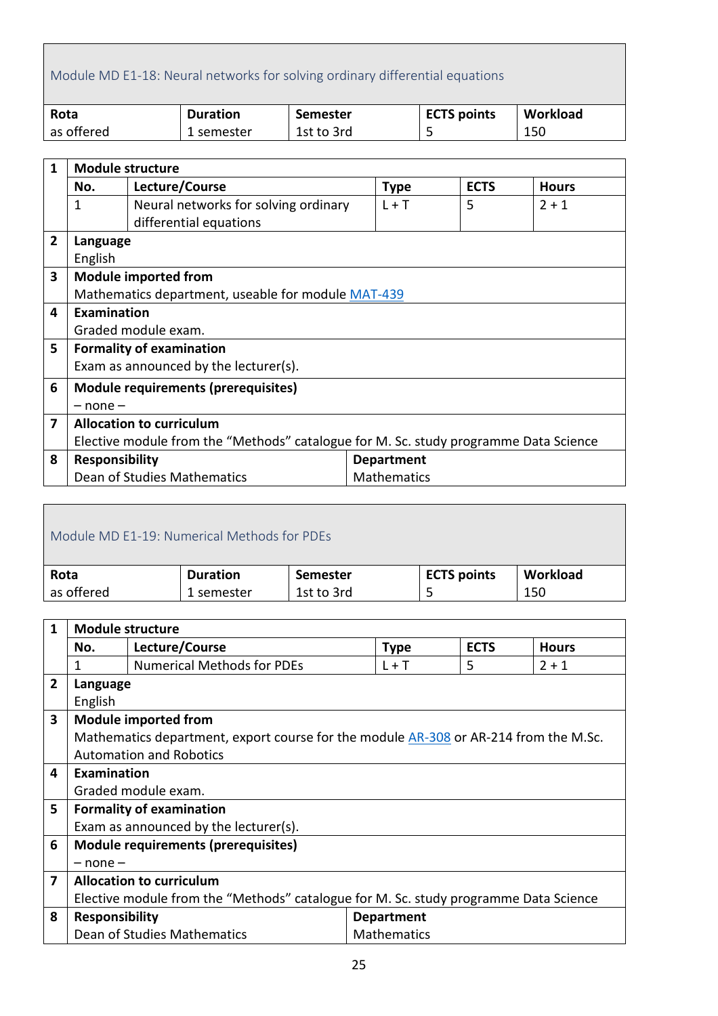# <span id="page-24-0"></span>Module MD E1-18: Neural networks for solving ordinary differential equations

| Rota       | <b>Duration</b> | Semester   | <b>ECTS points</b> | Workload |
|------------|-----------------|------------|--------------------|----------|
| as offered | 1 semester      | 1st to 3rd | ـ                  | 150      |

| $\mathbf{1}$ | <b>Module structure</b>                                                              |                                            |                    |             |              |  |  |
|--------------|--------------------------------------------------------------------------------------|--------------------------------------------|--------------------|-------------|--------------|--|--|
|              | No.                                                                                  | Lecture/Course                             | <b>Type</b>        | <b>ECTS</b> | <b>Hours</b> |  |  |
|              | 1                                                                                    | Neural networks for solving ordinary       | $L + T$            | 5           | $2 + 1$      |  |  |
|              |                                                                                      | differential equations                     |                    |             |              |  |  |
| 2            | Language                                                                             |                                            |                    |             |              |  |  |
|              | English                                                                              |                                            |                    |             |              |  |  |
| 3            |                                                                                      | <b>Module imported from</b>                |                    |             |              |  |  |
|              | Mathematics department, useable for module MAT-439                                   |                                            |                    |             |              |  |  |
| 4            | <b>Examination</b>                                                                   |                                            |                    |             |              |  |  |
|              |                                                                                      | Graded module exam.                        |                    |             |              |  |  |
| 5            |                                                                                      | <b>Formality of examination</b>            |                    |             |              |  |  |
|              |                                                                                      | Exam as announced by the lecturer(s).      |                    |             |              |  |  |
| 6            |                                                                                      | <b>Module requirements (prerequisites)</b> |                    |             |              |  |  |
|              | $-$ none $-$                                                                         |                                            |                    |             |              |  |  |
| 7            | <b>Allocation to curriculum</b>                                                      |                                            |                    |             |              |  |  |
|              | Elective module from the "Methods" catalogue for M. Sc. study programme Data Science |                                            |                    |             |              |  |  |
| 8            | <b>Responsibility</b>                                                                |                                            | <b>Department</b>  |             |              |  |  |
|              |                                                                                      | Dean of Studies Mathematics                | <b>Mathematics</b> |             |              |  |  |

<span id="page-24-1"></span>

| Module MD F1-19: Numerical Methods for PDEs |                 |            |                    |          |  |  |  |
|---------------------------------------------|-----------------|------------|--------------------|----------|--|--|--|
| Rota                                        | <b>Duration</b> | Semester   | <b>ECTS points</b> | Workload |  |  |  |
| as offered                                  | 1 semester      | 1st to 3rd |                    | 150      |  |  |  |

| 1              | <b>Module structure</b>                                                              |                                                                                      |                    |             |              |  |
|----------------|--------------------------------------------------------------------------------------|--------------------------------------------------------------------------------------|--------------------|-------------|--------------|--|
|                | No.                                                                                  | Lecture/Course                                                                       | <b>Type</b>        | <b>ECTS</b> | <b>Hours</b> |  |
|                | 1                                                                                    | <b>Numerical Methods for PDEs</b>                                                    | $L + T$            | 5           | $2 + 1$      |  |
| $\overline{2}$ | Language                                                                             |                                                                                      |                    |             |              |  |
|                | English                                                                              |                                                                                      |                    |             |              |  |
| 3              |                                                                                      | <b>Module imported from</b>                                                          |                    |             |              |  |
|                |                                                                                      | Mathematics department, export course for the module AR-308 or AR-214 from the M.Sc. |                    |             |              |  |
|                |                                                                                      | <b>Automation and Robotics</b>                                                       |                    |             |              |  |
| 4              | Examination                                                                          |                                                                                      |                    |             |              |  |
|                |                                                                                      | Graded module exam.                                                                  |                    |             |              |  |
| 5              |                                                                                      | <b>Formality of examination</b>                                                      |                    |             |              |  |
|                |                                                                                      | Exam as announced by the lecturer(s).                                                |                    |             |              |  |
| 6              |                                                                                      | <b>Module requirements (prerequisites)</b>                                           |                    |             |              |  |
|                | $-$ none $-$                                                                         |                                                                                      |                    |             |              |  |
| 7              | <b>Allocation to curriculum</b>                                                      |                                                                                      |                    |             |              |  |
|                | Elective module from the "Methods" catalogue for M. Sc. study programme Data Science |                                                                                      |                    |             |              |  |
| 8              | <b>Responsibility</b>                                                                |                                                                                      | <b>Department</b>  |             |              |  |
|                |                                                                                      | Dean of Studies Mathematics                                                          | <b>Mathematics</b> |             |              |  |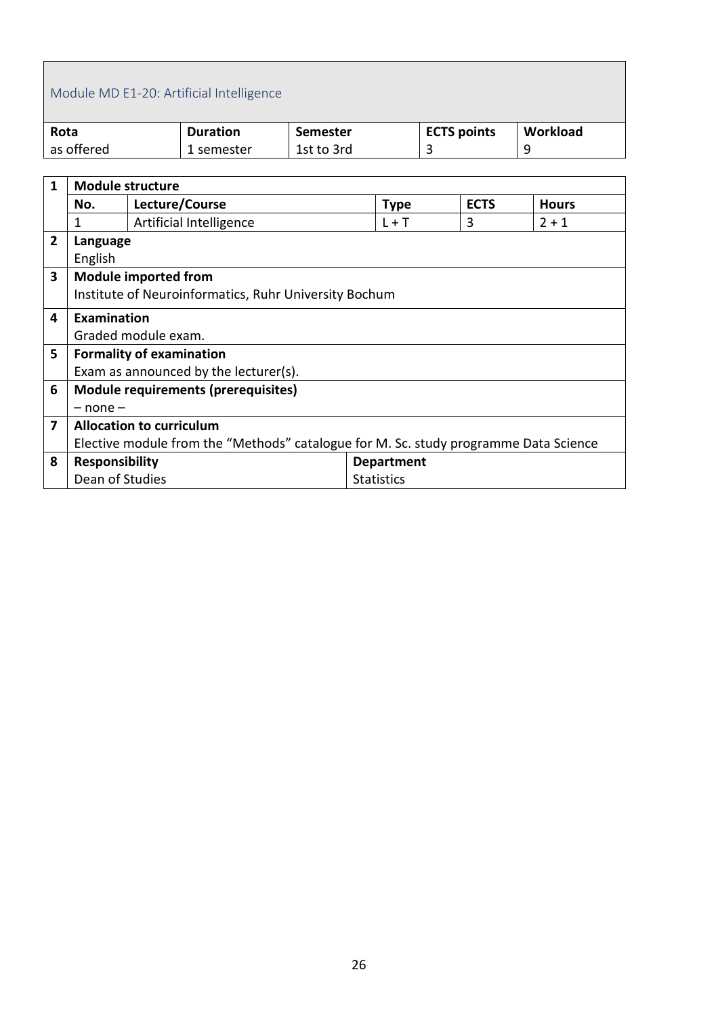# <span id="page-25-0"></span>Module MD E1-20: Artificial Intelligence

| Rota       | <b>Duration</b> | Semester   | <b>ECTS points</b> | Workload |
|------------|-----------------|------------|--------------------|----------|
| as offered | 1 semester      | 1st to 3rd |                    |          |

| 1            |                                                                                      | <b>Module structure</b>               |                   |             |              |  |  |  |
|--------------|--------------------------------------------------------------------------------------|---------------------------------------|-------------------|-------------|--------------|--|--|--|
|              | No.                                                                                  | Lecture/Course                        | <b>Type</b>       | <b>ECTS</b> | <b>Hours</b> |  |  |  |
|              | 1                                                                                    | Artificial Intelligence               | $L + T$           | 3           | $2 + 1$      |  |  |  |
| $\mathbf{2}$ | Language                                                                             |                                       |                   |             |              |  |  |  |
|              | English                                                                              |                                       |                   |             |              |  |  |  |
| 3            |                                                                                      | <b>Module imported from</b>           |                   |             |              |  |  |  |
|              | Institute of Neuroinformatics, Ruhr University Bochum                                |                                       |                   |             |              |  |  |  |
| 4            | Examination                                                                          |                                       |                   |             |              |  |  |  |
|              |                                                                                      | Graded module exam.                   |                   |             |              |  |  |  |
| 5            |                                                                                      | <b>Formality of examination</b>       |                   |             |              |  |  |  |
|              |                                                                                      | Exam as announced by the lecturer(s). |                   |             |              |  |  |  |
| 6            |                                                                                      | Module requirements (prerequisites)   |                   |             |              |  |  |  |
|              | $-$ none $-$                                                                         |                                       |                   |             |              |  |  |  |
| 7            | <b>Allocation to curriculum</b>                                                      |                                       |                   |             |              |  |  |  |
|              | Elective module from the "Methods" catalogue for M. Sc. study programme Data Science |                                       |                   |             |              |  |  |  |
| 8            | <b>Responsibility</b>                                                                |                                       | <b>Department</b> |             |              |  |  |  |
|              | Dean of Studies                                                                      |                                       | <b>Statistics</b> |             |              |  |  |  |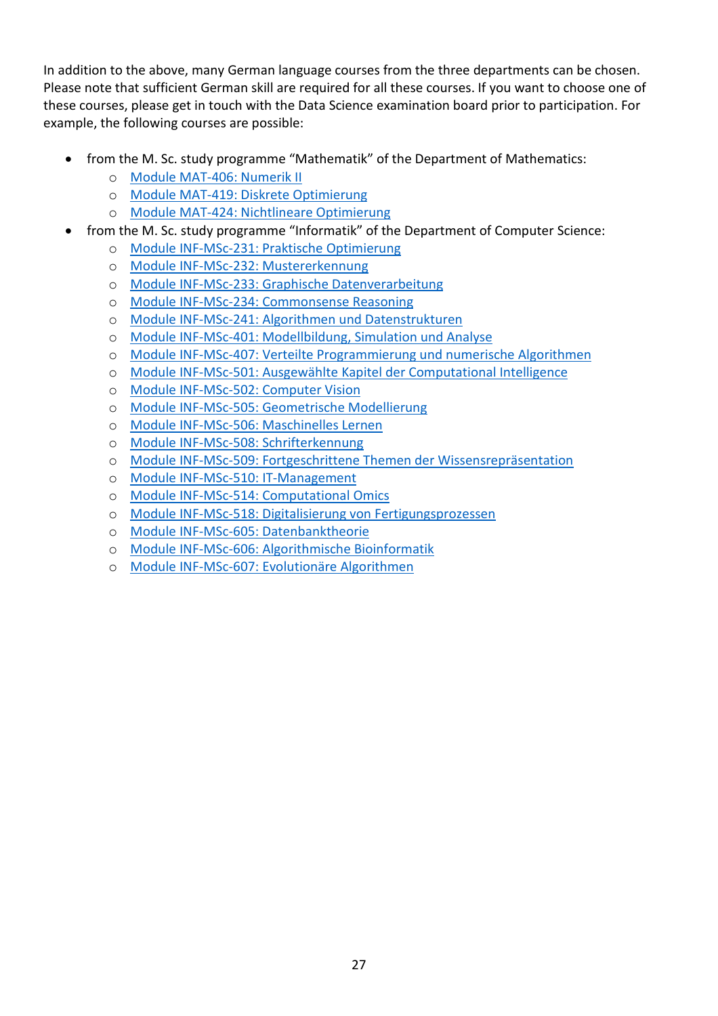In addition to the above, many German language courses from the three departments can be chosen. Please note that sufficient German skill are required for all these courses. If you want to choose one of these courses, please get in touch with the Data Science examination board prior to participation. For example, the following courses are possible:

- from the M. Sc. study programme "Mathematik" of the Department of Mathematics:
	- o [Module MAT-406: Numerik II](http://www.mathematik.tu-dortmund.de/modulhandbuch/index.php/MAT-406)
	- o [Module MAT-419: Diskrete Optimierung](http://www.mathematik.tu-dortmund.de/modulhandbuch/index.php/MAT-419)
	- o [Module MAT-424: Nichtlineare Optimierung](http://www.mathematik.tu-dortmund.de/modulhandbuch/index.php/MAT-424)
- from the M. Sc. study programme "Informatik" of the Department of Computer Science:
	- o [Module INF-MSc-231: Praktische Optimierung](http://www.cs.tu-dortmund.de/nps/de/Studium/Ordnungen_Handbuecher_Beschluesse/Modulhandbuecher/Master_Inf/Basismodule/Forschungsbereich_Intelligente_Systeme/INF-MSc-231.pdf)<br>o Module INF-MSc-232: Mustererkennung
	- [Module INF-MSc-232: Mustererkennung](http://www.cs.tu-dortmund.de/nps/de/Studium/Ordnungen_Handbuecher_Beschluesse/Modulhandbuecher/Master_Inf/Basismodule/Forschungsbereich_Intelligente_Systeme/INF-MSc-232.pdf)
	- o [Module INF-MSc-233: Graphische Datenverarbeitung](http://www.cs.tu-dortmund.de/nps/de/Studium/Ordnungen_Handbuecher_Beschluesse/Modulhandbuecher/Master_Inf/Basismodule/Forschungsbereich_Intelligente_Systeme/INF-MSc-233.pdf)
	- o [Module INF-MSc-234: Commonsense Reasoning](http://www.cs.tu-dortmund.de/nps/de/Studium/Ordnungen_Handbuecher_Beschluesse/Modulhandbuecher/Master_Inf/Basismodule/Forschungsbereich_Intelligente_Systeme/INF-MSc-234.pdf)
	- o [Module INF-MSc-241: Algorithmen und Datenstrukturen](http://www.cs.tu-dortmund.de/nps/de/Studium/Ordnungen_Handbuecher_Beschluesse/Modulhandbuecher/Master_Inf/Basismodule/Forschungsbereich_Algorithmen_und_Komplexitaet/INF-MSc-241.pdf)
	- o [Module INF-MSc-401: Modellbildung, Simulation und Analyse](http://www.cs.tu-dortmund.de/nps/de/Studium/Ordnungen_Handbuecher_Beschluesse/Modulhandbuecher/Master_Inf/Vertiefungsmodule/Forschungsbereich_Eingebettete_und_verteilte_Systeme/INF-MSc-401.pdf)
	- o [Module INF-MSc-407: Verteilte Programmierung und numerische Algorithmen](http://www.cs.tu-dortmund.de/nps/de/Studium/Ordnungen_Handbuecher_Beschluesse/Modulhandbuecher/Master_Inf/Vertiefungsmodule/Forschungsbereich_Eingebettete_und_verteilte_Systeme/INF-MSc-407.pdf)
	- o [Module INF-MSc-501: Ausgewählte Kapitel der Computational Intelligence](http://www.cs.tu-dortmund.de/nps/de/Studium/Ordnungen_Handbuecher_Beschluesse/Modulhandbuecher/Master_Inf/Vertiefungsmodule/Forschungsbereich_Intelligente_Systeme/INF-MSc-501.pdf)
	- o [Module INF-MSc-502: Computer Vision](http://www.cs.tu-dortmund.de/nps/de/Studium/Ordnungen_Handbuecher_Beschluesse/Modulhandbuecher/Master_Inf/Vertiefungsmodule/Forschungsbereich_Intelligente_Systeme/INF-MSc-502.pdf)<br>
	o Module INF-MSc-505: Geometrische Mo
	- [Module INF-MSc-505: Geometrische Modellierung](http://www.cs.tu-dortmund.de/nps/de/Studium/Ordnungen_Handbuecher_Beschluesse/Modulhandbuecher/Master_Inf/Vertiefungsmodule/Forschungsbereich_Intelligente_Systeme/INF-MSc-505.pdf)
	- o [Module INF-MSc-506: Maschinelles Lernen](http://www.cs.tu-dortmund.de/nps/de/Studium/Ordnungen_Handbuecher_Beschluesse/Modulhandbuecher/Master_Inf/Vertiefungsmodule/Forschungsbereich_Intelligente_Systeme/INF-MSc-506.pdf)
	- o [Module INF-MSc-508: Schrifterkennung](http://www.cs.tu-dortmund.de/nps/de/Studium/Ordnungen_Handbuecher_Beschluesse/Modulhandbuecher/Master_Inf/Vertiefungsmodule/Forschungsbereich_Intelligente_Systeme/INF-MSc-508.pdf)
	- o [Module INF-MSc-509: Fortgeschrittene Themen der Wissensrepräsentation](http://www.cs.tu-dortmund.de/nps/de/Studium/Ordnungen_Handbuecher_Beschluesse/Modulhandbuecher/Master_Inf/Vertiefungsmodule/Forschungsbereich_Intelligente_Systeme/INF-MSc-509.pdf)
	- [Module INF-MSc-510: IT-Management](http://www.cs.tu-dortmund.de/nps/de/Studium/Ordnungen_Handbuecher_Beschluesse/Modulhandbuecher/Master_Inf/Vertiefungsmodule/Forschungsbereich_Intelligente_Systeme/INF-MSc-510.pdf)
	- o [Module INF-MSc-514: Computational Omics](http://www.cs.tu-dortmund.de/nps/de/Studium/Ordnungen_Handbuecher_Beschluesse/Modulhandbuecher/Master_Inf/Vertiefungsmodule/Forschungsbereich_Intelligente_Systeme/INF-MSc-514.pdf)
	- o [Module INF-MSc-518: Digitalisierung von Fertigungsprozessen](http://www.cs.tu-dortmund.de/nps/de/Studium/Ordnungen_Handbuecher_Beschluesse/Modulhandbuecher/Master_Inf/Vertiefungsmodule/Forschungsbereich_Intelligente_Systeme/INF-MSc-518.pdf)
	- o [Module INF-MSc-605: Datenbanktheorie](http://www.cs.tu-dortmund.de/nps/de/Studium/Ordnungen_Handbuecher_Beschluesse/Modulhandbuecher/Master_Inf/Vertiefungsmodule/Forschungsbereich_Algorithmen_und_Komplexitaet/INF-MSc-605.pdf)
	- o [Module INF-MSc-606: Algorithmische Bioinformatik](http://www.cs.tu-dortmund.de/nps/de/Studium/Ordnungen_Handbuecher_Beschluesse/Modulhandbuecher/Master_Inf/Vertiefungsmodule/Forschungsbereich_Algorithmen_und_Komplexitaet/INF-MSc-606.pdf)
	- o [Module INF-MSc-607: Evolutionäre Algorithmen](http://www.cs.tu-dortmund.de/nps/de/Studium/Ordnungen_Handbuecher_Beschluesse/Modulhandbuecher/Master_Inf/Vertiefungsmodule/Forschungsbereich_Algorithmen_und_Komplexitaet/INF-MSc-607.pdf)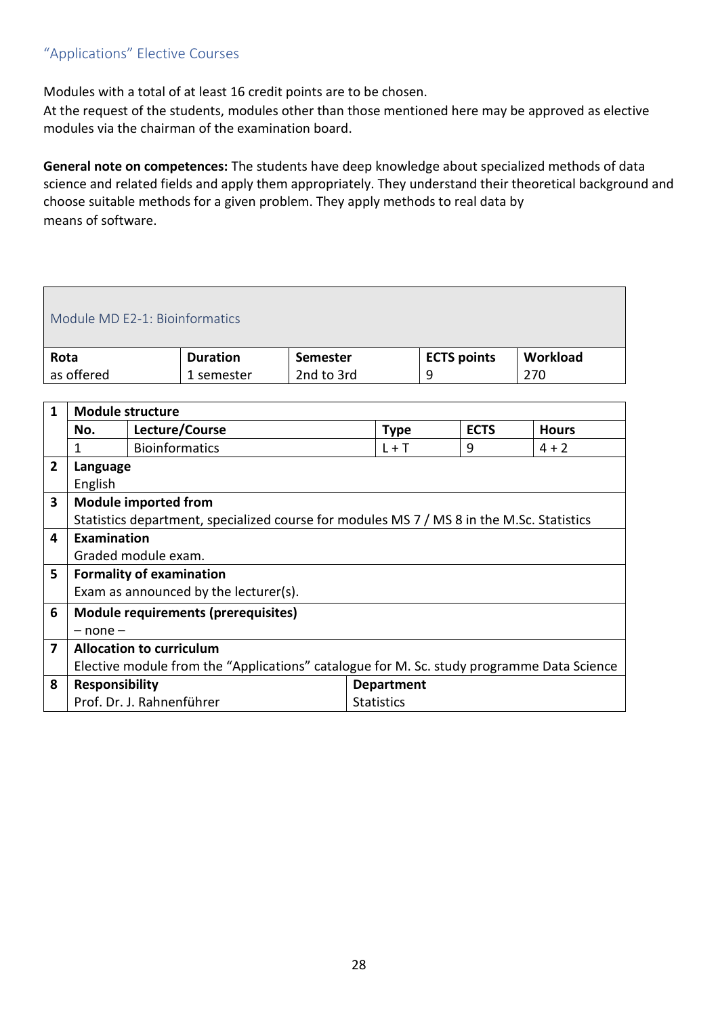#### <span id="page-27-0"></span>"Applications" Elective Courses

Modules with a total of at least 16 credit points are to be chosen.

At the request of the students, modules other than those mentioned here may be approved as elective modules via the chairman of the examination board.

**General note on competences:** The students have deep knowledge about specialized methods of data science and related fields and apply them appropriately. They understand their theoretical background and choose suitable methods for a given problem. They apply methods to real data by means of software.

#### <span id="page-27-1"></span>Module MD E2-1: Bioinformatics **Rota** as offered **Duration**  1 semester **Semester** 2nd to 3rd **ECTS points** 9 **Workload** 270

| $\mathbf{1}$   | <b>Module structure</b>                                                                   |                                                                                           |                   |             |              |  |  |
|----------------|-------------------------------------------------------------------------------------------|-------------------------------------------------------------------------------------------|-------------------|-------------|--------------|--|--|
|                | No.                                                                                       | Lecture/Course                                                                            | <b>Type</b>       | <b>ECTS</b> | <b>Hours</b> |  |  |
|                | 1                                                                                         | <b>Bioinformatics</b>                                                                     | $L + T$           | 9           | $4 + 2$      |  |  |
| $\overline{2}$ | Language                                                                                  |                                                                                           |                   |             |              |  |  |
|                | English                                                                                   |                                                                                           |                   |             |              |  |  |
| 3              |                                                                                           | <b>Module imported from</b>                                                               |                   |             |              |  |  |
|                |                                                                                           | Statistics department, specialized course for modules MS 7 / MS 8 in the M.Sc. Statistics |                   |             |              |  |  |
| 4              | <b>Examination</b>                                                                        |                                                                                           |                   |             |              |  |  |
|                |                                                                                           | Graded module exam.                                                                       |                   |             |              |  |  |
| 5              |                                                                                           | <b>Formality of examination</b>                                                           |                   |             |              |  |  |
|                |                                                                                           | Exam as announced by the lecturer(s).                                                     |                   |             |              |  |  |
| 6              |                                                                                           | <b>Module requirements (prerequisites)</b>                                                |                   |             |              |  |  |
|                | $-$ none $-$                                                                              |                                                                                           |                   |             |              |  |  |
| 7              | <b>Allocation to curriculum</b>                                                           |                                                                                           |                   |             |              |  |  |
|                | Elective module from the "Applications" catalogue for M. Sc. study programme Data Science |                                                                                           |                   |             |              |  |  |
| 8              | <b>Responsibility</b>                                                                     |                                                                                           | <b>Department</b> |             |              |  |  |
|                |                                                                                           | Prof. Dr. J. Rahnenführer                                                                 | <b>Statistics</b> |             |              |  |  |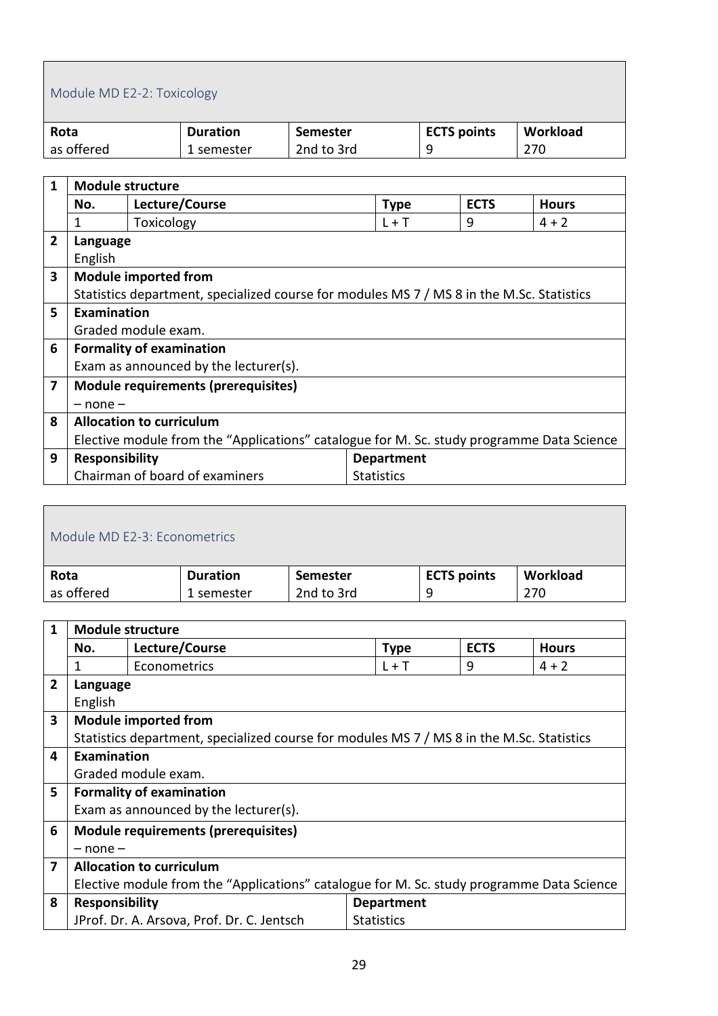# <span id="page-28-0"></span>Module MD E2-2: Toxicology

| Rota       | <b>Duration</b> | Semester   | <b>ECTS points</b> | Workload |
|------------|-----------------|------------|--------------------|----------|
| as offered | . semester      | 2nd to 3rd |                    | 270      |

| 1              | <b>Module structure</b>                                                                   |                                                                                           |                   |   |         |  |  |  |
|----------------|-------------------------------------------------------------------------------------------|-------------------------------------------------------------------------------------------|-------------------|---|---------|--|--|--|
|                | Lecture/Course<br><b>ECTS</b><br><b>Hours</b><br>No.<br><b>Type</b>                       |                                                                                           |                   |   |         |  |  |  |
|                | 1                                                                                         | Toxicology                                                                                | $L + T$           | 9 | $4 + 2$ |  |  |  |
| $\overline{2}$ | Language                                                                                  |                                                                                           |                   |   |         |  |  |  |
|                | English                                                                                   |                                                                                           |                   |   |         |  |  |  |
| 3              |                                                                                           | <b>Module imported from</b>                                                               |                   |   |         |  |  |  |
|                |                                                                                           | Statistics department, specialized course for modules MS 7 / MS 8 in the M.Sc. Statistics |                   |   |         |  |  |  |
| 5              | Examination                                                                               |                                                                                           |                   |   |         |  |  |  |
|                |                                                                                           | Graded module exam.                                                                       |                   |   |         |  |  |  |
| 6              |                                                                                           | <b>Formality of examination</b>                                                           |                   |   |         |  |  |  |
|                |                                                                                           | Exam as announced by the lecturer(s).                                                     |                   |   |         |  |  |  |
| 7              |                                                                                           | <b>Module requirements (prerequisites)</b>                                                |                   |   |         |  |  |  |
|                | $-$ none $-$                                                                              |                                                                                           |                   |   |         |  |  |  |
| 8              | <b>Allocation to curriculum</b>                                                           |                                                                                           |                   |   |         |  |  |  |
|                | Elective module from the "Applications" catalogue for M. Sc. study programme Data Science |                                                                                           |                   |   |         |  |  |  |
| 9              | <b>Responsibility</b>                                                                     |                                                                                           | <b>Department</b> |   |         |  |  |  |
|                |                                                                                           | Chairman of board of examiners                                                            | <b>Statistics</b> |   |         |  |  |  |

<span id="page-28-1"></span>

| Module MD E2-3: Econometrics |                 |            |                    |          |  |  |
|------------------------------|-----------------|------------|--------------------|----------|--|--|
| Rota                         | <b>Duration</b> | Semester   | <b>ECTS points</b> | Workload |  |  |
| as offered                   | 1 semester      | 2nd to 3rd | q                  | 270      |  |  |

| 1              | <b>Module structure</b>                                                                   |                                                                                           |                   |   |         |  |  |  |
|----------------|-------------------------------------------------------------------------------------------|-------------------------------------------------------------------------------------------|-------------------|---|---------|--|--|--|
|                | No.                                                                                       | <b>ECTS</b>                                                                               | <b>Hours</b>      |   |         |  |  |  |
|                | 1                                                                                         | Econometrics                                                                              | $L + T$           | 9 | $4 + 2$ |  |  |  |
| $\overline{2}$ | Language                                                                                  |                                                                                           |                   |   |         |  |  |  |
|                | English                                                                                   |                                                                                           |                   |   |         |  |  |  |
| 3              |                                                                                           | <b>Module imported from</b>                                                               |                   |   |         |  |  |  |
|                |                                                                                           | Statistics department, specialized course for modules MS 7 / MS 8 in the M.Sc. Statistics |                   |   |         |  |  |  |
| 4              | Examination                                                                               |                                                                                           |                   |   |         |  |  |  |
|                |                                                                                           | Graded module exam.                                                                       |                   |   |         |  |  |  |
| 5              |                                                                                           | <b>Formality of examination</b>                                                           |                   |   |         |  |  |  |
|                |                                                                                           | Exam as announced by the lecturer(s).                                                     |                   |   |         |  |  |  |
| 6              |                                                                                           | <b>Module requirements (prerequisites)</b>                                                |                   |   |         |  |  |  |
|                | $-$ none $-$                                                                              |                                                                                           |                   |   |         |  |  |  |
| 7              | <b>Allocation to curriculum</b>                                                           |                                                                                           |                   |   |         |  |  |  |
|                | Elective module from the "Applications" catalogue for M. Sc. study programme Data Science |                                                                                           |                   |   |         |  |  |  |
| 8              |                                                                                           | <b>Responsibility</b><br><b>Department</b>                                                |                   |   |         |  |  |  |
|                |                                                                                           | JProf. Dr. A. Arsova, Prof. Dr. C. Jentsch                                                | <b>Statistics</b> |   |         |  |  |  |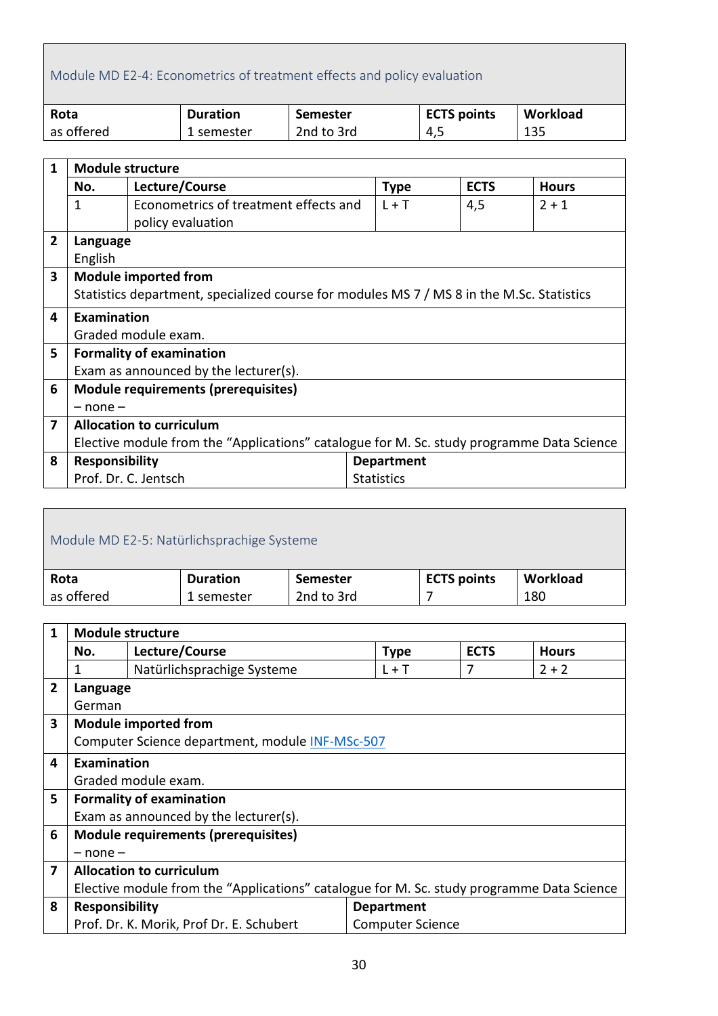# <span id="page-29-0"></span>Module MD E2-4: Econometrics of treatment effects and policy evaluation

| Rota       | <b>Duration</b> | Semester   | <b>ECTS points</b> | Workload |
|------------|-----------------|------------|--------------------|----------|
| as offered | 1 semester      | 2nd to 3rd | 4,5                | 135      |

| 1 | <b>Module structure</b>                                                                   |                                                                                           |                   |     |         |  |  |
|---|-------------------------------------------------------------------------------------------|-------------------------------------------------------------------------------------------|-------------------|-----|---------|--|--|
|   | Lecture/Course<br><b>ECTS</b><br><b>Hours</b><br>No.<br><b>Type</b>                       |                                                                                           |                   |     |         |  |  |
|   | 1                                                                                         | Econometrics of treatment effects and                                                     | $L + T$           | 4,5 | $2 + 1$ |  |  |
|   |                                                                                           | policy evaluation                                                                         |                   |     |         |  |  |
| 2 | Language                                                                                  |                                                                                           |                   |     |         |  |  |
|   | English                                                                                   |                                                                                           |                   |     |         |  |  |
| 3 |                                                                                           | <b>Module imported from</b>                                                               |                   |     |         |  |  |
|   |                                                                                           | Statistics department, specialized course for modules MS 7 / MS 8 in the M.Sc. Statistics |                   |     |         |  |  |
| 4 | Examination                                                                               |                                                                                           |                   |     |         |  |  |
|   |                                                                                           | Graded module exam.                                                                       |                   |     |         |  |  |
| 5 |                                                                                           | <b>Formality of examination</b>                                                           |                   |     |         |  |  |
|   |                                                                                           | Exam as announced by the lecturer(s).                                                     |                   |     |         |  |  |
| 6 |                                                                                           | <b>Module requirements (prerequisites)</b>                                                |                   |     |         |  |  |
|   | $-$ none $-$                                                                              |                                                                                           |                   |     |         |  |  |
| 7 | <b>Allocation to curriculum</b>                                                           |                                                                                           |                   |     |         |  |  |
|   | Elective module from the "Applications" catalogue for M. Sc. study programme Data Science |                                                                                           |                   |     |         |  |  |
| 8 | Responsibility                                                                            |                                                                                           | <b>Department</b> |     |         |  |  |
|   |                                                                                           | Prof. Dr. C. Jentsch                                                                      | <b>Statistics</b> |     |         |  |  |

<span id="page-29-1"></span>

| Module MD E2-5: Natürlichsprachige Systeme |                 |                 |                    |          |  |  |  |  |
|--------------------------------------------|-----------------|-----------------|--------------------|----------|--|--|--|--|
| Rota                                       | <b>Duration</b> | <b>Semester</b> | <b>ECTS points</b> | Workload |  |  |  |  |
| 2nd to 3rd<br>180<br>1 semester            |                 |                 |                    |          |  |  |  |  |
| as offered                                 |                 |                 |                    |          |  |  |  |  |

| $\mathbf{1}$   | <b>Module structure</b>                                                                   |                                                 |                         |   |         |  |  |
|----------------|-------------------------------------------------------------------------------------------|-------------------------------------------------|-------------------------|---|---------|--|--|
|                | Lecture/Course<br><b>ECTS</b><br><b>Type</b><br><b>Hours</b><br>No.                       |                                                 |                         |   |         |  |  |
|                | 1                                                                                         | Natürlichsprachige Systeme                      | $L + T$                 | 7 | $2 + 2$ |  |  |
| $\overline{2}$ | Language                                                                                  |                                                 |                         |   |         |  |  |
|                | German                                                                                    |                                                 |                         |   |         |  |  |
| 3              |                                                                                           | <b>Module imported from</b>                     |                         |   |         |  |  |
|                |                                                                                           | Computer Science department, module INF-MSc-507 |                         |   |         |  |  |
| 4              | <b>Examination</b>                                                                        |                                                 |                         |   |         |  |  |
|                |                                                                                           | Graded module exam.                             |                         |   |         |  |  |
| 5              |                                                                                           | <b>Formality of examination</b>                 |                         |   |         |  |  |
|                |                                                                                           | Exam as announced by the lecturer(s).           |                         |   |         |  |  |
| 6              |                                                                                           | <b>Module requirements (prerequisites)</b>      |                         |   |         |  |  |
|                | $-$ none $-$                                                                              |                                                 |                         |   |         |  |  |
| 7              | <b>Allocation to curriculum</b>                                                           |                                                 |                         |   |         |  |  |
|                | Elective module from the "Applications" catalogue for M. Sc. study programme Data Science |                                                 |                         |   |         |  |  |
| 8              | <b>Responsibility</b><br><b>Department</b>                                                |                                                 |                         |   |         |  |  |
|                |                                                                                           | Prof. Dr. K. Morik, Prof Dr. E. Schubert        | <b>Computer Science</b> |   |         |  |  |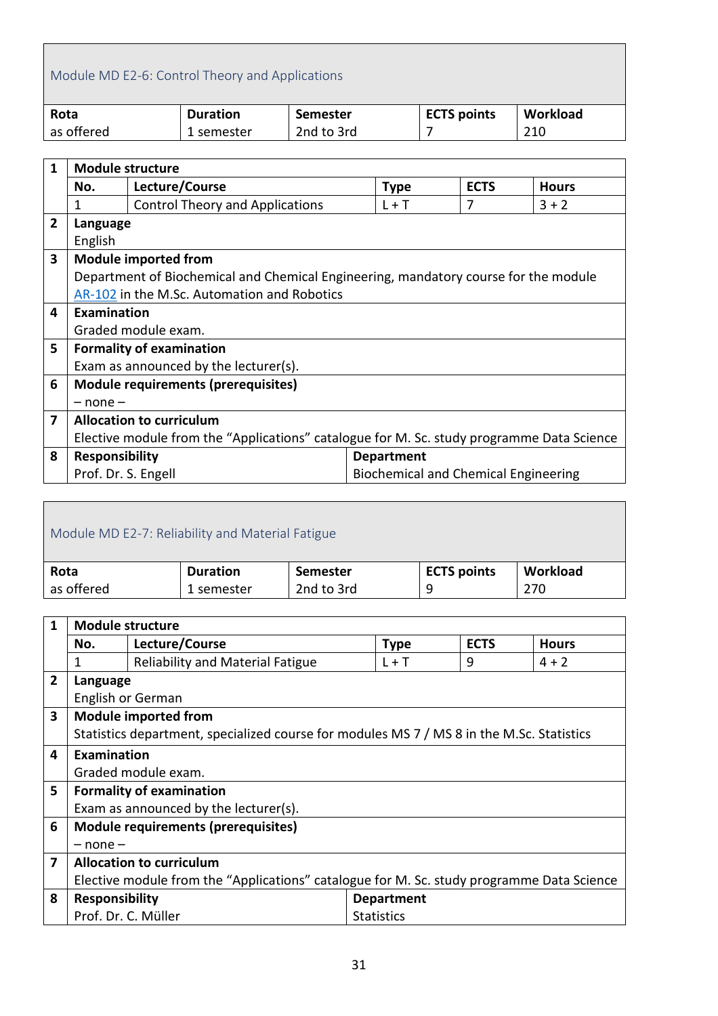<span id="page-30-0"></span>

|             | Module MD E2-6: Control Theory and Applications                                                              |  |                 |                 |  |  |                    |  |          |
|-------------|--------------------------------------------------------------------------------------------------------------|--|-----------------|-----------------|--|--|--------------------|--|----------|
| Rota        |                                                                                                              |  | <b>Duration</b> | <b>Semester</b> |  |  | <b>ECTS points</b> |  | Workload |
|             | as offered                                                                                                   |  | 1 semester      | 2nd to 3rd      |  |  |                    |  | 210      |
|             |                                                                                                              |  |                 |                 |  |  |                    |  |          |
| $\mathbf 1$ | <b>Module structure</b>                                                                                      |  |                 |                 |  |  |                    |  |          |
|             | $\mathbf{1}$ and $\mathbf{1}$ and $\mathbf{1}$ and $\mathbf{1}$<br><b>AL</b><br>- ---<br>$\blacksquare$<br>. |  |                 |                 |  |  |                    |  |          |

|              | No.                                                                                       | Lecture/Course                                                                      | <b>Type</b>                          | <b>ECTS</b> | <b>Hours</b> |  |  |
|--------------|-------------------------------------------------------------------------------------------|-------------------------------------------------------------------------------------|--------------------------------------|-------------|--------------|--|--|
|              | 1                                                                                         | <b>Control Theory and Applications</b>                                              | $L + T$                              | 7           | $3 + 2$      |  |  |
| $\mathbf{2}$ | Language                                                                                  |                                                                                     |                                      |             |              |  |  |
|              | English                                                                                   |                                                                                     |                                      |             |              |  |  |
| $\mathbf{3}$ |                                                                                           | <b>Module imported from</b>                                                         |                                      |             |              |  |  |
|              |                                                                                           | Department of Biochemical and Chemical Engineering, mandatory course for the module |                                      |             |              |  |  |
|              |                                                                                           | AR-102 in the M.Sc. Automation and Robotics                                         |                                      |             |              |  |  |
| 4            | <b>Examination</b>                                                                        |                                                                                     |                                      |             |              |  |  |
|              |                                                                                           | Graded module exam.                                                                 |                                      |             |              |  |  |
| 5.           |                                                                                           | <b>Formality of examination</b>                                                     |                                      |             |              |  |  |
|              |                                                                                           | Exam as announced by the lecturer(s).                                               |                                      |             |              |  |  |
| 6            |                                                                                           | <b>Module requirements (prerequisites)</b>                                          |                                      |             |              |  |  |
|              | $-$ none $-$                                                                              |                                                                                     |                                      |             |              |  |  |
| 7            | <b>Allocation to curriculum</b>                                                           |                                                                                     |                                      |             |              |  |  |
|              | Elective module from the "Applications" catalogue for M. Sc. study programme Data Science |                                                                                     |                                      |             |              |  |  |
| 8            | <b>Responsibility</b>                                                                     |                                                                                     | <b>Department</b>                    |             |              |  |  |
|              | Prof. Dr. S. Engell                                                                       |                                                                                     | Biochemical and Chemical Engineering |             |              |  |  |
|              |                                                                                           |                                                                                     |                                      |             |              |  |  |

<span id="page-30-1"></span>

| Module MD E2-7: Reliability and Material Fatigue                             |            |            |   |     |  |  |  |  |
|------------------------------------------------------------------------------|------------|------------|---|-----|--|--|--|--|
| Workload<br><b>ECTS points</b><br><b>Duration</b><br>Rota<br><b>Semester</b> |            |            |   |     |  |  |  |  |
| as offered                                                                   | 1 semester | 2nd to 3rd | q | 270 |  |  |  |  |

| $\mathbf{1}$   | <b>Module structure</b>                                                                   |                                                                                           |                   |                   |   |         |  |  |
|----------------|-------------------------------------------------------------------------------------------|-------------------------------------------------------------------------------------------|-------------------|-------------------|---|---------|--|--|
|                | Lecture/Course<br><b>ECTS</b><br><b>Type</b><br><b>Hours</b><br>No.                       |                                                                                           |                   |                   |   |         |  |  |
|                | 1                                                                                         | <b>Reliability and Material Fatigue</b>                                                   |                   | $L + T$           | 9 | $4 + 2$ |  |  |
| $\overline{2}$ | Language                                                                                  |                                                                                           |                   |                   |   |         |  |  |
|                |                                                                                           | English or German                                                                         |                   |                   |   |         |  |  |
| 3              |                                                                                           | <b>Module imported from</b>                                                               |                   |                   |   |         |  |  |
|                |                                                                                           | Statistics department, specialized course for modules MS 7 / MS 8 in the M.Sc. Statistics |                   |                   |   |         |  |  |
| 4              | Examination                                                                               |                                                                                           |                   |                   |   |         |  |  |
|                |                                                                                           | Graded module exam.                                                                       |                   |                   |   |         |  |  |
| 5              |                                                                                           | <b>Formality of examination</b>                                                           |                   |                   |   |         |  |  |
|                |                                                                                           | Exam as announced by the lecturer(s).                                                     |                   |                   |   |         |  |  |
| 6              |                                                                                           | <b>Module requirements (prerequisites)</b>                                                |                   |                   |   |         |  |  |
|                | $-$ none $-$                                                                              |                                                                                           |                   |                   |   |         |  |  |
| 7              | <b>Allocation to curriculum</b>                                                           |                                                                                           |                   |                   |   |         |  |  |
|                | Elective module from the "Applications" catalogue for M. Sc. study programme Data Science |                                                                                           |                   |                   |   |         |  |  |
| 8              | <b>Responsibility</b>                                                                     |                                                                                           |                   | <b>Department</b> |   |         |  |  |
|                | Prof. Dr. C. Müller                                                                       |                                                                                           | <b>Statistics</b> |                   |   |         |  |  |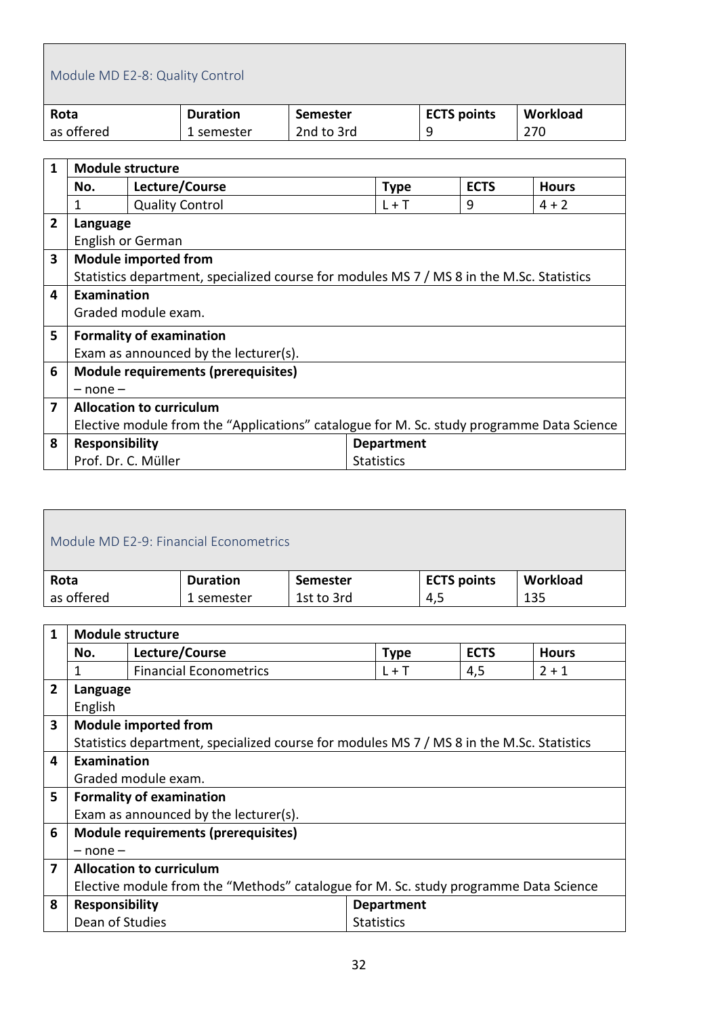<span id="page-31-0"></span>

|                | Module MD E2-8: Quality Control       |                        |                                                                                           |                 |                   |                    |     |              |
|----------------|---------------------------------------|------------------------|-------------------------------------------------------------------------------------------|-----------------|-------------------|--------------------|-----|--------------|
| Rota           |                                       |                        | <b>Duration</b>                                                                           | <b>Semester</b> |                   | <b>ECTS points</b> |     | Workload     |
|                | as offered                            |                        | 1 semester                                                                                | 2nd to 3rd      |                   | 9                  | 270 |              |
|                |                                       |                        |                                                                                           |                 |                   |                    |     |              |
| 1              | <b>Module structure</b>               |                        |                                                                                           |                 |                   |                    |     |              |
|                | No.                                   |                        | Lecture/Course                                                                            |                 | <b>Type</b>       | <b>ECTS</b>        |     | <b>Hours</b> |
|                | 1                                     | <b>Quality Control</b> |                                                                                           |                 | $L + T$           | 9                  |     | $4 + 2$      |
| $\overline{2}$ | Language                              |                        |                                                                                           |                 |                   |                    |     |              |
|                |                                       | English or German      |                                                                                           |                 |                   |                    |     |              |
| 3              | <b>Module imported from</b>           |                        |                                                                                           |                 |                   |                    |     |              |
|                |                                       |                        | Statistics department, specialized course for modules MS 7 / MS 8 in the M.Sc. Statistics |                 |                   |                    |     |              |
| 4              | Examination                           |                        |                                                                                           |                 |                   |                    |     |              |
|                |                                       | Graded module exam.    |                                                                                           |                 |                   |                    |     |              |
| 5              | <b>Formality of examination</b>       |                        |                                                                                           |                 |                   |                    |     |              |
|                | Exam as announced by the lecturer(s). |                        |                                                                                           |                 |                   |                    |     |              |
| 6              |                                       |                        | Module requirements (prerequisites)                                                       |                 |                   |                    |     |              |
|                | $-$ none $-$                          |                        |                                                                                           |                 |                   |                    |     |              |
| 7              | <b>Allocation to curriculum</b>       |                        |                                                                                           |                 |                   |                    |     |              |
|                |                                       |                        | Elective module from the "Applications" catalogue for M. Sc. study programme Data Science |                 |                   |                    |     |              |
| 8              | Responsibility                        |                        |                                                                                           |                 | <b>Department</b> |                    |     |              |

<span id="page-31-1"></span>

| Module MD E2-9: Financial Econometrics |                 |                 |                    |          |  |  |
|----------------------------------------|-----------------|-----------------|--------------------|----------|--|--|
| Rota                                   | <b>Duration</b> | <b>Semester</b> | <b>ECTS points</b> | Workload |  |  |
| as offered                             | 1 semester      | 1st to 3rd      | 4,5                | 135      |  |  |

Statistics

Prof. Dr. C. Müller

| 1              | <b>Module structure</b>                                                              |                                                                                           |                   |             |              |  |  |  |
|----------------|--------------------------------------------------------------------------------------|-------------------------------------------------------------------------------------------|-------------------|-------------|--------------|--|--|--|
|                | No.                                                                                  | Lecture/Course                                                                            | <b>Type</b>       | <b>ECTS</b> | <b>Hours</b> |  |  |  |
|                | 1                                                                                    | <b>Financial Econometrics</b>                                                             | $L + T$           | 4,5         | $2 + 1$      |  |  |  |
| $\overline{2}$ | Language                                                                             |                                                                                           |                   |             |              |  |  |  |
|                | English                                                                              |                                                                                           |                   |             |              |  |  |  |
| 3              |                                                                                      | <b>Module imported from</b>                                                               |                   |             |              |  |  |  |
|                |                                                                                      | Statistics department, specialized course for modules MS 7 / MS 8 in the M.Sc. Statistics |                   |             |              |  |  |  |
| 4              | Examination                                                                          |                                                                                           |                   |             |              |  |  |  |
|                |                                                                                      | Graded module exam.                                                                       |                   |             |              |  |  |  |
| 5              |                                                                                      | <b>Formality of examination</b>                                                           |                   |             |              |  |  |  |
|                |                                                                                      | Exam as announced by the lecturer(s).                                                     |                   |             |              |  |  |  |
| 6              |                                                                                      | Module requirements (prerequisites)                                                       |                   |             |              |  |  |  |
|                | $-$ none $-$                                                                         |                                                                                           |                   |             |              |  |  |  |
| 7              |                                                                                      | <b>Allocation to curriculum</b>                                                           |                   |             |              |  |  |  |
|                | Elective module from the "Methods" catalogue for M. Sc. study programme Data Science |                                                                                           |                   |             |              |  |  |  |
| 8              | <b>Responsibility</b>                                                                |                                                                                           | <b>Department</b> |             |              |  |  |  |
|                | Dean of Studies                                                                      |                                                                                           | <b>Statistics</b> |             |              |  |  |  |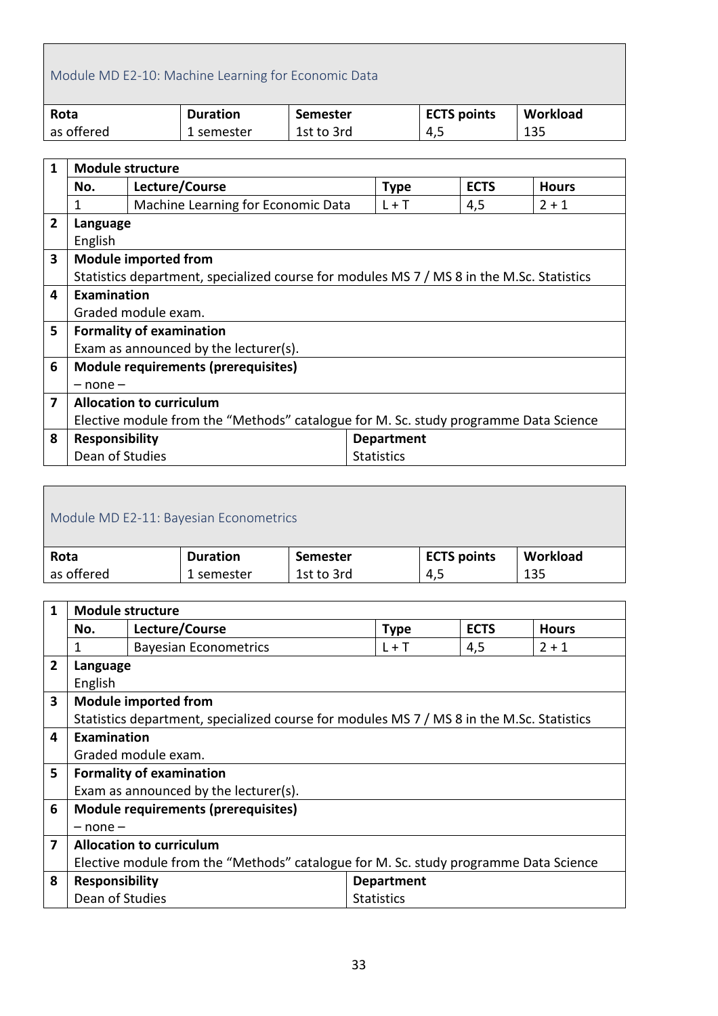# <span id="page-32-0"></span>Module MD E2-10: Machine Learning for Economic Data

| Rota       | <b>Duration</b> | Semester   | <b>ECTS points</b> | Workload |
|------------|-----------------|------------|--------------------|----------|
| as offered | 1 semester      | 1st to 3rd | 4,5                | 135      |

| $\mathbf{1}$   | <b>Module structure</b>                                                              |                                                                                           |  |                   |             |              |  |  |
|----------------|--------------------------------------------------------------------------------------|-------------------------------------------------------------------------------------------|--|-------------------|-------------|--------------|--|--|
|                | No.                                                                                  | Lecture/Course                                                                            |  | <b>Type</b>       | <b>ECTS</b> | <b>Hours</b> |  |  |
|                | 1                                                                                    | Machine Learning for Economic Data                                                        |  | $L + T$           | 4,5         | $2 + 1$      |  |  |
| $\overline{2}$ | Language                                                                             |                                                                                           |  |                   |             |              |  |  |
|                | English                                                                              |                                                                                           |  |                   |             |              |  |  |
| 3              |                                                                                      | <b>Module imported from</b>                                                               |  |                   |             |              |  |  |
|                |                                                                                      | Statistics department, specialized course for modules MS 7 / MS 8 in the M.Sc. Statistics |  |                   |             |              |  |  |
| 4              | Examination                                                                          |                                                                                           |  |                   |             |              |  |  |
|                |                                                                                      | Graded module exam.                                                                       |  |                   |             |              |  |  |
| 5              |                                                                                      | <b>Formality of examination</b>                                                           |  |                   |             |              |  |  |
|                |                                                                                      | Exam as announced by the lecturer(s).                                                     |  |                   |             |              |  |  |
| 6              |                                                                                      | <b>Module requirements (prerequisites)</b>                                                |  |                   |             |              |  |  |
|                | $-$ none $-$                                                                         |                                                                                           |  |                   |             |              |  |  |
| 7              | <b>Allocation to curriculum</b>                                                      |                                                                                           |  |                   |             |              |  |  |
|                | Elective module from the "Methods" catalogue for M. Sc. study programme Data Science |                                                                                           |  |                   |             |              |  |  |
| 8              | <b>Responsibility</b>                                                                |                                                                                           |  | <b>Department</b> |             |              |  |  |
|                | Dean of Studies                                                                      |                                                                                           |  | <b>Statistics</b> |             |              |  |  |

<span id="page-32-1"></span>

| Module MD E2-11: Bayesian Econometrics |                 |                    |          |  |  |  |
|----------------------------------------|-----------------|--------------------|----------|--|--|--|
| <b>Duration</b>                        | <b>Semester</b> | <b>ECTS points</b> | Workload |  |  |  |
| 1 semester                             | 1st to 3rd      | 4.5                | 135      |  |  |  |
|                                        |                 |                    |          |  |  |  |

| 1              | <b>Module structure</b>                                                              |                                                                                           |                   |             |              |  |  |
|----------------|--------------------------------------------------------------------------------------|-------------------------------------------------------------------------------------------|-------------------|-------------|--------------|--|--|
|                | No.                                                                                  | Lecture/Course                                                                            | <b>Type</b>       | <b>ECTS</b> | <b>Hours</b> |  |  |
|                | 1                                                                                    | <b>Bayesian Econometrics</b>                                                              | $L + T$           | 4,5         | $2 + 1$      |  |  |
| $\overline{2}$ | Language                                                                             |                                                                                           |                   |             |              |  |  |
|                | English                                                                              |                                                                                           |                   |             |              |  |  |
| 3              |                                                                                      | <b>Module imported from</b>                                                               |                   |             |              |  |  |
|                |                                                                                      | Statistics department, specialized course for modules MS 7 / MS 8 in the M.Sc. Statistics |                   |             |              |  |  |
| 4              | Examination                                                                          |                                                                                           |                   |             |              |  |  |
|                |                                                                                      | Graded module exam.                                                                       |                   |             |              |  |  |
| 5              |                                                                                      | <b>Formality of examination</b>                                                           |                   |             |              |  |  |
|                |                                                                                      | Exam as announced by the lecturer(s).                                                     |                   |             |              |  |  |
| 6              |                                                                                      | <b>Module requirements (prerequisites)</b>                                                |                   |             |              |  |  |
|                | $-$ none $-$                                                                         |                                                                                           |                   |             |              |  |  |
| 7              |                                                                                      | <b>Allocation to curriculum</b>                                                           |                   |             |              |  |  |
|                | Elective module from the "Methods" catalogue for M. Sc. study programme Data Science |                                                                                           |                   |             |              |  |  |
| 8              | <b>Responsibility</b>                                                                |                                                                                           | <b>Department</b> |             |              |  |  |
|                | Dean of Studies                                                                      |                                                                                           | <b>Statistics</b> |             |              |  |  |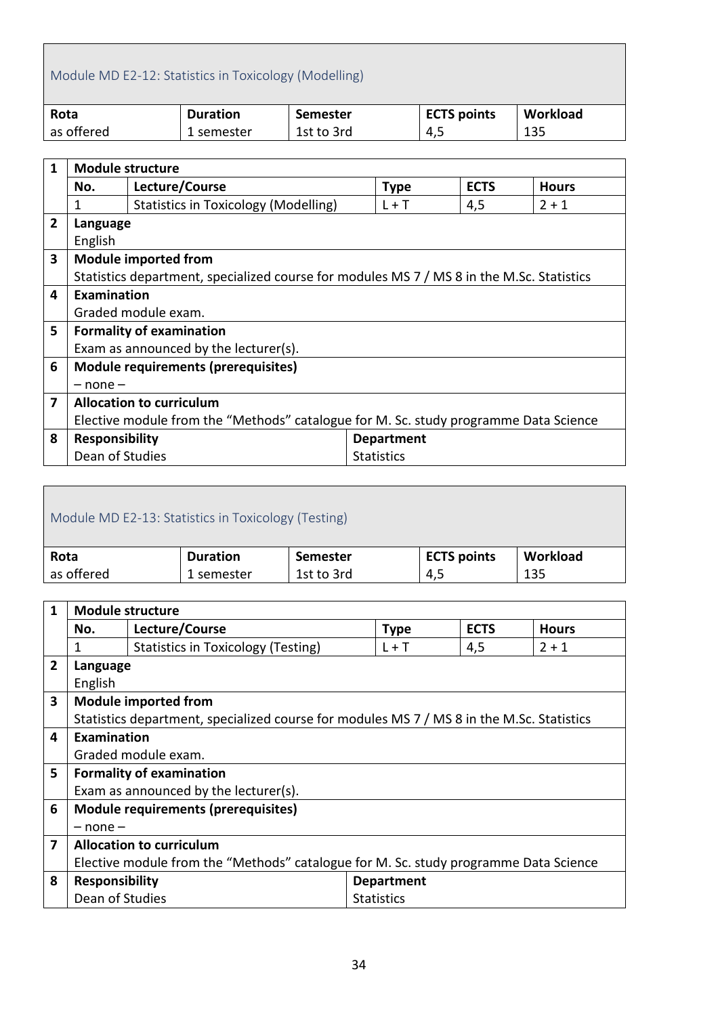### <span id="page-33-0"></span>Module MD E2-12: Statistics in Toxicology (Modelling)

| Rota       | <b>Duration</b> | Semester   | <b>ECTS points</b> | Workload |
|------------|-----------------|------------|--------------------|----------|
| as offered | 1 semester      | 1st to 3rd | 4,5                | 135      |

| $\mathbf{1}$   | <b>Module structure</b>                                                              |                                                                                           |  |                   |             |              |  |  |
|----------------|--------------------------------------------------------------------------------------|-------------------------------------------------------------------------------------------|--|-------------------|-------------|--------------|--|--|
|                | No.                                                                                  | Lecture/Course                                                                            |  | <b>Type</b>       | <b>ECTS</b> | <b>Hours</b> |  |  |
|                | 1                                                                                    | <b>Statistics in Toxicology (Modelling)</b>                                               |  | $L + T$           | 4,5         | $2 + 1$      |  |  |
| $\overline{2}$ | Language                                                                             |                                                                                           |  |                   |             |              |  |  |
|                | English                                                                              |                                                                                           |  |                   |             |              |  |  |
| 3              |                                                                                      | <b>Module imported from</b>                                                               |  |                   |             |              |  |  |
|                |                                                                                      | Statistics department, specialized course for modules MS 7 / MS 8 in the M.Sc. Statistics |  |                   |             |              |  |  |
| 4              | Examination                                                                          |                                                                                           |  |                   |             |              |  |  |
|                |                                                                                      | Graded module exam.                                                                       |  |                   |             |              |  |  |
| 5              |                                                                                      | <b>Formality of examination</b>                                                           |  |                   |             |              |  |  |
|                |                                                                                      | Exam as announced by the lecturer(s).                                                     |  |                   |             |              |  |  |
| 6              |                                                                                      | <b>Module requirements (prerequisites)</b>                                                |  |                   |             |              |  |  |
|                | $-$ none $-$                                                                         |                                                                                           |  |                   |             |              |  |  |
| 7              | <b>Allocation to curriculum</b>                                                      |                                                                                           |  |                   |             |              |  |  |
|                | Elective module from the "Methods" catalogue for M. Sc. study programme Data Science |                                                                                           |  |                   |             |              |  |  |
| 8              | <b>Responsibility</b>                                                                |                                                                                           |  | <b>Department</b> |             |              |  |  |
|                | Dean of Studies                                                                      |                                                                                           |  | <b>Statistics</b> |             |              |  |  |

<span id="page-33-1"></span>

| Module MD E2-13: Statistics in Toxicology (Testing) |                 |                 |                    |          |  |  |
|-----------------------------------------------------|-----------------|-----------------|--------------------|----------|--|--|
| Rota                                                | <b>Duration</b> | <b>Semester</b> | <b>ECTS points</b> | Workload |  |  |
| as offered                                          | 1 semester      | 1st to 3rd      | 4,5                | 135      |  |  |
|                                                     |                 |                 |                    |          |  |  |

| 1              | <b>Module structure</b>                                                              |                                                                                           |                   |             |              |  |  |
|----------------|--------------------------------------------------------------------------------------|-------------------------------------------------------------------------------------------|-------------------|-------------|--------------|--|--|
|                | No.                                                                                  | Lecture/Course                                                                            | <b>Type</b>       | <b>ECTS</b> | <b>Hours</b> |  |  |
|                | 1                                                                                    | Statistics in Toxicology (Testing)                                                        | $L + T$           | 4,5         | $2 + 1$      |  |  |
| $\overline{2}$ | Language                                                                             |                                                                                           |                   |             |              |  |  |
|                | English                                                                              |                                                                                           |                   |             |              |  |  |
| 3              |                                                                                      | <b>Module imported from</b>                                                               |                   |             |              |  |  |
|                |                                                                                      | Statistics department, specialized course for modules MS 7 / MS 8 in the M.Sc. Statistics |                   |             |              |  |  |
| 4              | Examination                                                                          |                                                                                           |                   |             |              |  |  |
|                |                                                                                      | Graded module exam.                                                                       |                   |             |              |  |  |
| 5              |                                                                                      | <b>Formality of examination</b>                                                           |                   |             |              |  |  |
|                |                                                                                      | Exam as announced by the lecturer(s).                                                     |                   |             |              |  |  |
| 6              |                                                                                      | <b>Module requirements (prerequisites)</b>                                                |                   |             |              |  |  |
|                | $-$ none $-$                                                                         |                                                                                           |                   |             |              |  |  |
| 7              | <b>Allocation to curriculum</b>                                                      |                                                                                           |                   |             |              |  |  |
|                | Elective module from the "Methods" catalogue for M. Sc. study programme Data Science |                                                                                           |                   |             |              |  |  |
| 8              | <b>Responsibility</b>                                                                |                                                                                           | <b>Department</b> |             |              |  |  |
|                | Dean of Studies                                                                      |                                                                                           | <b>Statistics</b> |             |              |  |  |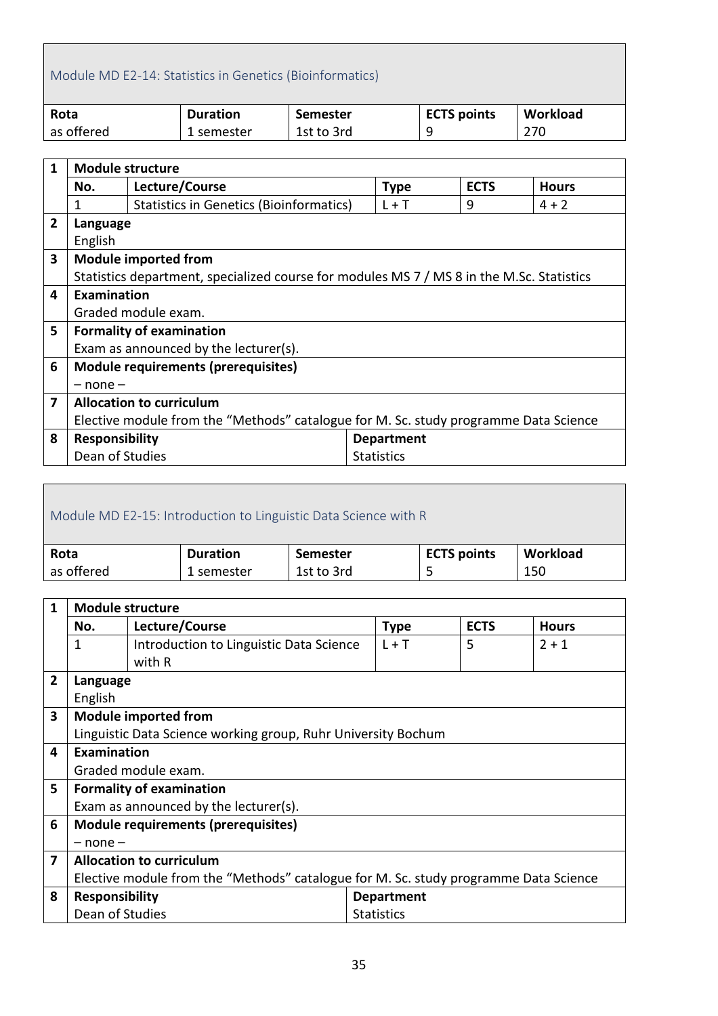#### <span id="page-34-0"></span>Module MD E2-14: Statistics in Genetics (Bioinformatics)

| Rota       | <b>Duration</b> | Semester   | <b>ECTS points</b> | Workload |
|------------|-----------------|------------|--------------------|----------|
| as offered | 1 semester      | 1st to 3rd | Q                  | 270      |

| $\mathbf{1}$   | <b>Module structure</b>                                                              |                                                                                           |  |                   |   |         |  |  |
|----------------|--------------------------------------------------------------------------------------|-------------------------------------------------------------------------------------------|--|-------------------|---|---------|--|--|
|                | Lecture/Course<br><b>ECTS</b><br><b>Type</b><br>No.<br><b>Hours</b>                  |                                                                                           |  |                   |   |         |  |  |
|                | 1                                                                                    | <b>Statistics in Genetics (Bioinformatics)</b>                                            |  | $L + T$           | 9 | $4 + 2$ |  |  |
| $\overline{2}$ | Language                                                                             |                                                                                           |  |                   |   |         |  |  |
|                | English                                                                              |                                                                                           |  |                   |   |         |  |  |
| 3              |                                                                                      | <b>Module imported from</b>                                                               |  |                   |   |         |  |  |
|                |                                                                                      | Statistics department, specialized course for modules MS 7 / MS 8 in the M.Sc. Statistics |  |                   |   |         |  |  |
| 4              | Examination                                                                          |                                                                                           |  |                   |   |         |  |  |
|                |                                                                                      | Graded module exam.                                                                       |  |                   |   |         |  |  |
| 5              |                                                                                      | <b>Formality of examination</b>                                                           |  |                   |   |         |  |  |
|                |                                                                                      | Exam as announced by the lecturer(s).                                                     |  |                   |   |         |  |  |
| 6              |                                                                                      | <b>Module requirements (prerequisites)</b>                                                |  |                   |   |         |  |  |
|                | $-$ none $-$                                                                         |                                                                                           |  |                   |   |         |  |  |
| 7              |                                                                                      | <b>Allocation to curriculum</b>                                                           |  |                   |   |         |  |  |
|                | Elective module from the "Methods" catalogue for M. Sc. study programme Data Science |                                                                                           |  |                   |   |         |  |  |
| 8              | <b>Responsibility</b>                                                                |                                                                                           |  | <b>Department</b> |   |         |  |  |
|                | Dean of Studies                                                                      |                                                                                           |  | <b>Statistics</b> |   |         |  |  |

#### <span id="page-34-1"></span>Module MD E2-15: Introduction to Linguistic Data Science with R **Rota** as offered **Duration**  1 semester **Semester** 1st to 3rd **ECTS points** 5 **Workload** 150

| $\mathbf{1}$   | <b>Module structure</b>                                                              |                                                               |                   |             |              |  |
|----------------|--------------------------------------------------------------------------------------|---------------------------------------------------------------|-------------------|-------------|--------------|--|
|                | No.                                                                                  | Lecture/Course                                                | <b>Type</b>       | <b>ECTS</b> | <b>Hours</b> |  |
|                | 1                                                                                    | Introduction to Linguistic Data Science                       | $L + T$           | 5           | $2 + 1$      |  |
|                |                                                                                      | with R                                                        |                   |             |              |  |
| $\overline{2}$ | Language                                                                             |                                                               |                   |             |              |  |
|                | English                                                                              |                                                               |                   |             |              |  |
| 3              |                                                                                      | <b>Module imported from</b>                                   |                   |             |              |  |
|                |                                                                                      | Linguistic Data Science working group, Ruhr University Bochum |                   |             |              |  |
| 4              | Examination                                                                          |                                                               |                   |             |              |  |
|                |                                                                                      | Graded module exam.                                           |                   |             |              |  |
| 5              |                                                                                      | <b>Formality of examination</b>                               |                   |             |              |  |
|                |                                                                                      | Exam as announced by the lecturer(s).                         |                   |             |              |  |
| 6              |                                                                                      | <b>Module requirements (prerequisites)</b>                    |                   |             |              |  |
|                | $-$ none $-$                                                                         |                                                               |                   |             |              |  |
| 7              | <b>Allocation to curriculum</b>                                                      |                                                               |                   |             |              |  |
|                | Elective module from the "Methods" catalogue for M. Sc. study programme Data Science |                                                               |                   |             |              |  |
| 8              | <b>Responsibility</b>                                                                |                                                               | <b>Department</b> |             |              |  |
|                | Dean of Studies                                                                      |                                                               | <b>Statistics</b> |             |              |  |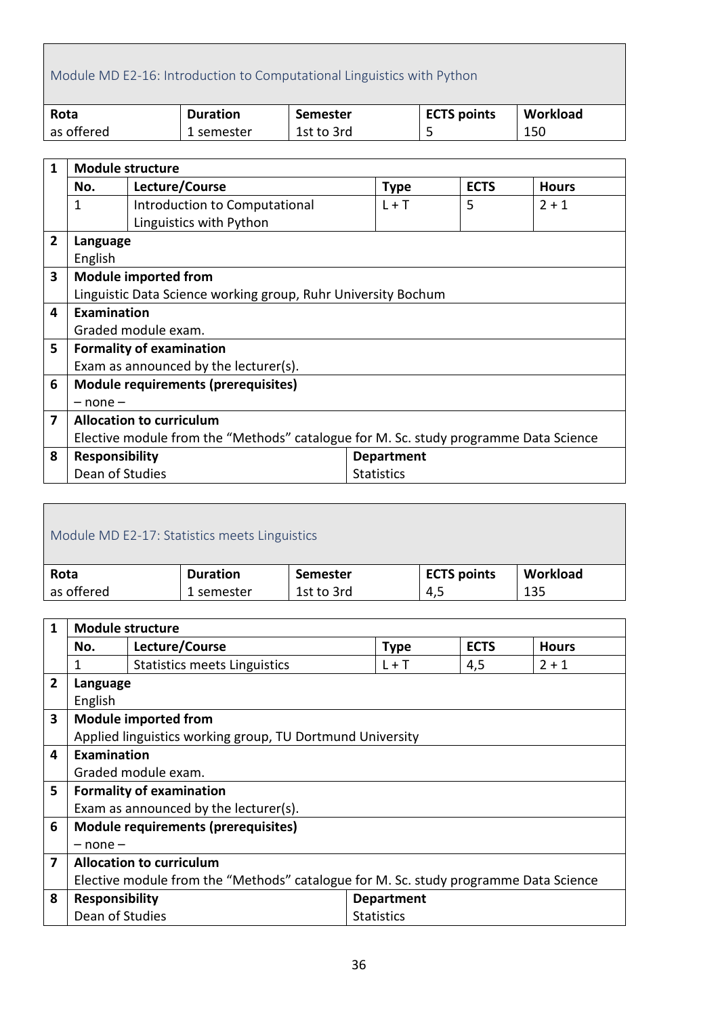# <span id="page-35-0"></span>Module MD E2-16: Introduction to Computational Linguistics with Python

| Rota       | <b>Duration</b> | Semester   | <b>ECTS points</b> | Workload |
|------------|-----------------|------------|--------------------|----------|
| as offered | 1 semester      | 1st to 3rd | ے                  | 150      |

| $\mathbf{1}$   | <b>Module structure</b>                                                              |                                                               |                   |             |              |  |  |
|----------------|--------------------------------------------------------------------------------------|---------------------------------------------------------------|-------------------|-------------|--------------|--|--|
|                | No.                                                                                  | Lecture/Course                                                | <b>Type</b>       | <b>ECTS</b> | <b>Hours</b> |  |  |
|                | 1                                                                                    | Introduction to Computational                                 | $L + T$           | 5           | $2 + 1$      |  |  |
|                |                                                                                      | Linguistics with Python                                       |                   |             |              |  |  |
| $\overline{2}$ | Language                                                                             |                                                               |                   |             |              |  |  |
|                | English                                                                              |                                                               |                   |             |              |  |  |
| 3              |                                                                                      | <b>Module imported from</b>                                   |                   |             |              |  |  |
|                |                                                                                      | Linguistic Data Science working group, Ruhr University Bochum |                   |             |              |  |  |
| 4              | Examination                                                                          |                                                               |                   |             |              |  |  |
|                |                                                                                      | Graded module exam.                                           |                   |             |              |  |  |
| 5              |                                                                                      | <b>Formality of examination</b>                               |                   |             |              |  |  |
|                |                                                                                      | Exam as announced by the lecturer(s).                         |                   |             |              |  |  |
| 6              |                                                                                      | <b>Module requirements (prerequisites)</b>                    |                   |             |              |  |  |
|                | $-$ none $-$                                                                         |                                                               |                   |             |              |  |  |
| 7              | <b>Allocation to curriculum</b>                                                      |                                                               |                   |             |              |  |  |
|                | Elective module from the "Methods" catalogue for M. Sc. study programme Data Science |                                                               |                   |             |              |  |  |
| 8              | <b>Responsibility</b>                                                                |                                                               | <b>Department</b> |             |              |  |  |
|                | Dean of Studies                                                                      |                                                               | <b>Statistics</b> |             |              |  |  |

<span id="page-35-1"></span>

| Module MD E2-17: Statistics meets Linguistics |                 |            |                    |          |  |  |
|-----------------------------------------------|-----------------|------------|--------------------|----------|--|--|
| Rota                                          | <b>Duration</b> | Semester   | <b>ECTS points</b> | Workload |  |  |
| as offered                                    | 1 semester      | 1st to 3rd | 4,5                | 135      |  |  |

| $\mathbf{1}$   | <b>Module structure</b>                                                              |                                                           |                   |             |              |  |
|----------------|--------------------------------------------------------------------------------------|-----------------------------------------------------------|-------------------|-------------|--------------|--|
|                | No.                                                                                  | Lecture/Course                                            | <b>Type</b>       | <b>ECTS</b> | <b>Hours</b> |  |
|                | 1                                                                                    | <b>Statistics meets Linguistics</b>                       | $L + T$           | 4,5         | $2 + 1$      |  |
| $\overline{2}$ | Language                                                                             |                                                           |                   |             |              |  |
|                | English                                                                              |                                                           |                   |             |              |  |
| 3              |                                                                                      | <b>Module imported from</b>                               |                   |             |              |  |
|                |                                                                                      | Applied linguistics working group, TU Dortmund University |                   |             |              |  |
| 4              | Examination                                                                          |                                                           |                   |             |              |  |
|                |                                                                                      | Graded module exam.                                       |                   |             |              |  |
| 5              |                                                                                      | <b>Formality of examination</b>                           |                   |             |              |  |
|                |                                                                                      | Exam as announced by the lecturer(s).                     |                   |             |              |  |
| 6              |                                                                                      | <b>Module requirements (prerequisites)</b>                |                   |             |              |  |
|                | $-$ none $-$                                                                         |                                                           |                   |             |              |  |
| 7              |                                                                                      | <b>Allocation to curriculum</b>                           |                   |             |              |  |
|                | Elective module from the "Methods" catalogue for M. Sc. study programme Data Science |                                                           |                   |             |              |  |
| 8              | <b>Responsibility</b>                                                                |                                                           | <b>Department</b> |             |              |  |
|                | Dean of Studies                                                                      |                                                           | <b>Statistics</b> |             |              |  |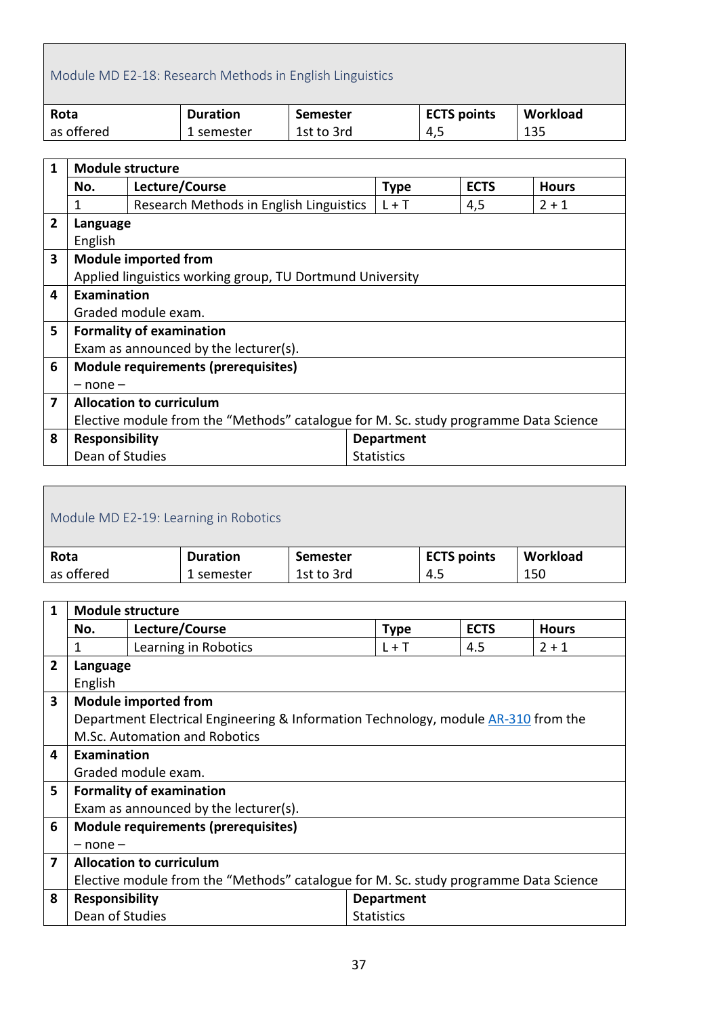# <span id="page-36-0"></span>Module MD E2-18: Research Methods in English Linguistics

| Rota       | <b>Duration</b> | Semester   | <b>ECTS points</b> | Workload |
|------------|-----------------|------------|--------------------|----------|
| as offered | 1 semester      | 1st to 3rd | 4,5                | 135      |

| $\mathbf{1}$   | <b>Module structure</b>                                                              |                                                           |                   |             |              |  |
|----------------|--------------------------------------------------------------------------------------|-----------------------------------------------------------|-------------------|-------------|--------------|--|
|                | No.                                                                                  | Lecture/Course                                            | <b>Type</b>       | <b>ECTS</b> | <b>Hours</b> |  |
|                | 1                                                                                    | Research Methods in English Linguistics                   | $L + T$           | 4,5         | $2 + 1$      |  |
| $\overline{2}$ | Language                                                                             |                                                           |                   |             |              |  |
|                | English                                                                              |                                                           |                   |             |              |  |
| 3              |                                                                                      | <b>Module imported from</b>                               |                   |             |              |  |
|                |                                                                                      | Applied linguistics working group, TU Dortmund University |                   |             |              |  |
| 4              | Examination                                                                          |                                                           |                   |             |              |  |
|                |                                                                                      | Graded module exam.                                       |                   |             |              |  |
| 5              |                                                                                      | <b>Formality of examination</b>                           |                   |             |              |  |
|                |                                                                                      | Exam as announced by the lecturer(s).                     |                   |             |              |  |
| 6              |                                                                                      | Module requirements (prerequisites)                       |                   |             |              |  |
|                | $-$ none $-$                                                                         |                                                           |                   |             |              |  |
| 7              | <b>Allocation to curriculum</b>                                                      |                                                           |                   |             |              |  |
|                | Elective module from the "Methods" catalogue for M. Sc. study programme Data Science |                                                           |                   |             |              |  |
| 8              | Responsibility                                                                       |                                                           | <b>Department</b> |             |              |  |
|                | Dean of Studies                                                                      |                                                           | <b>Statistics</b> |             |              |  |

<span id="page-36-1"></span>

| Module MD E2-19: Learning in Robotics |                 |                    |          |  |  |  |
|---------------------------------------|-----------------|--------------------|----------|--|--|--|
| <b>Duration</b>                       | <b>Semester</b> | <b>ECTS points</b> | Workload |  |  |  |
| 1 semester                            | 1st to 3rd      | 4.5                | 150      |  |  |  |
|                                       |                 |                    |          |  |  |  |

| 1              | <b>Module structure</b>                                                              |                                                                                    |                   |             |              |  |
|----------------|--------------------------------------------------------------------------------------|------------------------------------------------------------------------------------|-------------------|-------------|--------------|--|
|                | No.                                                                                  | Lecture/Course                                                                     | <b>Type</b>       | <b>ECTS</b> | <b>Hours</b> |  |
|                | 1                                                                                    | Learning in Robotics                                                               | $L + T$           | 4.5         | $2 + 1$      |  |
| $\overline{2}$ | Language                                                                             |                                                                                    |                   |             |              |  |
|                | English                                                                              |                                                                                    |                   |             |              |  |
| 3              |                                                                                      | <b>Module imported from</b>                                                        |                   |             |              |  |
|                |                                                                                      | Department Electrical Engineering & Information Technology, module AR-310 from the |                   |             |              |  |
|                |                                                                                      | M.Sc. Automation and Robotics                                                      |                   |             |              |  |
| 4              | Examination                                                                          |                                                                                    |                   |             |              |  |
|                |                                                                                      | Graded module exam.                                                                |                   |             |              |  |
| 5              |                                                                                      | <b>Formality of examination</b>                                                    |                   |             |              |  |
|                |                                                                                      | Exam as announced by the lecturer(s).                                              |                   |             |              |  |
| 6              |                                                                                      | Module requirements (prerequisites)                                                |                   |             |              |  |
|                | $-$ none $-$                                                                         |                                                                                    |                   |             |              |  |
| 7              | <b>Allocation to curriculum</b>                                                      |                                                                                    |                   |             |              |  |
|                | Elective module from the "Methods" catalogue for M. Sc. study programme Data Science |                                                                                    |                   |             |              |  |
| 8              | <b>Responsibility</b>                                                                |                                                                                    | <b>Department</b> |             |              |  |
|                | Dean of Studies                                                                      |                                                                                    | <b>Statistics</b> |             |              |  |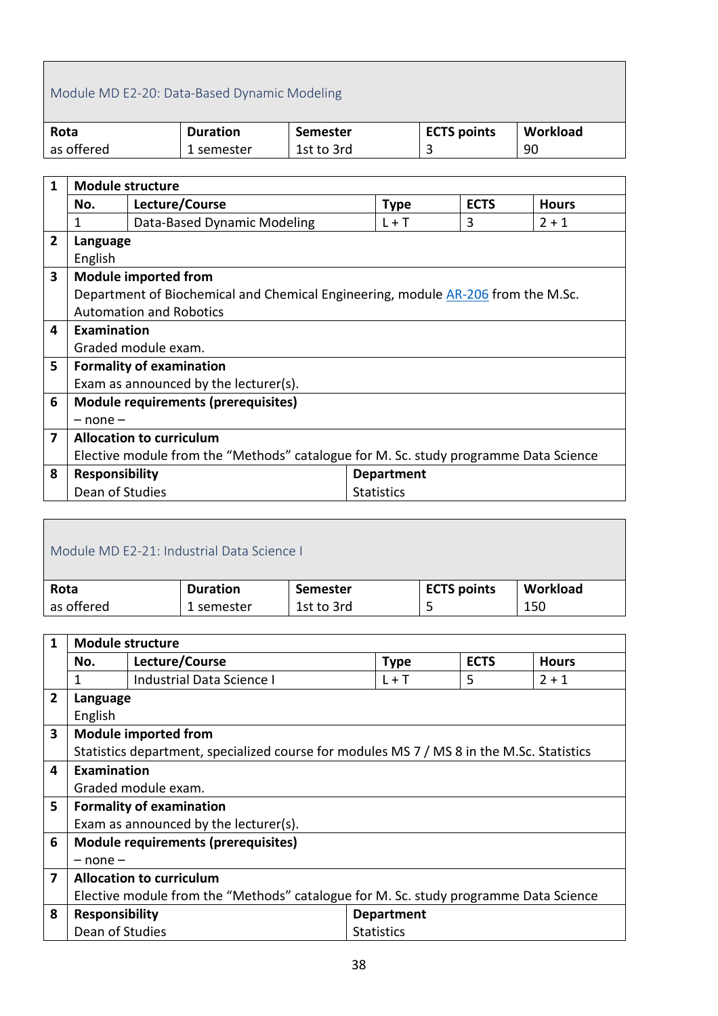#### <span id="page-37-0"></span>Module MD E2-20: Data-Based Dynamic Modeling

| Rota       | <b>Duration</b> | Semester   | <b>ECTS points</b> | Workload |
|------------|-----------------|------------|--------------------|----------|
| as offered | 1 semester      | 1st to 3rd |                    | 90       |

| $\mathbf{1}$   | <b>Module structure</b>                                                              |                                                                                  |  |                   |             |              |
|----------------|--------------------------------------------------------------------------------------|----------------------------------------------------------------------------------|--|-------------------|-------------|--------------|
|                | No.                                                                                  | Lecture/Course                                                                   |  | <b>Type</b>       | <b>ECTS</b> | <b>Hours</b> |
|                | 1                                                                                    | Data-Based Dynamic Modeling                                                      |  | $L + T$           | 3           | $2 + 1$      |
| $\overline{2}$ | Language                                                                             |                                                                                  |  |                   |             |              |
|                | English                                                                              |                                                                                  |  |                   |             |              |
| 3              |                                                                                      | <b>Module imported from</b>                                                      |  |                   |             |              |
|                |                                                                                      | Department of Biochemical and Chemical Engineering, module AR-206 from the M.Sc. |  |                   |             |              |
|                |                                                                                      | <b>Automation and Robotics</b>                                                   |  |                   |             |              |
| 4              | Examination                                                                          |                                                                                  |  |                   |             |              |
|                |                                                                                      | Graded module exam.                                                              |  |                   |             |              |
| 5              |                                                                                      | <b>Formality of examination</b>                                                  |  |                   |             |              |
|                |                                                                                      | Exam as announced by the lecturer(s).                                            |  |                   |             |              |
| 6              |                                                                                      | <b>Module requirements (prerequisites)</b>                                       |  |                   |             |              |
|                | $-$ none $-$                                                                         |                                                                                  |  |                   |             |              |
| 7              | <b>Allocation to curriculum</b>                                                      |                                                                                  |  |                   |             |              |
|                | Elective module from the "Methods" catalogue for M. Sc. study programme Data Science |                                                                                  |  |                   |             |              |
| 8              | <b>Responsibility</b>                                                                |                                                                                  |  | <b>Department</b> |             |              |
|                | Dean of Studies                                                                      |                                                                                  |  | <b>Statistics</b> |             |              |

<span id="page-37-1"></span>

| Module MD E2-21: Industrial Data Science I |                 |            |                    |          |  |  |
|--------------------------------------------|-----------------|------------|--------------------|----------|--|--|
| Rota                                       | <b>Duration</b> | Semester   | <b>ECTS points</b> | Workload |  |  |
| as offered                                 | 1 semester      | 1st to 3rd |                    | 150      |  |  |
|                                            |                 |            |                    |          |  |  |

| $\mathbf{1}$            | <b>Module structure</b>     |                                                                                           |                   |             |             |              |  |  |
|-------------------------|-----------------------------|-------------------------------------------------------------------------------------------|-------------------|-------------|-------------|--------------|--|--|
|                         | No.                         | Lecture/Course                                                                            |                   | <b>Type</b> | <b>ECTS</b> | <b>Hours</b> |  |  |
|                         |                             | <b>Industrial Data Science I</b>                                                          |                   | $L + T$     | 5           | $2 + 1$      |  |  |
| $\overline{2}$          | Language                    |                                                                                           |                   |             |             |              |  |  |
|                         | English                     |                                                                                           |                   |             |             |              |  |  |
| 3                       | <b>Module imported from</b> |                                                                                           |                   |             |             |              |  |  |
|                         |                             | Statistics department, specialized course for modules MS 7 / MS 8 in the M.Sc. Statistics |                   |             |             |              |  |  |
| 4                       | <b>Examination</b>          |                                                                                           |                   |             |             |              |  |  |
|                         |                             | Graded module exam.                                                                       |                   |             |             |              |  |  |
| 5                       |                             | <b>Formality of examination</b>                                                           |                   |             |             |              |  |  |
|                         |                             | Exam as announced by the lecturer(s).                                                     |                   |             |             |              |  |  |
| 6                       |                             | <b>Module requirements (prerequisites)</b>                                                |                   |             |             |              |  |  |
|                         | $-$ none $-$                |                                                                                           |                   |             |             |              |  |  |
| $\overline{\mathbf{z}}$ |                             | <b>Allocation to curriculum</b>                                                           |                   |             |             |              |  |  |
|                         |                             | Elective module from the "Methods" catalogue for M. Sc. study programme Data Science      |                   |             |             |              |  |  |
| 8                       | <b>Responsibility</b>       |                                                                                           | <b>Department</b> |             |             |              |  |  |
|                         | Dean of Studies             |                                                                                           | <b>Statistics</b> |             |             |              |  |  |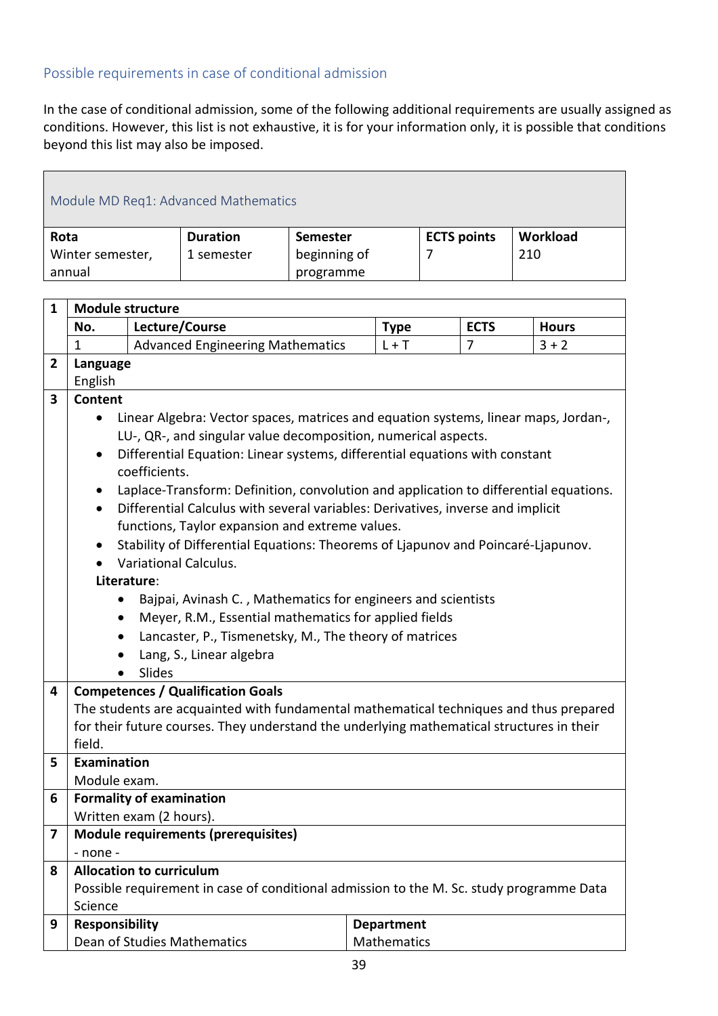#### <span id="page-38-0"></span>Possible requirements in case of conditional admission

 $\mathbf{r}$ 

In the case of conditional admission, some of the following additional requirements are usually assigned as conditions. However, this list is not exhaustive, it is for your information only, it is possible that conditions beyond this list may also be imposed.

<span id="page-38-1"></span>

| Module MD Req1: Advanced Mathematics |                                                                    |                 |                    |          |  |  |  |  |  |
|--------------------------------------|--------------------------------------------------------------------|-----------------|--------------------|----------|--|--|--|--|--|
| Rota                                 | <b>Duration</b>                                                    | <b>Semester</b> | <b>ECTS points</b> | Workload |  |  |  |  |  |
| annual                               | beginning of<br>210<br>Winter semester,<br>1 semester<br>programme |                 |                    |          |  |  |  |  |  |

| $\mathbf{1}$            | <b>Module structure</b> |                                                                                           |                   |             |              |  |  |  |  |  |
|-------------------------|-------------------------|-------------------------------------------------------------------------------------------|-------------------|-------------|--------------|--|--|--|--|--|
|                         | No.                     | Lecture/Course                                                                            | <b>Type</b>       | <b>ECTS</b> | <b>Hours</b> |  |  |  |  |  |
|                         | $\mathbf{1}$            | <b>Advanced Engineering Mathematics</b>                                                   | $L + T$           | 7           | $3 + 2$      |  |  |  |  |  |
| $\overline{2}$          | Language                |                                                                                           |                   |             |              |  |  |  |  |  |
|                         | English                 |                                                                                           |                   |             |              |  |  |  |  |  |
| $\overline{\mathbf{3}}$ | <b>Content</b>          |                                                                                           |                   |             |              |  |  |  |  |  |
|                         | $\bullet$               | Linear Algebra: Vector spaces, matrices and equation systems, linear maps, Jordan-,       |                   |             |              |  |  |  |  |  |
|                         |                         | LU-, QR-, and singular value decomposition, numerical aspects.                            |                   |             |              |  |  |  |  |  |
|                         | $\bullet$               | Differential Equation: Linear systems, differential equations with constant               |                   |             |              |  |  |  |  |  |
|                         |                         | coefficients.                                                                             |                   |             |              |  |  |  |  |  |
|                         | $\bullet$               | Laplace-Transform: Definition, convolution and application to differential equations.     |                   |             |              |  |  |  |  |  |
|                         | $\bullet$               | Differential Calculus with several variables: Derivatives, inverse and implicit           |                   |             |              |  |  |  |  |  |
|                         |                         | functions, Taylor expansion and extreme values.                                           |                   |             |              |  |  |  |  |  |
|                         |                         | Stability of Differential Equations: Theorems of Liapunov and Poincaré-Liapunov.          |                   |             |              |  |  |  |  |  |
|                         |                         | <b>Variational Calculus.</b>                                                              |                   |             |              |  |  |  |  |  |
|                         |                         | Literature:                                                                               |                   |             |              |  |  |  |  |  |
|                         |                         | Bajpai, Avinash C., Mathematics for engineers and scientists                              |                   |             |              |  |  |  |  |  |
|                         | ٠                       | Meyer, R.M., Essential mathematics for applied fields                                     |                   |             |              |  |  |  |  |  |
|                         | ٠                       | Lancaster, P., Tismenetsky, M., The theory of matrices                                    |                   |             |              |  |  |  |  |  |
|                         |                         | Lang, S., Linear algebra                                                                  |                   |             |              |  |  |  |  |  |
|                         |                         | Slides                                                                                    |                   |             |              |  |  |  |  |  |
| 4                       |                         | <b>Competences / Qualification Goals</b>                                                  |                   |             |              |  |  |  |  |  |
|                         |                         | The students are acquainted with fundamental mathematical techniques and thus prepared    |                   |             |              |  |  |  |  |  |
|                         |                         | for their future courses. They understand the underlying mathematical structures in their |                   |             |              |  |  |  |  |  |
|                         | field.                  |                                                                                           |                   |             |              |  |  |  |  |  |
| 5                       | Examination             |                                                                                           |                   |             |              |  |  |  |  |  |
|                         | Module exam.            |                                                                                           |                   |             |              |  |  |  |  |  |
| 6                       |                         | <b>Formality of examination</b>                                                           |                   |             |              |  |  |  |  |  |
|                         |                         | Written exam (2 hours).                                                                   |                   |             |              |  |  |  |  |  |
| 7                       |                         | <b>Module requirements (prerequisites)</b>                                                |                   |             |              |  |  |  |  |  |
|                         | - none -                |                                                                                           |                   |             |              |  |  |  |  |  |
| 8                       |                         | <b>Allocation to curriculum</b>                                                           |                   |             |              |  |  |  |  |  |
|                         |                         | Possible requirement in case of conditional admission to the M. Sc. study programme Data  |                   |             |              |  |  |  |  |  |
|                         | Science                 |                                                                                           |                   |             |              |  |  |  |  |  |
| 9                       | <b>Responsibility</b>   |                                                                                           | <b>Department</b> |             |              |  |  |  |  |  |
|                         |                         | Dean of Studies Mathematics                                                               | Mathematics       |             |              |  |  |  |  |  |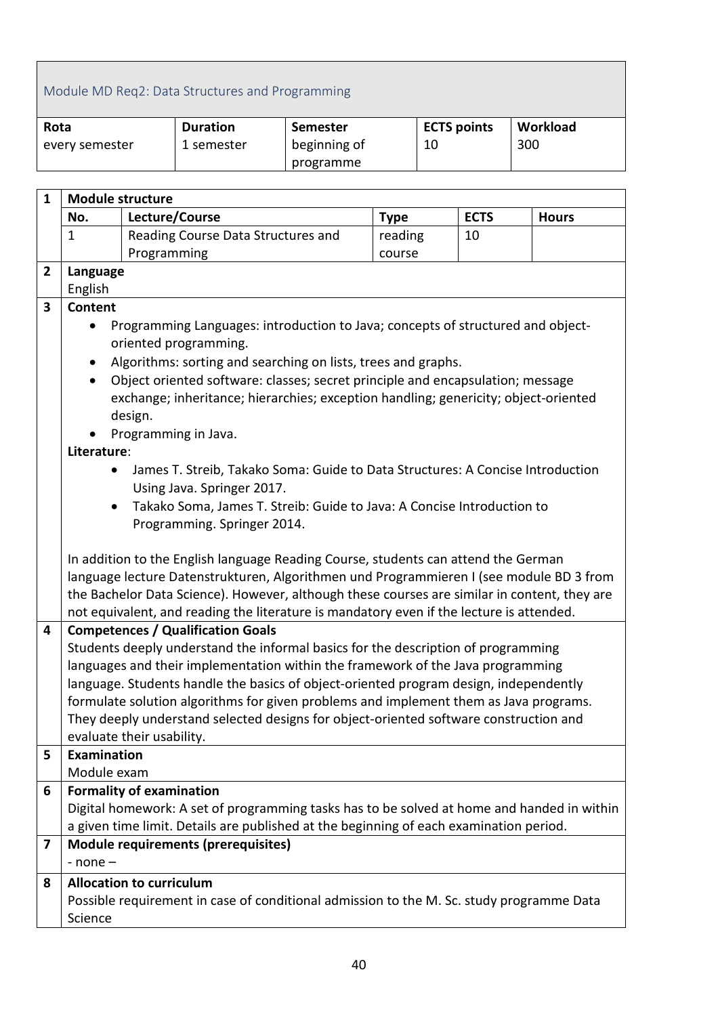### <span id="page-39-0"></span>Module MD Req2: Data Structures and Programming

| Rota           | <b>Duration</b> | Semester     | <b>ECTS points</b> | Workload |
|----------------|-----------------|--------------|--------------------|----------|
| every semester | 1 semester      | beginning of | 10                 | 300      |
|                |                 | programme    |                    |          |

| $\mathbf{1}$            | <b>Module structure</b> |                                                                                                          |             |             |              |  |  |  |  |
|-------------------------|-------------------------|----------------------------------------------------------------------------------------------------------|-------------|-------------|--------------|--|--|--|--|
|                         | No.                     | Lecture/Course                                                                                           | <b>Type</b> | <b>ECTS</b> | <b>Hours</b> |  |  |  |  |
|                         | $\mathbf{1}$            | Reading Course Data Structures and                                                                       | reading     | 10          |              |  |  |  |  |
|                         |                         | Programming                                                                                              | course      |             |              |  |  |  |  |
| $\overline{2}$          | Language                |                                                                                                          |             |             |              |  |  |  |  |
|                         | English                 |                                                                                                          |             |             |              |  |  |  |  |
| 3                       | <b>Content</b>          |                                                                                                          |             |             |              |  |  |  |  |
|                         |                         | Programming Languages: introduction to Java; concepts of structured and object-<br>oriented programming. |             |             |              |  |  |  |  |
|                         |                         | Algorithms: sorting and searching on lists, trees and graphs.                                            |             |             |              |  |  |  |  |
|                         | $\bullet$               | Object oriented software: classes; secret principle and encapsulation; message                           |             |             |              |  |  |  |  |
|                         |                         | exchange; inheritance; hierarchies; exception handling; genericity; object-oriented                      |             |             |              |  |  |  |  |
|                         |                         | design.                                                                                                  |             |             |              |  |  |  |  |
|                         |                         | Programming in Java.                                                                                     |             |             |              |  |  |  |  |
|                         | Literature:             |                                                                                                          |             |             |              |  |  |  |  |
|                         |                         | James T. Streib, Takako Soma: Guide to Data Structures: A Concise Introduction                           |             |             |              |  |  |  |  |
|                         |                         | Using Java. Springer 2017.                                                                               |             |             |              |  |  |  |  |
|                         |                         | Takako Soma, James T. Streib: Guide to Java: A Concise Introduction to                                   |             |             |              |  |  |  |  |
|                         |                         | Programming. Springer 2014.                                                                              |             |             |              |  |  |  |  |
|                         |                         | In addition to the English language Reading Course, students can attend the German                       |             |             |              |  |  |  |  |
|                         |                         | language lecture Datenstrukturen, Algorithmen und Programmieren I (see module BD 3 from                  |             |             |              |  |  |  |  |
|                         |                         | the Bachelor Data Science). However, although these courses are similar in content, they are             |             |             |              |  |  |  |  |
|                         |                         | not equivalent, and reading the literature is mandatory even if the lecture is attended.                 |             |             |              |  |  |  |  |
| $\overline{\mathbf{4}}$ |                         | <b>Competences / Qualification Goals</b>                                                                 |             |             |              |  |  |  |  |
|                         |                         | Students deeply understand the informal basics for the description of programming                        |             |             |              |  |  |  |  |
|                         |                         | languages and their implementation within the framework of the Java programming                          |             |             |              |  |  |  |  |
|                         |                         | language. Students handle the basics of object-oriented program design, independently                    |             |             |              |  |  |  |  |
|                         |                         | formulate solution algorithms for given problems and implement them as Java programs.                    |             |             |              |  |  |  |  |
|                         |                         | They deeply understand selected designs for object-oriented software construction and                    |             |             |              |  |  |  |  |
|                         | Examination             | evaluate their usability.                                                                                |             |             |              |  |  |  |  |
| 5                       | Module exam             |                                                                                                          |             |             |              |  |  |  |  |
| 6                       |                         | <b>Formality of examination</b>                                                                          |             |             |              |  |  |  |  |
|                         |                         | Digital homework: A set of programming tasks has to be solved at home and handed in within               |             |             |              |  |  |  |  |
|                         |                         | a given time limit. Details are published at the beginning of each examination period.                   |             |             |              |  |  |  |  |
| 7                       |                         | <b>Module requirements (prerequisites)</b>                                                               |             |             |              |  |  |  |  |
|                         | $-$ none $-$            |                                                                                                          |             |             |              |  |  |  |  |
| 8                       |                         | <b>Allocation to curriculum</b>                                                                          |             |             |              |  |  |  |  |
|                         |                         | Possible requirement in case of conditional admission to the M. Sc. study programme Data                 |             |             |              |  |  |  |  |
|                         | Science                 |                                                                                                          |             |             |              |  |  |  |  |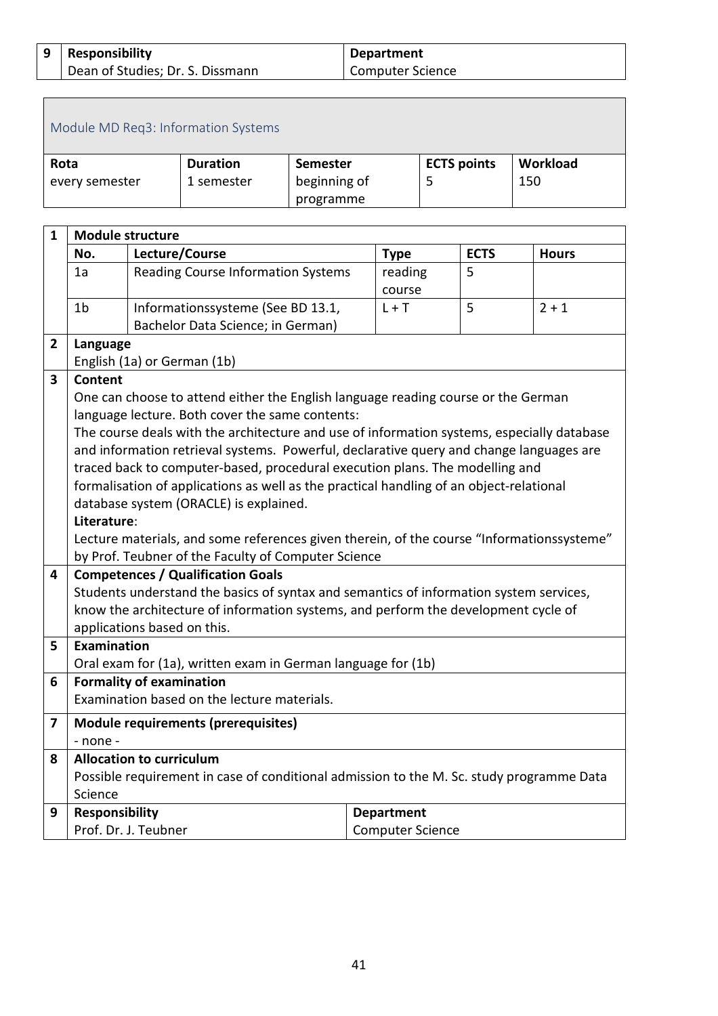#### **9 Responsibility**  Dean of Studies; Dr. S. Dissmann **Department** Computer Science

<span id="page-40-0"></span>

| Module MD Req3: Information Systems |                 |              |                    |          |  |  |
|-------------------------------------|-----------------|--------------|--------------------|----------|--|--|
| Rota                                | <b>Duration</b> | Semester     | <b>ECTS points</b> | Workload |  |  |
| every semester                      | 1 semester      | beginning of |                    | 150      |  |  |
|                                     |                 | programme    |                    |          |  |  |

| $\mathbf{1}$ | <b>Module structure</b>                         |                                                                                            |  |                   |             |              |  |
|--------------|-------------------------------------------------|--------------------------------------------------------------------------------------------|--|-------------------|-------------|--------------|--|
|              | No.                                             | Lecture/Course                                                                             |  | <b>Type</b>       | <b>ECTS</b> | <b>Hours</b> |  |
|              | 1a                                              | <b>Reading Course Information Systems</b>                                                  |  | reading           | 5           |              |  |
|              |                                                 |                                                                                            |  | course            |             |              |  |
|              | 1 <sub>b</sub>                                  | Informationssysteme (See BD 13.1,                                                          |  | $L + T$           | 5           | $2 + 1$      |  |
|              |                                                 | Bachelor Data Science; in German)                                                          |  |                   |             |              |  |
| $\mathbf{2}$ | Language                                        |                                                                                            |  |                   |             |              |  |
|              |                                                 | English (1a) or German (1b)                                                                |  |                   |             |              |  |
| 3            | <b>Content</b>                                  |                                                                                            |  |                   |             |              |  |
|              |                                                 | One can choose to attend either the English language reading course or the German          |  |                   |             |              |  |
|              |                                                 | language lecture. Both cover the same contents:                                            |  |                   |             |              |  |
|              |                                                 | The course deals with the architecture and use of information systems, especially database |  |                   |             |              |  |
|              |                                                 | and information retrieval systems. Powerful, declarative query and change languages are    |  |                   |             |              |  |
|              |                                                 | traced back to computer-based, procedural execution plans. The modelling and               |  |                   |             |              |  |
|              |                                                 | formalisation of applications as well as the practical handling of an object-relational    |  |                   |             |              |  |
|              |                                                 | database system (ORACLE) is explained.                                                     |  |                   |             |              |  |
|              | Literature:                                     |                                                                                            |  |                   |             |              |  |
|              |                                                 | Lecture materials, and some references given therein, of the course "Informationssysteme"  |  |                   |             |              |  |
|              |                                                 | by Prof. Teubner of the Faculty of Computer Science                                        |  |                   |             |              |  |
| 4            |                                                 | <b>Competences / Qualification Goals</b>                                                   |  |                   |             |              |  |
|              |                                                 | Students understand the basics of syntax and semantics of information system services,     |  |                   |             |              |  |
|              |                                                 | know the architecture of information systems, and perform the development cycle of         |  |                   |             |              |  |
|              |                                                 | applications based on this.                                                                |  |                   |             |              |  |
| 5            | Examination                                     |                                                                                            |  |                   |             |              |  |
|              |                                                 | Oral exam for (1a), written exam in German language for (1b)                               |  |                   |             |              |  |
| 6            |                                                 | <b>Formality of examination</b>                                                            |  |                   |             |              |  |
|              |                                                 | Examination based on the lecture materials.                                                |  |                   |             |              |  |
| 7            |                                                 | Module requirements (prerequisites)                                                        |  |                   |             |              |  |
|              | - none -                                        |                                                                                            |  |                   |             |              |  |
| 8            |                                                 | <b>Allocation to curriculum</b>                                                            |  |                   |             |              |  |
|              |                                                 | Possible requirement in case of conditional admission to the M. Sc. study programme Data   |  |                   |             |              |  |
|              | Science                                         |                                                                                            |  |                   |             |              |  |
| 9            | <b>Responsibility</b>                           |                                                                                            |  | <b>Department</b> |             |              |  |
|              | Prof. Dr. J. Teubner<br><b>Computer Science</b> |                                                                                            |  |                   |             |              |  |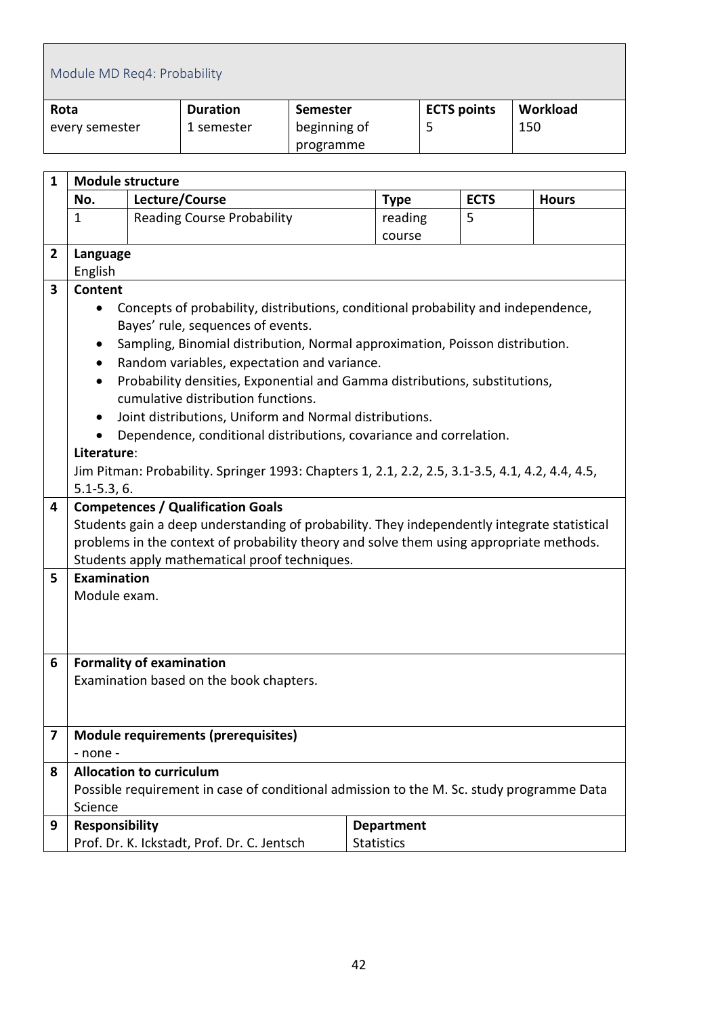<span id="page-41-0"></span>

| Module MD Req4: Probability |                 |                 |                    |          |  |  |  |  |
|-----------------------------|-----------------|-----------------|--------------------|----------|--|--|--|--|
| Rota                        | <b>Duration</b> | <b>Semester</b> | <b>ECTS points</b> | Workload |  |  |  |  |
| every semester              | 1 semester      | beginning of    |                    | 150      |  |  |  |  |
| programme                   |                 |                 |                    |          |  |  |  |  |

| $\mathbf{1}$ | <b>Module structure</b>                                                                                                                                                                                                                                                                                                                                                                                                                                                                                                                                                                                                                                                                                |                                                                                                                             |                   |             |              |  |  |  |  |  |
|--------------|--------------------------------------------------------------------------------------------------------------------------------------------------------------------------------------------------------------------------------------------------------------------------------------------------------------------------------------------------------------------------------------------------------------------------------------------------------------------------------------------------------------------------------------------------------------------------------------------------------------------------------------------------------------------------------------------------------|-----------------------------------------------------------------------------------------------------------------------------|-------------------|-------------|--------------|--|--|--|--|--|
|              | No.                                                                                                                                                                                                                                                                                                                                                                                                                                                                                                                                                                                                                                                                                                    | Lecture/Course                                                                                                              | <b>Type</b>       | <b>ECTS</b> | <b>Hours</b> |  |  |  |  |  |
|              | $\mathbf{1}$                                                                                                                                                                                                                                                                                                                                                                                                                                                                                                                                                                                                                                                                                           | <b>Reading Course Probability</b>                                                                                           | reading           | 5           |              |  |  |  |  |  |
|              |                                                                                                                                                                                                                                                                                                                                                                                                                                                                                                                                                                                                                                                                                                        |                                                                                                                             | course            |             |              |  |  |  |  |  |
| $\mathbf{2}$ | Language                                                                                                                                                                                                                                                                                                                                                                                                                                                                                                                                                                                                                                                                                               |                                                                                                                             |                   |             |              |  |  |  |  |  |
|              | English                                                                                                                                                                                                                                                                                                                                                                                                                                                                                                                                                                                                                                                                                                |                                                                                                                             |                   |             |              |  |  |  |  |  |
| 3            | <b>Content</b><br>Concepts of probability, distributions, conditional probability and independence,<br>٠<br>Bayes' rule, sequences of events.<br>Sampling, Binomial distribution, Normal approximation, Poisson distribution.<br>$\bullet$<br>Random variables, expectation and variance.<br>$\bullet$<br>Probability densities, Exponential and Gamma distributions, substitutions,<br>cumulative distribution functions.<br>Joint distributions, Uniform and Normal distributions.<br>$\bullet$<br>Dependence, conditional distributions, covariance and correlation.<br>$\bullet$<br>Literature:<br>Jim Pitman: Probability. Springer 1993: Chapters 1, 2.1, 2.2, 2.5, 3.1-3.5, 4.1, 4.2, 4.4, 4.5, |                                                                                                                             |                   |             |              |  |  |  |  |  |
|              | $5.1 - 5.3, 6.$                                                                                                                                                                                                                                                                                                                                                                                                                                                                                                                                                                                                                                                                                        |                                                                                                                             |                   |             |              |  |  |  |  |  |
| 4            | <b>Competences / Qualification Goals</b><br>Students gain a deep understanding of probability. They independently integrate statistical<br>problems in the context of probability theory and solve them using appropriate methods.<br>Students apply mathematical proof techniques.                                                                                                                                                                                                                                                                                                                                                                                                                    |                                                                                                                             |                   |             |              |  |  |  |  |  |
| 5            | <b>Examination</b><br>Module exam.                                                                                                                                                                                                                                                                                                                                                                                                                                                                                                                                                                                                                                                                     |                                                                                                                             |                   |             |              |  |  |  |  |  |
| 6            |                                                                                                                                                                                                                                                                                                                                                                                                                                                                                                                                                                                                                                                                                                        | <b>Formality of examination</b>                                                                                             |                   |             |              |  |  |  |  |  |
|              | Examination based on the book chapters.                                                                                                                                                                                                                                                                                                                                                                                                                                                                                                                                                                                                                                                                |                                                                                                                             |                   |             |              |  |  |  |  |  |
| 7            |                                                                                                                                                                                                                                                                                                                                                                                                                                                                                                                                                                                                                                                                                                        | Module requirements (prerequisites)                                                                                         |                   |             |              |  |  |  |  |  |
|              | - none -                                                                                                                                                                                                                                                                                                                                                                                                                                                                                                                                                                                                                                                                                               |                                                                                                                             |                   |             |              |  |  |  |  |  |
| 8            | Science                                                                                                                                                                                                                                                                                                                                                                                                                                                                                                                                                                                                                                                                                                | <b>Allocation to curriculum</b><br>Possible requirement in case of conditional admission to the M. Sc. study programme Data |                   |             |              |  |  |  |  |  |
| 9            | <b>Responsibility</b>                                                                                                                                                                                                                                                                                                                                                                                                                                                                                                                                                                                                                                                                                  |                                                                                                                             | <b>Department</b> |             |              |  |  |  |  |  |
|              |                                                                                                                                                                                                                                                                                                                                                                                                                                                                                                                                                                                                                                                                                                        | Prof. Dr. K. Ickstadt, Prof. Dr. C. Jentsch                                                                                 | <b>Statistics</b> |             |              |  |  |  |  |  |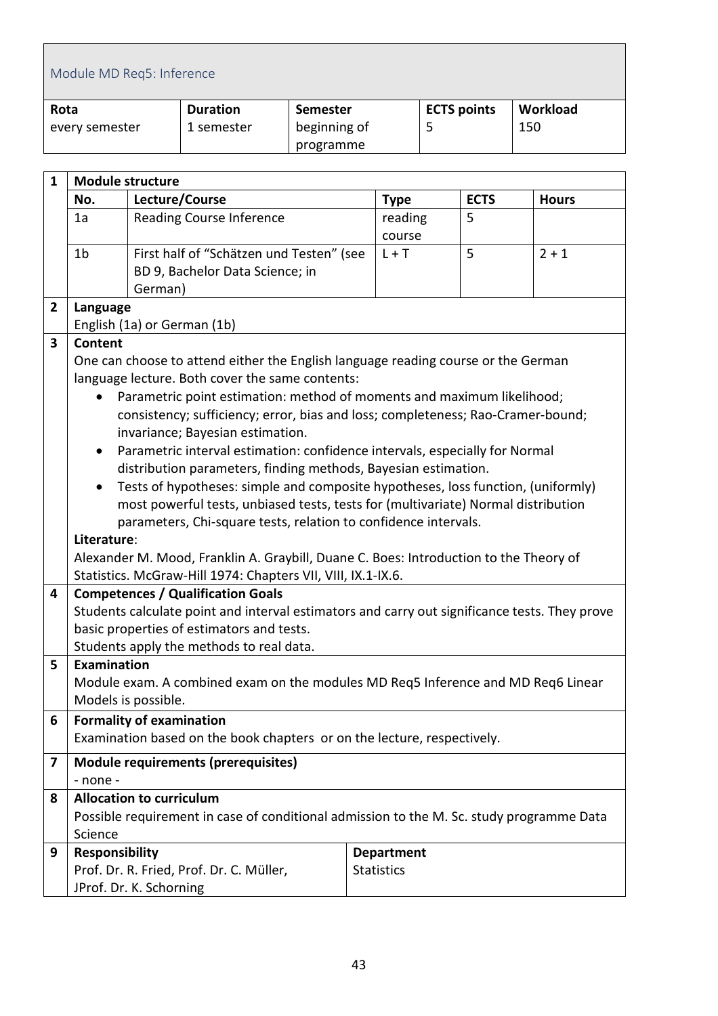<span id="page-42-0"></span>

|                         | Module MD Req5: Inference             |         |                                                                                               |                 |                   |   |                    |              |  |
|-------------------------|---------------------------------------|---------|-----------------------------------------------------------------------------------------------|-----------------|-------------------|---|--------------------|--------------|--|
| Rota                    |                                       |         | <b>Duration</b>                                                                               | <b>Semester</b> |                   |   | <b>ECTS points</b> | Workload     |  |
|                         | every semester                        |         | 1 semester                                                                                    | beginning of    |                   | 5 |                    | 150          |  |
|                         |                                       |         |                                                                                               | programme       |                   |   |                    |              |  |
|                         |                                       |         |                                                                                               |                 |                   |   |                    |              |  |
| $\mathbf{1}$            | <b>Module structure</b>               |         |                                                                                               |                 |                   |   |                    |              |  |
|                         | No.                                   |         | Lecture/Course                                                                                |                 | <b>Type</b>       |   | <b>ECTS</b>        | <b>Hours</b> |  |
|                         | <b>Reading Course Inference</b><br>1a |         | reading                                                                                       |                 | 5                 |   |                    |              |  |
|                         |                                       |         |                                                                                               |                 | course            |   |                    |              |  |
|                         | 1 <sub>b</sub>                        |         | First half of "Schätzen und Testen" (see                                                      |                 | $L + T$           |   | 5                  | $2 + 1$      |  |
|                         |                                       |         | BD 9, Bachelor Data Science; in                                                               |                 |                   |   |                    |              |  |
|                         |                                       | German) |                                                                                               |                 |                   |   |                    |              |  |
| $\overline{2}$          | Language                              |         |                                                                                               |                 |                   |   |                    |              |  |
|                         |                                       |         | English (1a) or German (1b)                                                                   |                 |                   |   |                    |              |  |
| $\overline{\mathbf{3}}$ | Content                               |         |                                                                                               |                 |                   |   |                    |              |  |
|                         |                                       |         | One can choose to attend either the English language reading course or the German             |                 |                   |   |                    |              |  |
|                         |                                       |         | language lecture. Both cover the same contents:                                               |                 |                   |   |                    |              |  |
|                         | $\bullet$                             |         | Parametric point estimation: method of moments and maximum likelihood;                        |                 |                   |   |                    |              |  |
|                         |                                       |         | consistency; sufficiency; error, bias and loss; completeness; Rao-Cramer-bound;               |                 |                   |   |                    |              |  |
|                         |                                       |         | invariance; Bayesian estimation.                                                              |                 |                   |   |                    |              |  |
|                         | $\bullet$                             |         | Parametric interval estimation: confidence intervals, especially for Normal                   |                 |                   |   |                    |              |  |
|                         |                                       |         | distribution parameters, finding methods, Bayesian estimation.                                |                 |                   |   |                    |              |  |
|                         | $\bullet$                             |         | Tests of hypotheses: simple and composite hypotheses, loss function, (uniformly)              |                 |                   |   |                    |              |  |
|                         |                                       |         | most powerful tests, unbiased tests, tests for (multivariate) Normal distribution             |                 |                   |   |                    |              |  |
|                         |                                       |         | parameters, Chi-square tests, relation to confidence intervals.                               |                 |                   |   |                    |              |  |
|                         | Literature:                           |         | Alexander M. Mood, Franklin A. Graybill, Duane C. Boes: Introduction to the Theory of         |                 |                   |   |                    |              |  |
|                         |                                       |         | Statistics. McGraw-Hill 1974: Chapters VII, VIII, IX.1-IX.6.                                  |                 |                   |   |                    |              |  |
| 4                       |                                       |         | <b>Competences / Qualification Goals</b>                                                      |                 |                   |   |                    |              |  |
|                         |                                       |         | Students calculate point and interval estimators and carry out significance tests. They prove |                 |                   |   |                    |              |  |
|                         |                                       |         | basic properties of estimators and tests.                                                     |                 |                   |   |                    |              |  |
|                         |                                       |         | Students apply the methods to real data.                                                      |                 |                   |   |                    |              |  |
| 5                       | Examination                           |         |                                                                                               |                 |                   |   |                    |              |  |
|                         |                                       |         | Module exam. A combined exam on the modules MD Req5 Inference and MD Req6 Linear              |                 |                   |   |                    |              |  |
|                         | Models is possible.                   |         |                                                                                               |                 |                   |   |                    |              |  |
| 6                       | <b>Formality of examination</b>       |         |                                                                                               |                 |                   |   |                    |              |  |
|                         |                                       |         | Examination based on the book chapters or on the lecture, respectively.                       |                 |                   |   |                    |              |  |
|                         |                                       |         |                                                                                               |                 |                   |   |                    |              |  |
| 7                       |                                       |         | <b>Module requirements (prerequisites)</b>                                                    |                 |                   |   |                    |              |  |
|                         | - none -                              |         |                                                                                               |                 |                   |   |                    |              |  |
| 8                       | <b>Allocation to curriculum</b>       |         |                                                                                               |                 |                   |   |                    |              |  |
|                         |                                       |         | Possible requirement in case of conditional admission to the M. Sc. study programme Data      |                 |                   |   |                    |              |  |
|                         | Science                               |         |                                                                                               |                 |                   |   |                    |              |  |
| 9                       | <b>Responsibility</b>                 |         |                                                                                               |                 | <b>Department</b> |   |                    |              |  |
|                         |                                       |         | Prof. Dr. R. Fried, Prof. Dr. C. Müller,                                                      |                 | <b>Statistics</b> |   |                    |              |  |
|                         |                                       |         | JProf. Dr. K. Schorning                                                                       |                 |                   |   |                    |              |  |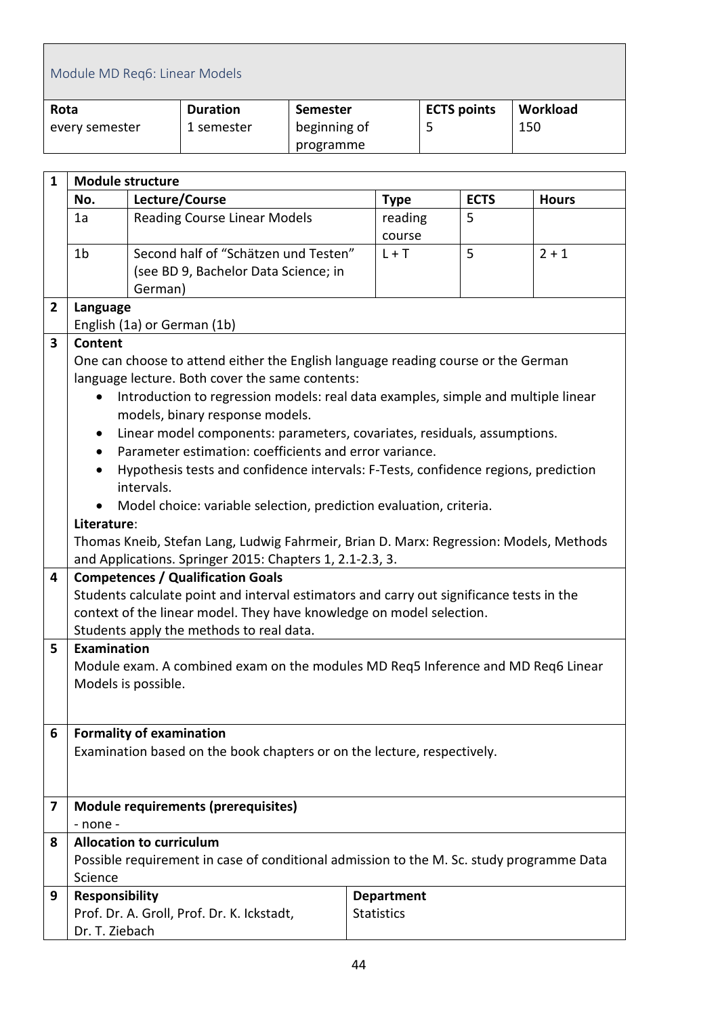<span id="page-43-0"></span>

|                | Module MD Reg6: Linear Models   |            |                                                                                                                                      |                 |                                        |         |                    |              |
|----------------|---------------------------------|------------|--------------------------------------------------------------------------------------------------------------------------------------|-----------------|----------------------------------------|---------|--------------------|--------------|
| Rota           |                                 |            | <b>Duration</b>                                                                                                                      | <b>Semester</b> |                                        |         | <b>ECTS points</b> | Workload     |
|                | every semester                  |            | 1 semester                                                                                                                           | beginning of    |                                        | 5       |                    | 150          |
|                |                                 |            |                                                                                                                                      | programme       |                                        |         |                    |              |
|                |                                 |            |                                                                                                                                      |                 |                                        |         |                    |              |
| $\mathbf{1}$   | <b>Module structure</b>         |            |                                                                                                                                      |                 |                                        |         |                    |              |
|                | No.<br>1a                       |            | Lecture/Course                                                                                                                       |                 | <b>Type</b>                            |         | <b>ECTS</b><br>5   | <b>Hours</b> |
|                |                                 |            | <b>Reading Course Linear Models</b>                                                                                                  |                 | course                                 | reading |                    |              |
|                | 1 <sub>b</sub>                  |            | Second half of "Schätzen und Testen"                                                                                                 |                 | $L + T$                                |         | 5                  | $2 + 1$      |
|                |                                 |            | (see BD 9, Bachelor Data Science; in                                                                                                 |                 |                                        |         |                    |              |
|                |                                 | German)    |                                                                                                                                      |                 |                                        |         |                    |              |
| $\overline{2}$ | Language                        |            |                                                                                                                                      |                 |                                        |         |                    |              |
|                |                                 |            | English (1a) or German (1b)                                                                                                          |                 |                                        |         |                    |              |
| 3              | <b>Content</b>                  |            | One can choose to attend either the English language reading course or the German                                                    |                 |                                        |         |                    |              |
|                |                                 |            | language lecture. Both cover the same contents:                                                                                      |                 |                                        |         |                    |              |
|                | $\bullet$                       |            | Introduction to regression models: real data examples, simple and multiple linear                                                    |                 |                                        |         |                    |              |
|                |                                 |            | models, binary response models.                                                                                                      |                 |                                        |         |                    |              |
|                | ٠                               |            | Linear model components: parameters, covariates, residuals, assumptions.                                                             |                 |                                        |         |                    |              |
|                | $\bullet$                       |            | Parameter estimation: coefficients and error variance.                                                                               |                 |                                        |         |                    |              |
|                | $\bullet$                       |            | Hypothesis tests and confidence intervals: F-Tests, confidence regions, prediction                                                   |                 |                                        |         |                    |              |
|                |                                 | intervals. |                                                                                                                                      |                 |                                        |         |                    |              |
|                | ٠                               |            | Model choice: variable selection, prediction evaluation, criteria.                                                                   |                 |                                        |         |                    |              |
|                | Literature:                     |            |                                                                                                                                      |                 |                                        |         |                    |              |
|                |                                 |            | Thomas Kneib, Stefan Lang, Ludwig Fahrmeir, Brian D. Marx: Regression: Models, Methods                                               |                 |                                        |         |                    |              |
|                |                                 |            | and Applications. Springer 2015: Chapters 1, 2.1-2.3, 3.                                                                             |                 |                                        |         |                    |              |
| 4              |                                 |            | <b>Competences / Qualification Goals</b><br>Students calculate point and interval estimators and carry out significance tests in the |                 |                                        |         |                    |              |
|                |                                 |            | context of the linear model. They have knowledge on model selection.                                                                 |                 |                                        |         |                    |              |
|                |                                 |            | Students apply the methods to real data.                                                                                             |                 |                                        |         |                    |              |
| 5              | Examination                     |            |                                                                                                                                      |                 |                                        |         |                    |              |
|                |                                 |            | Module exam. A combined exam on the modules MD Req5 Inference and MD Req6 Linear                                                     |                 |                                        |         |                    |              |
|                | Models is possible.             |            |                                                                                                                                      |                 |                                        |         |                    |              |
|                |                                 |            |                                                                                                                                      |                 |                                        |         |                    |              |
| 6              | <b>Formality of examination</b> |            |                                                                                                                                      |                 |                                        |         |                    |              |
|                |                                 |            | Examination based on the book chapters or on the lecture, respectively.                                                              |                 |                                        |         |                    |              |
|                |                                 |            |                                                                                                                                      |                 |                                        |         |                    |              |
|                |                                 |            |                                                                                                                                      |                 |                                        |         |                    |              |
| 7              |                                 |            | <b>Module requirements (prerequisites)</b>                                                                                           |                 |                                        |         |                    |              |
|                | $-$ none $-$                    |            |                                                                                                                                      |                 |                                        |         |                    |              |
| 8              | <b>Allocation to curriculum</b> |            |                                                                                                                                      |                 |                                        |         |                    |              |
|                |                                 |            | Possible requirement in case of conditional admission to the M. Sc. study programme Data                                             |                 |                                        |         |                    |              |
|                | Science                         |            |                                                                                                                                      |                 |                                        |         |                    |              |
| 9              | Responsibility                  |            | Prof. Dr. A. Groll, Prof. Dr. K. Ickstadt,                                                                                           |                 | <b>Department</b><br><b>Statistics</b> |         |                    |              |
|                | Dr. T. Ziebach                  |            |                                                                                                                                      |                 |                                        |         |                    |              |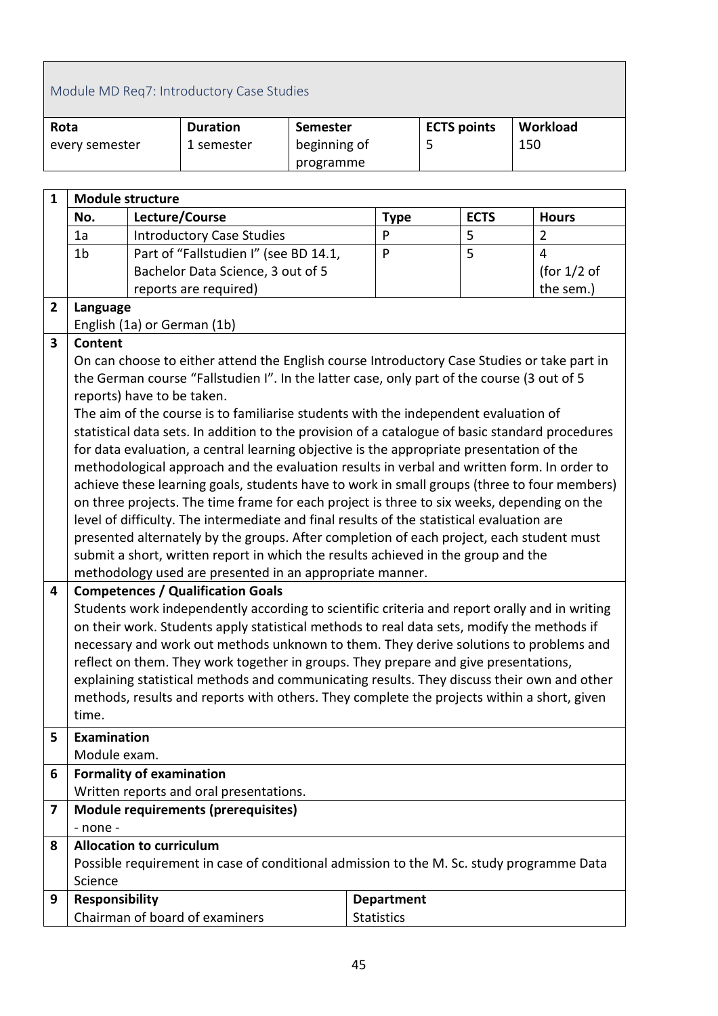<span id="page-44-0"></span>

|                | Module MD Req7: Introductory Case Studies |  |                                                                                                                                                                               |                 |                   |   |                    |     |                |
|----------------|-------------------------------------------|--|-------------------------------------------------------------------------------------------------------------------------------------------------------------------------------|-----------------|-------------------|---|--------------------|-----|----------------|
| Rota           |                                           |  | <b>Duration</b>                                                                                                                                                               | <b>Semester</b> |                   |   | <b>ECTS points</b> |     | Workload       |
|                | every semester                            |  | 1 semester                                                                                                                                                                    | beginning of    |                   | 5 |                    | 150 |                |
|                |                                           |  |                                                                                                                                                                               | programme       |                   |   |                    |     |                |
| $\mathbf{1}$   | <b>Module structure</b>                   |  |                                                                                                                                                                               |                 |                   |   |                    |     |                |
|                | No.                                       |  | Lecture/Course                                                                                                                                                                |                 | <b>Type</b>       |   | <b>ECTS</b>        |     | <b>Hours</b>   |
|                | 1a<br><b>Introductory Case Studies</b>    |  | P                                                                                                                                                                             |                 | 5                 |   | $\overline{2}$     |     |                |
|                | 1 <sub>b</sub>                            |  | Part of "Fallstudien I" (see BD 14.1,                                                                                                                                         |                 | P                 |   | 5                  |     | $\overline{4}$ |
|                |                                           |  | Bachelor Data Science, 3 out of 5                                                                                                                                             |                 |                   |   |                    |     | (for $1/2$ of  |
|                |                                           |  | reports are required)                                                                                                                                                         |                 |                   |   |                    |     | the sem.)      |
| $\overline{2}$ | Language                                  |  |                                                                                                                                                                               |                 |                   |   |                    |     |                |
|                |                                           |  | English (1a) or German (1b)                                                                                                                                                   |                 |                   |   |                    |     |                |
| 3              | <b>Content</b>                            |  | On can choose to either attend the English course Introductory Case Studies or take part in                                                                                   |                 |                   |   |                    |     |                |
|                |                                           |  | the German course "Fallstudien I". In the latter case, only part of the course (3 out of 5                                                                                    |                 |                   |   |                    |     |                |
|                | reports) have to be taken.                |  |                                                                                                                                                                               |                 |                   |   |                    |     |                |
|                |                                           |  | The aim of the course is to familiarise students with the independent evaluation of                                                                                           |                 |                   |   |                    |     |                |
|                |                                           |  | statistical data sets. In addition to the provision of a catalogue of basic standard procedures                                                                               |                 |                   |   |                    |     |                |
|                |                                           |  | for data evaluation, a central learning objective is the appropriate presentation of the                                                                                      |                 |                   |   |                    |     |                |
|                |                                           |  | methodological approach and the evaluation results in verbal and written form. In order to                                                                                    |                 |                   |   |                    |     |                |
|                |                                           |  | achieve these learning goals, students have to work in small groups (three to four members)                                                                                   |                 |                   |   |                    |     |                |
|                |                                           |  | on three projects. The time frame for each project is three to six weeks, depending on the                                                                                    |                 |                   |   |                    |     |                |
|                |                                           |  | level of difficulty. The intermediate and final results of the statistical evaluation are                                                                                     |                 |                   |   |                    |     |                |
|                |                                           |  | presented alternately by the groups. After completion of each project, each student must<br>submit a short, written report in which the results achieved in the group and the |                 |                   |   |                    |     |                |
|                |                                           |  | methodology used are presented in an appropriate manner.                                                                                                                      |                 |                   |   |                    |     |                |
| 4              |                                           |  | <b>Competences / Qualification Goals</b>                                                                                                                                      |                 |                   |   |                    |     |                |
|                |                                           |  | Students work independently according to scientific criteria and report orally and in writing                                                                                 |                 |                   |   |                    |     |                |
|                |                                           |  | on their work. Students apply statistical methods to real data sets, modify the methods if                                                                                    |                 |                   |   |                    |     |                |
|                |                                           |  | necessary and work out methods unknown to them. They derive solutions to problems and                                                                                         |                 |                   |   |                    |     |                |
|                |                                           |  | reflect on them. They work together in groups. They prepare and give presentations,                                                                                           |                 |                   |   |                    |     |                |
|                |                                           |  | explaining statistical methods and communicating results. They discuss their own and other                                                                                    |                 |                   |   |                    |     |                |
|                | time.                                     |  | methods, results and reports with others. They complete the projects within a short, given                                                                                    |                 |                   |   |                    |     |                |
|                |                                           |  |                                                                                                                                                                               |                 |                   |   |                    |     |                |
| 5              | <b>Examination</b><br>Module exam.        |  |                                                                                                                                                                               |                 |                   |   |                    |     |                |
| 6              | <b>Formality of examination</b>           |  |                                                                                                                                                                               |                 |                   |   |                    |     |                |
|                |                                           |  | Written reports and oral presentations.                                                                                                                                       |                 |                   |   |                    |     |                |
| 7              |                                           |  | <b>Module requirements (prerequisites)</b>                                                                                                                                    |                 |                   |   |                    |     |                |
|                | - none -                                  |  |                                                                                                                                                                               |                 |                   |   |                    |     |                |
| 8              | <b>Allocation to curriculum</b>           |  |                                                                                                                                                                               |                 |                   |   |                    |     |                |
|                |                                           |  | Possible requirement in case of conditional admission to the M. Sc. study programme Data                                                                                      |                 |                   |   |                    |     |                |
|                | Science                                   |  |                                                                                                                                                                               |                 |                   |   |                    |     |                |
| 9              | Responsibility                            |  |                                                                                                                                                                               |                 | <b>Department</b> |   |                    |     |                |
|                |                                           |  | Chairman of board of examiners                                                                                                                                                |                 | <b>Statistics</b> |   |                    |     |                |